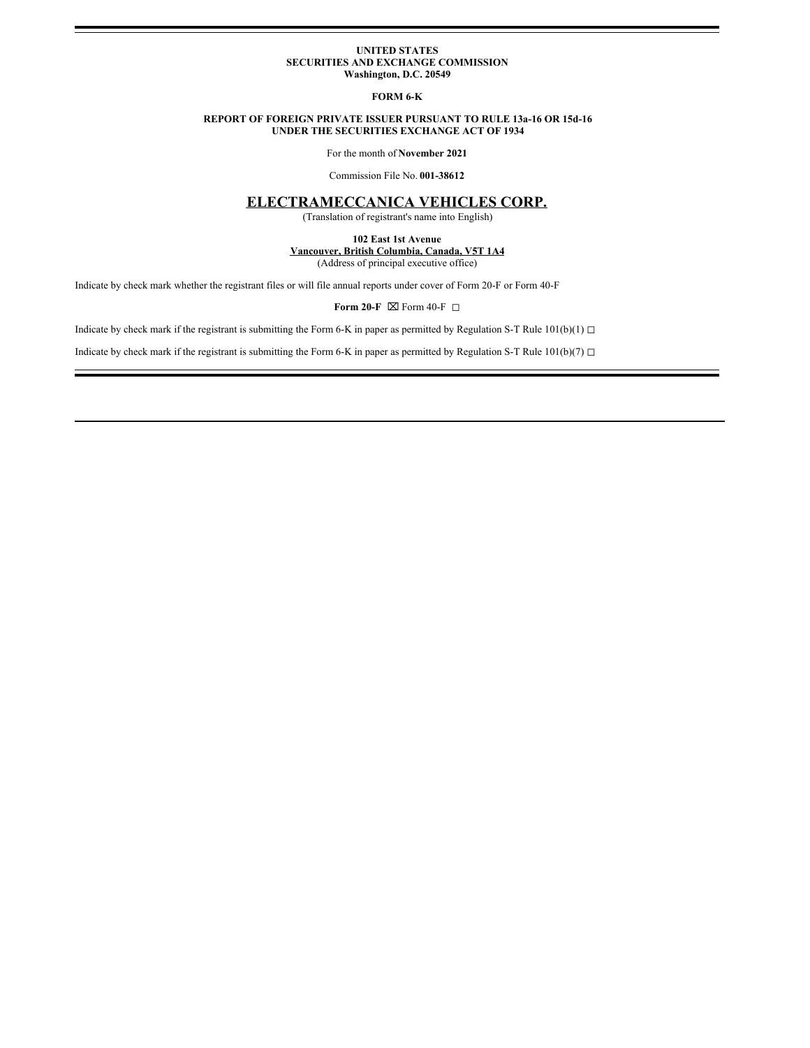## **UNITED STATES SECURITIES AND EXCHANGE COMMISSION Washington, D.C. 20549**

**FORM 6-K**

# **REPORT OF FOREIGN PRIVATE ISSUER PURSUANT TO RULE 13a-16 OR 15d-16 UNDER THE SECURITIES EXCHANGE ACT OF 1934**

For the month of **November 2021**

Commission File No. **001-38612**

# **ELECTRAMECCANICA VEHICLES CORP.**

(Translation of registrant's name into English)

**102 East 1st Avenue Vancouver, British Columbia, Canada, V5T 1A4** (Address of principal executive office)

Indicate by check mark whether the registrant files or will file annual reports under cover of Form 20-F or Form 40-F

**Form 20-F** ⌧ Form 40-F ◻

Indicate by check mark if the registrant is submitting the Form 6-K in paper as permitted by Regulation S-T Rule  $101(b)(1)$   $\Box$ 

Indicate by check mark if the registrant is submitting the Form 6-K in paper as permitted by Regulation S-T Rule  $101(b)(7)$   $\Box$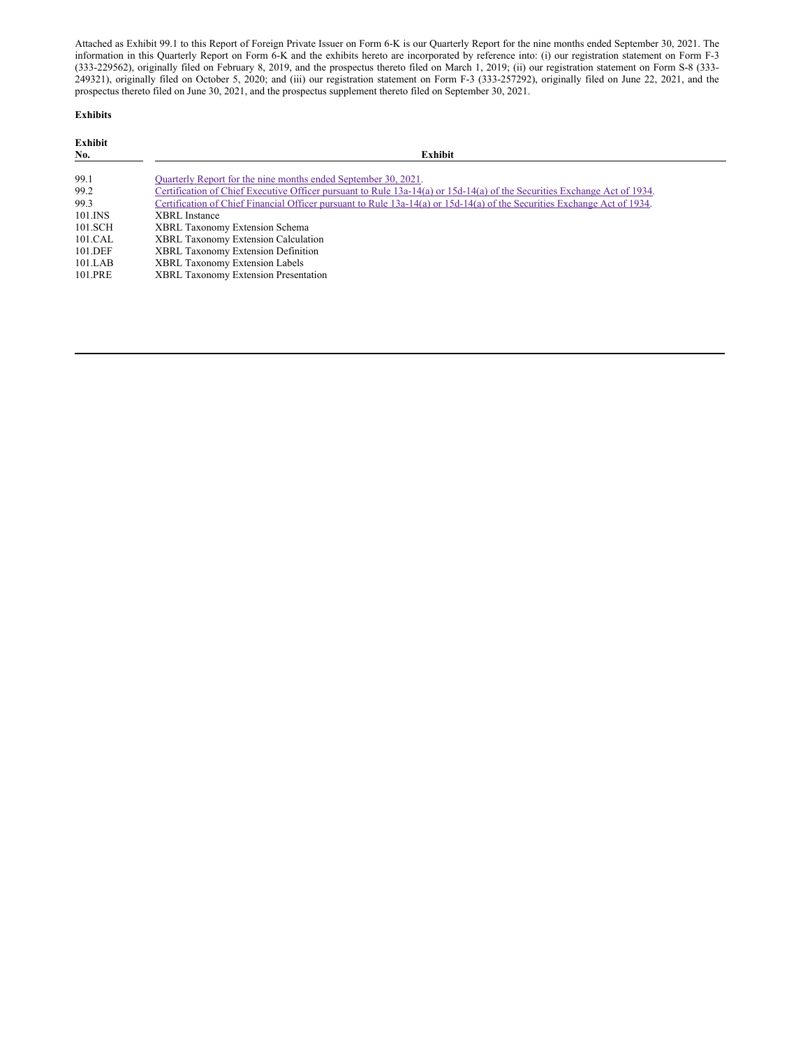Attached as Exhibit 99.1 to this Report of Foreign Private Issuer on Form 6-K is our Quarterly Report for the nine months ended September 30, 2021. The information in this Quarterly Report on Form 6-K and the exhibits hereto are incorporated by reference into: (i) our registration statement on Form F-3 (333-229562), originally filed on February 8, 2019, and the prospectus thereto filed on March 1, 2019; (ii) our registration statement on Form S-8 (333- 249321), originally filed on October 5, 2020; and (iii) our registration statement on Form F-3 (333-257292), originally filed on June 22, 2021, and the prospectus thereto filed on June 30, 2021, and the prospectus supplement thereto filed on September 30, 2021.

# **Exhibits**

| <b>Exhibit</b><br>No. | Exhibit                                                                                                                  |
|-----------------------|--------------------------------------------------------------------------------------------------------------------------|
|                       |                                                                                                                          |
| 99.1                  | Quarterly Report for the nine months ended September 30, 2021.                                                           |
| 99.2                  | Certification of Chief Executive Officer pursuant to Rule 13a-14(a) or 15d-14(a) of the Securities Exchange Act of 1934. |
| 99.3                  | Certification of Chief Financial Officer pursuant to Rule 13a-14(a) or 15d-14(a) of the Securities Exchange Act of 1934. |
| 101.INS               | <b>XBRL</b> Instance                                                                                                     |
| 101.SCH               | <b>XBRL Taxonomy Extension Schema</b>                                                                                    |
| 101.CAL               | <b>XBRL Taxonomy Extension Calculation</b>                                                                               |
| 101.DEF               | <b>XBRL Taxonomy Extension Definition</b>                                                                                |
| 101.LAB               | <b>XBRL Taxonomy Extension Labels</b>                                                                                    |
| 101.PRE               | <b>XBRL Taxonomy Extension Presentation</b>                                                                              |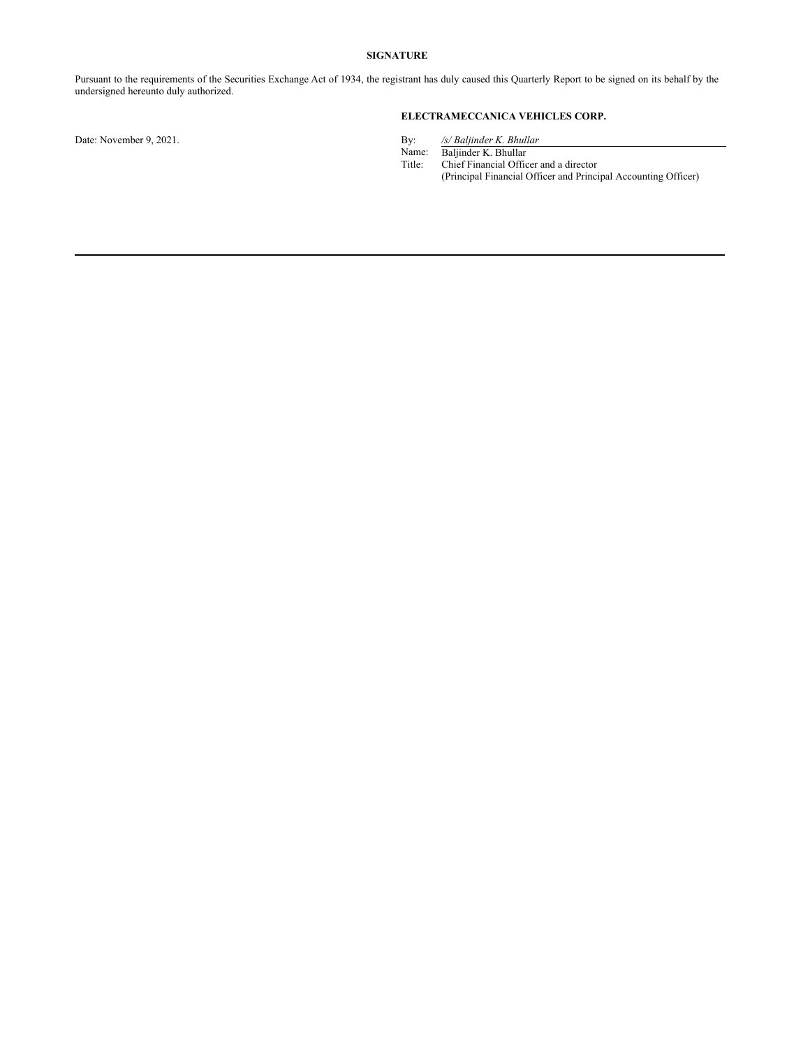## **SIGNATURE**

Pursuant to the requirements of the Securities Exchange Act of 1934, the registrant has duly caused this Quarterly Report to be signed on its behalf by the undersigned hereunto duly authorized.

# **ELECTRAMECCANICA VEHICLES CORP.**

Date: November 9, 2021. By: */s/ Baljinder K. Bhullar*

Name: Baljinder K. Bhullar

Title: Chief Financial Officer and a director (Principal Financial Officer and Principal Accounting Officer)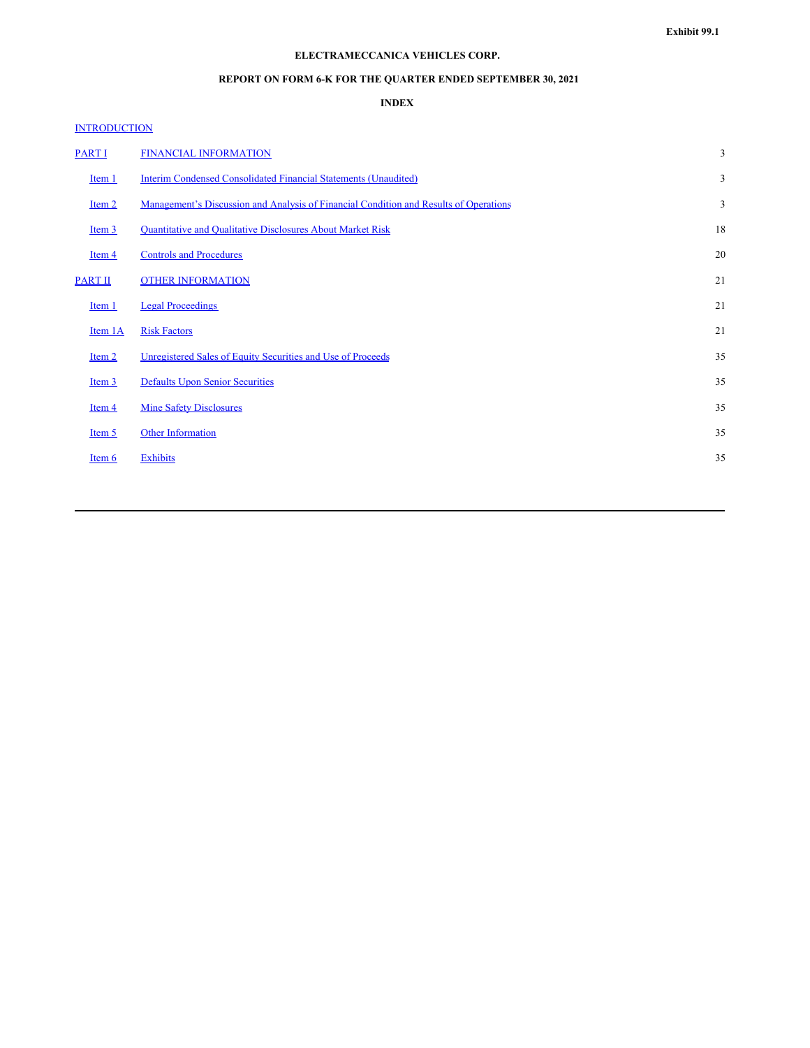# **ELECTRAMECCANICA VEHICLES CORP.**

# **REPORT ON FORM 6-K FOR THE QUARTER ENDED SEPTEMBER 30, 2021**

# **INDEX**

# <span id="page-4-0"></span>**[INTRODUCTION](#page-4-0)**

| <b>PARTI</b>   | <b>FINANCIAL INFORMATION</b>                                                          | 3  |
|----------------|---------------------------------------------------------------------------------------|----|
| Item 1         | Interim Condensed Consolidated Financial Statements (Unaudited)                       | 3  |
| Item $2$       | Management's Discussion and Analysis of Financial Condition and Results of Operations | 3  |
| Item $3$       | <b>Quantitative and Qualitative Disclosures About Market Risk</b>                     | 18 |
| Item $4$       | <b>Controls and Procedures</b>                                                        | 20 |
| <b>PART II</b> | <b>OTHER INFORMATION</b>                                                              | 21 |
| Item 1         | <b>Legal Proceedings</b>                                                              | 21 |
| Item 1A        | <b>Risk Factors</b>                                                                   | 21 |
| Item $2$       | Unregistered Sales of Equity Securities and Use of Proceeds                           | 35 |
| Item $3$       | <b>Defaults Upon Senior Securities</b>                                                | 35 |
| Item $4$       | <b>Mine Safety Disclosures</b>                                                        | 35 |
| Item 5         | <b>Other Information</b>                                                              | 35 |
| Item $6$       | <b>Exhibits</b>                                                                       | 35 |
|                |                                                                                       |    |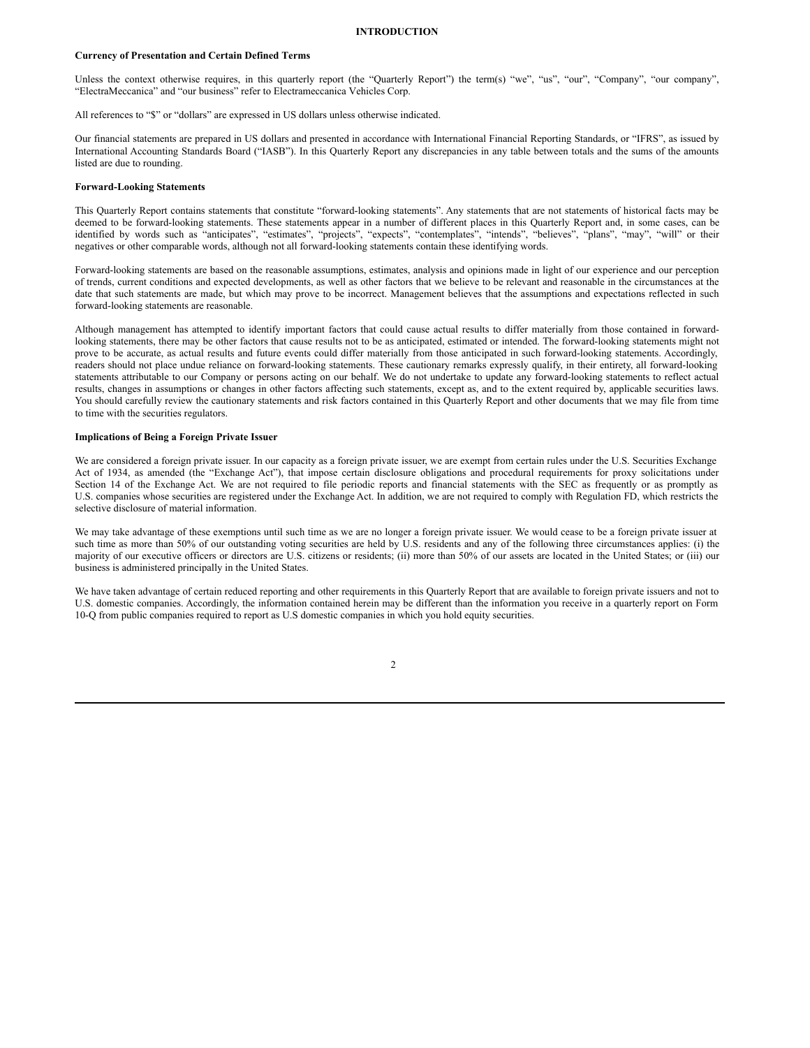#### **INTRODUCTION**

### **Currency of Presentation and Certain Defined Terms**

Unless the context otherwise requires, in this quarterly report (the "Quarterly Report") the term(s) "we", "us", "our", "Company", "our company", "ElectraMeccanica" and "our business" refer to Electrameccanica Vehicles Corp.

All references to "\$" or "dollars" are expressed in US dollars unless otherwise indicated.

Our financial statements are prepared in US dollars and presented in accordance with International Financial Reporting Standards, or "IFRS", as issued by International Accounting Standards Board ("IASB"). In this Quarterly Report any discrepancies in any table between totals and the sums of the amounts listed are due to rounding.

#### **Forward-Looking Statements**

This Quarterly Report contains statements that constitute "forward-looking statements". Any statements that are not statements of historical facts may be deemed to be forward-looking statements. These statements appear in a number of different places in this Quarterly Report and, in some cases, can be identified by words such as "anticipates", "estimates", "projects", "expects", "contemplates", "intends", "believes", "plans", "may", "will" or their negatives or other comparable words, although not all forward-looking statements contain these identifying words.

Forward-looking statements are based on the reasonable assumptions, estimates, analysis and opinions made in light of our experience and our perception of trends, current conditions and expected developments, as well as other factors that we believe to be relevant and reasonable in the circumstances at the date that such statements are made, but which may prove to be incorrect. Management believes that the assumptions and expectations reflected in such forward-looking statements are reasonable.

Although management has attempted to identify important factors that could cause actual results to differ materially from those contained in forwardlooking statements, there may be other factors that cause results not to be as anticipated, estimated or intended. The forward-looking statements might not prove to be accurate, as actual results and future events could differ materially from those anticipated in such forward-looking statements. Accordingly, readers should not place undue reliance on forward-looking statements. These cautionary remarks expressly qualify, in their entirety, all forward-looking statements attributable to our Company or persons acting on our behalf. We do not undertake to update any forward-looking statements to reflect actual results, changes in assumptions or changes in other factors affecting such statements, except as, and to the extent required by, applicable securities laws. You should carefully review the cautionary statements and risk factors contained in this Quarterly Report and other documents that we may file from time to time with the securities regulators.

## **Implications of Being a Foreign Private Issuer**

We are considered a foreign private issuer. In our capacity as a foreign private issuer, we are exempt from certain rules under the U.S. Securities Exchange Act of 1934, as amended (the "Exchange Act"), that impose certain disclosure obligations and procedural requirements for proxy solicitations under Section 14 of the Exchange Act. We are not required to file periodic reports and financial statements with the SEC as frequently or as promptly as U.S. companies whose securities are registered under the Exchange Act. In addition, we are not required to comply with Regulation FD, which restricts the selective disclosure of material information.

We may take advantage of these exemptions until such time as we are no longer a foreign private issuer. We would cease to be a foreign private issuer at such time as more than 50% of our outstanding voting securities are held by U.S. residents and any of the following three circumstances applies: (i) the majority of our executive officers or directors are U.S. citizens or residents; (ii) more than 50% of our assets are located in the United States; or (iii) our business is administered principally in the United States.

We have taken advantage of certain reduced reporting and other requirements in this Quarterly Report that are available to foreign private issuers and not to U.S. domestic companies. Accordingly, the information contained herein may be different than the information you receive in a quarterly report on Form 10-Q from public companies required to report as U.S domestic companies in which you hold equity securities.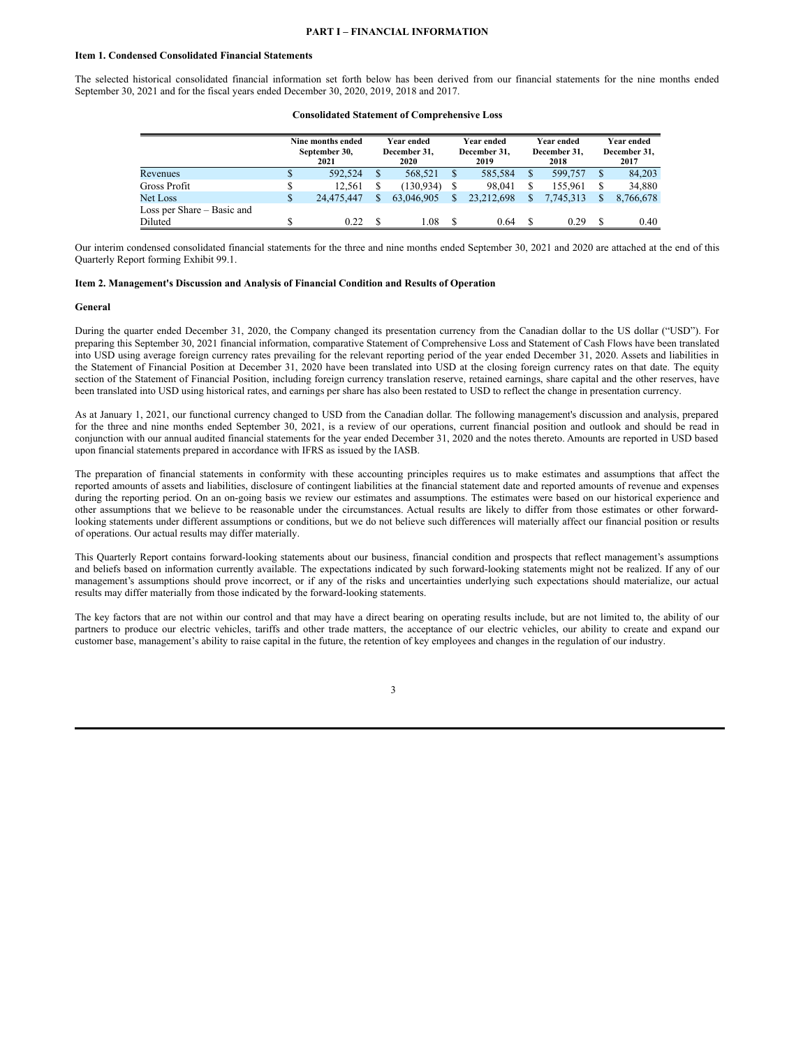#### **PART I – FINANCIAL INFORMATION**

### **Item 1. Condensed Consolidated Financial Statements**

The selected historical consolidated financial information set forth below has been derived from our financial statements for the nine months ended September 30, 2021 and for the fiscal years ended December 30, 2020, 2019, 2018 and 2017.

### **Consolidated Statement of Comprehensive Loss**

|                            |   | Nine months ended<br>September 30,<br>2021 |    | Year ended<br>December 31,<br>2020 |   | Year ended<br>December 31.<br>2019 | Year ended<br>December 31.<br>2018 |          | Year ended<br>December 31,<br>2017 |
|----------------------------|---|--------------------------------------------|----|------------------------------------|---|------------------------------------|------------------------------------|----------|------------------------------------|
| Revenues                   |   | 592,524                                    | \$ | 568.521                            |   | 585.584                            | \$<br>599,757                      | S        | 84,203                             |
| Gross Profit               | C | 12.561                                     | S  | (130.934)                          |   | 98.041                             | \$<br>155.961                      | S        | 34,880                             |
| Net Loss                   | S | 24,475,447                                 | \$ | 63.046.905                         | S | 23.212.698                         | \$<br>7,745,313                    | \$.      | 8,766,678                          |
| Loss per Share – Basic and |   |                                            |    |                                    |   |                                    |                                    |          |                                    |
| Diluted                    |   | 0.22                                       |    | 1.08                               |   | 0.64                               | 0.29                               | <b>S</b> | 0.40                               |

Our interim condensed consolidated financial statements for the three and nine months ended September 30, 2021 and 2020 are attached at the end of this Quarterly Report forming Exhibit 99.1.

## **Item 2. Management's Discussion and Analysis of Financial Condition and Results of Operation**

#### **General**

During the quarter ended December 31, 2020, the Company changed its presentation currency from the Canadian dollar to the US dollar ("USD"). For preparing this September 30, 2021 financial information, comparative Statement of Comprehensive Loss and Statement of Cash Flows have been translated into USD using average foreign currency rates prevailing for the relevant reporting period of the year ended December 31, 2020. Assets and liabilities in the Statement of Financial Position at December 31, 2020 have been translated into USD at the closing foreign currency rates on that date. The equity section of the Statement of Financial Position, including foreign currency translation reserve, retained earnings, share capital and the other reserves, have been translated into USD using historical rates, and earnings per share has also been restated to USD to reflect the change in presentation currency.

As at January 1, 2021, our functional currency changed to USD from the Canadian dollar. The following management's discussion and analysis, prepared for the three and nine months ended September 30, 2021, is a review of our operations, current financial position and outlook and should be read in conjunction with our annual audited financial statements for the year ended December 31, 2020 and the notes thereto. Amounts are reported in USD based upon financial statements prepared in accordance with IFRS as issued by the IASB.

The preparation of financial statements in conformity with these accounting principles requires us to make estimates and assumptions that affect the reported amounts of assets and liabilities, disclosure of contingent liabilities at the financial statement date and reported amounts of revenue and expenses during the reporting period. On an on-going basis we review our estimates and assumptions. The estimates were based on our historical experience and other assumptions that we believe to be reasonable under the circumstances. Actual results are likely to differ from those estimates or other forwardlooking statements under different assumptions or conditions, but we do not believe such differences will materially affect our financial position or results of operations. Our actual results may differ materially.

This Quarterly Report contains forward-looking statements about our business, financial condition and prospects that reflect management's assumptions and beliefs based on information currently available. The expectations indicated by such forward-looking statements might not be realized. If any of our management's assumptions should prove incorrect, or if any of the risks and uncertainties underlying such expectations should materialize, our actual results may differ materially from those indicated by the forward-looking statements.

The key factors that are not within our control and that may have a direct bearing on operating results include, but are not limited to, the ability of our partners to produce our electric vehicles, tariffs and other trade matters, the acceptance of our electric vehicles, our ability to create and expand our customer base, management's ability to raise capital in the future, the retention of key employees and changes in the regulation of our industry.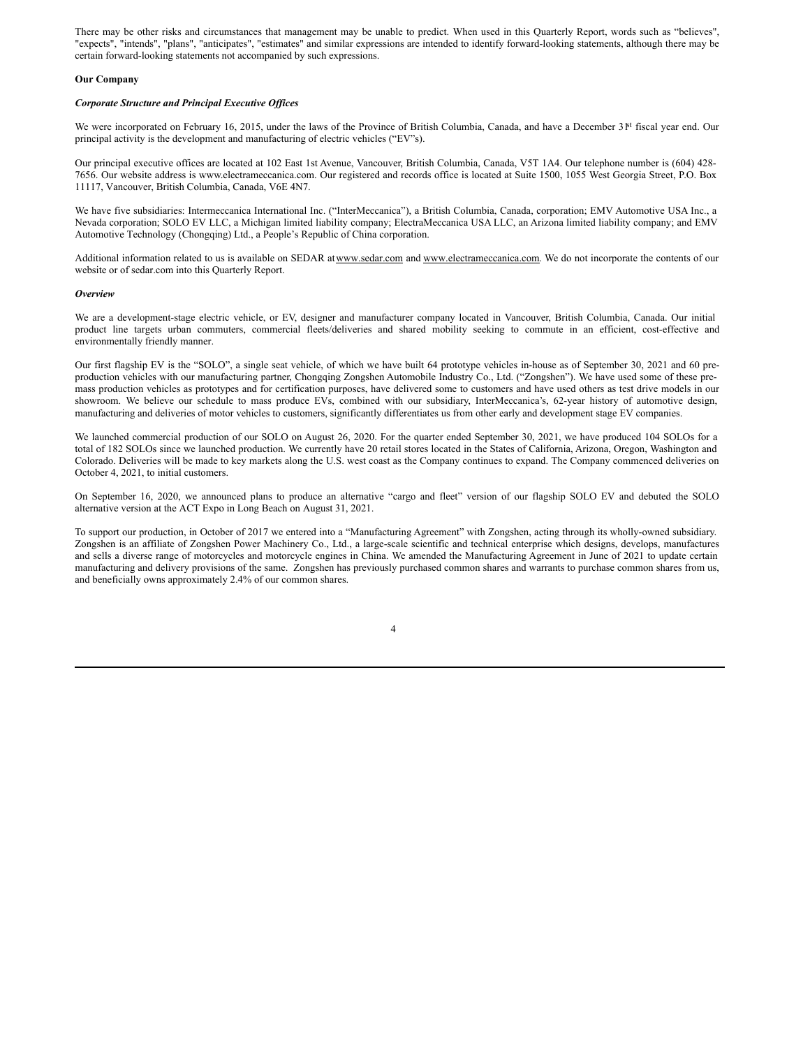There may be other risks and circumstances that management may be unable to predict. When used in this Quarterly Report, words such as "believes", "expects", "intends", "plans", "anticipates", "estimates" and similar expressions are intended to identify forward-looking statements, although there may be certain forward-looking statements not accompanied by such expressions.

### **Our Company**

## *Corporate Structure and Principal Executive Of ices*

We were incorporated on February 16, 2015, under the laws of the Province of British Columbia, Canada, and have a December 3<sup>pt</sup> fiscal year end. Our principal activity is the development and manufacturing of electric vehicles ("EV"s).

Our principal executive offices are located at 102 East 1st Avenue, Vancouver, British Columbia, Canada, V5T 1A4. Our telephone number is (604) 428- 7656. Our website address is www.electrameccanica.com. Our registered and records office is located at Suite 1500, 1055 West Georgia Street, P.O. Box 11117, Vancouver, British Columbia, Canada, V6E 4N7.

We have five subsidiaries: Intermeccanica International Inc. ("InterMeccanica"), a British Columbia, Canada, corporation; EMV Automotive USA Inc., a Nevada corporation; SOLO EV LLC, a Michigan limited liability company; ElectraMeccanica USA LLC, an Arizona limited liability company; and EMV Automotive Technology (Chongqing) Ltd., a People's Republic of China corporation.

Additional information related to us is available on SEDAR atwww.sedar.com and www.electrameccanica.com. We do not incorporate the contents of our website or of sedar.com into this Quarterly Report.

#### *Overview*

We are a development-stage electric vehicle, or EV, designer and manufacturer company located in Vancouver, British Columbia, Canada. Our initial product line targets urban commuters, commercial fleets/deliveries and shared mobility seeking to commute in an efficient, cost-effective and environmentally friendly manner.

Our first flagship EV is the "SOLO", a single seat vehicle, of which we have built 64 prototype vehicles in-house as of September 30, 2021 and 60 preproduction vehicles with our manufacturing partner, Chongqing Zongshen Automobile Industry Co., Ltd. ("Zongshen"). We have used some of these premass production vehicles as prototypes and for certification purposes, have delivered some to customers and have used others as test drive models in our showroom. We believe our schedule to mass produce EVs, combined with our subsidiary, InterMeccanica's, 62-year history of automotive design, manufacturing and deliveries of motor vehicles to customers, significantly differentiates us from other early and development stage EV companies.

We launched commercial production of our SOLO on August 26, 2020. For the quarter ended September 30, 2021, we have produced 104 SOLOs for a total of 182 SOLOs since we launched production. We currently have 20 retail stores located in the States of California, Arizona, Oregon, Washington and Colorado. Deliveries will be made to key markets along the U.S. west coast as the Company continues to expand. The Company commenced deliveries on October 4, 2021, to initial customers.

On September 16, 2020, we announced plans to produce an alternative "cargo and fleet" version of our flagship SOLO EV and debuted the SOLO alternative version at the ACT Expo in Long Beach on August 31, 2021.

To support our production, in October of 2017 we entered into a "Manufacturing Agreement" with Zongshen, acting through its wholly-owned subsidiary. Zongshen is an affiliate of Zongshen Power Machinery Co., Ltd., a large-scale scientific and technical enterprise which designs, develops, manufactures and sells a diverse range of motorcycles and motorcycle engines in China. We amended the Manufacturing Agreement in June of 2021 to update certain manufacturing and delivery provisions of the same. Zongshen has previously purchased common shares and warrants to purchase common shares from us, and beneficially owns approximately 2.4% of our common shares.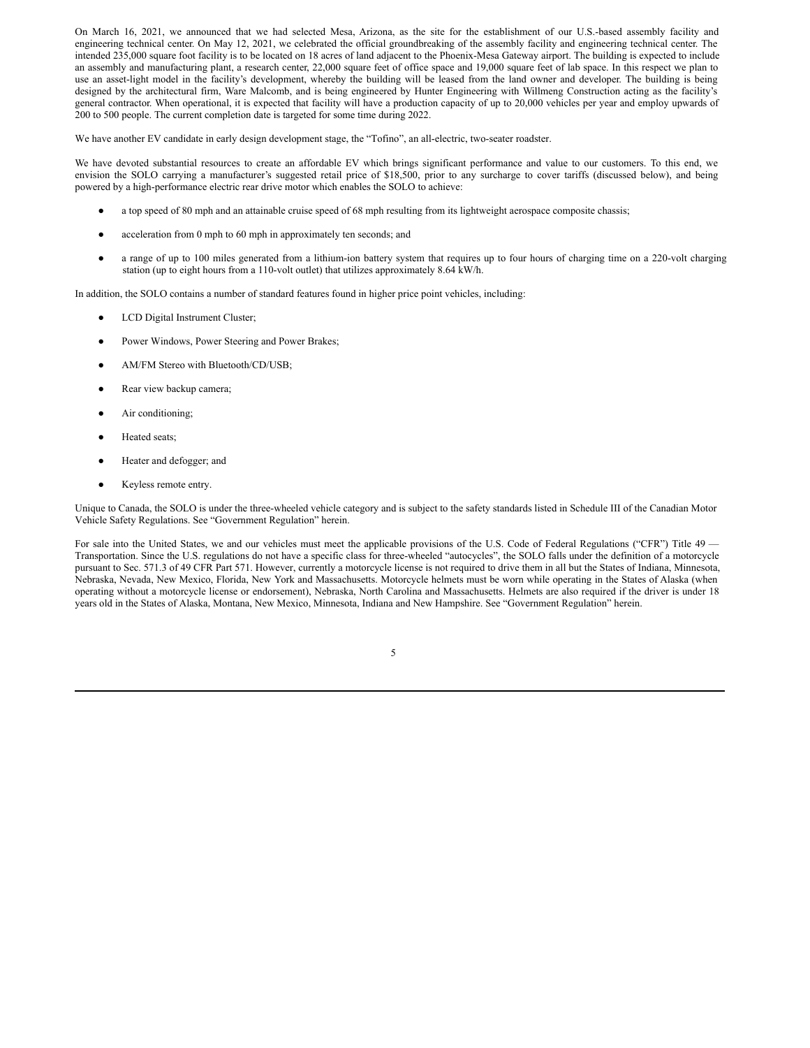On March 16, 2021, we announced that we had selected Mesa, Arizona, as the site for the establishment of our U.S.-based assembly facility and engineering technical center. On May 12, 2021, we celebrated the official groundbreaking of the assembly facility and engineering technical center. The intended 235,000 square foot facility is to be located on 18 acres of land adjacent to the Phoenix-Mesa Gateway airport. The building is expected to include an assembly and manufacturing plant, a research center, 22,000 square feet of office space and 19,000 square feet of lab space. In this respect we plan to use an asset-light model in the facility's development, whereby the building will be leased from the land owner and developer. The building is being designed by the architectural firm, Ware Malcomb, and is being engineered by Hunter Engineering with Willmeng Construction acting as the facility's general contractor. When operational, it is expected that facility will have a production capacity of up to 20,000 vehicles per year and employ upwards of 200 to 500 people. The current completion date is targeted for some time during 2022.

We have another EV candidate in early design development stage, the "Tofino", an all-electric, two-seater roadster.

We have devoted substantial resources to create an affordable EV which brings significant performance and value to our customers. To this end, we envision the SOLO carrying a manufacturer's suggested retail price of \$18,500, prior to any surcharge to cover tariffs (discussed below), and being powered by a high-performance electric rear drive motor which enables the SOLO to achieve:

- a top speed of 80 mph and an attainable cruise speed of 68 mph resulting from its lightweight aerospace composite chassis;
- acceleration from 0 mph to 60 mph in approximately ten seconds; and
- a range of up to 100 miles generated from a lithium-ion battery system that requires up to four hours of charging time on a 220-volt charging station (up to eight hours from a 110-volt outlet) that utilizes approximately 8.64 kW/h.

In addition, the SOLO contains a number of standard features found in higher price point vehicles, including:

- LCD Digital Instrument Cluster;
- Power Windows, Power Steering and Power Brakes;
- AM/FM Stereo with Bluetooth/CD/USB;
- Rear view backup camera;
- Air conditioning;
- Heated seats;
- Heater and defogger; and
- Keyless remote entry.

Unique to Canada, the SOLO is under the three-wheeled vehicle category and is subject to the safety standards listed in Schedule III of the Canadian Motor Vehicle Safety Regulations. See "Government Regulation" herein.

For sale into the United States, we and our vehicles must meet the applicable provisions of the U.S. Code of Federal Regulations ("CFR") Title 49 -Transportation. Since the U.S. regulations do not have a specific class for three-wheeled "autocycles", the SOLO falls under the definition of a motorcycle pursuant to Sec. 571.3 of 49 CFR Part 571. However, currently a motorcycle license is not required to drive them in all but the States of Indiana, Minnesota, Nebraska, Nevada, New Mexico, Florida, New York and Massachusetts. Motorcycle helmets must be worn while operating in the States of Alaska (when operating without a motorcycle license or endorsement), Nebraska, North Carolina and Massachusetts. Helmets are also required if the driver is under 18 years old in the States of Alaska, Montana, New Mexico, Minnesota, Indiana and New Hampshire. See "Government Regulation" herein.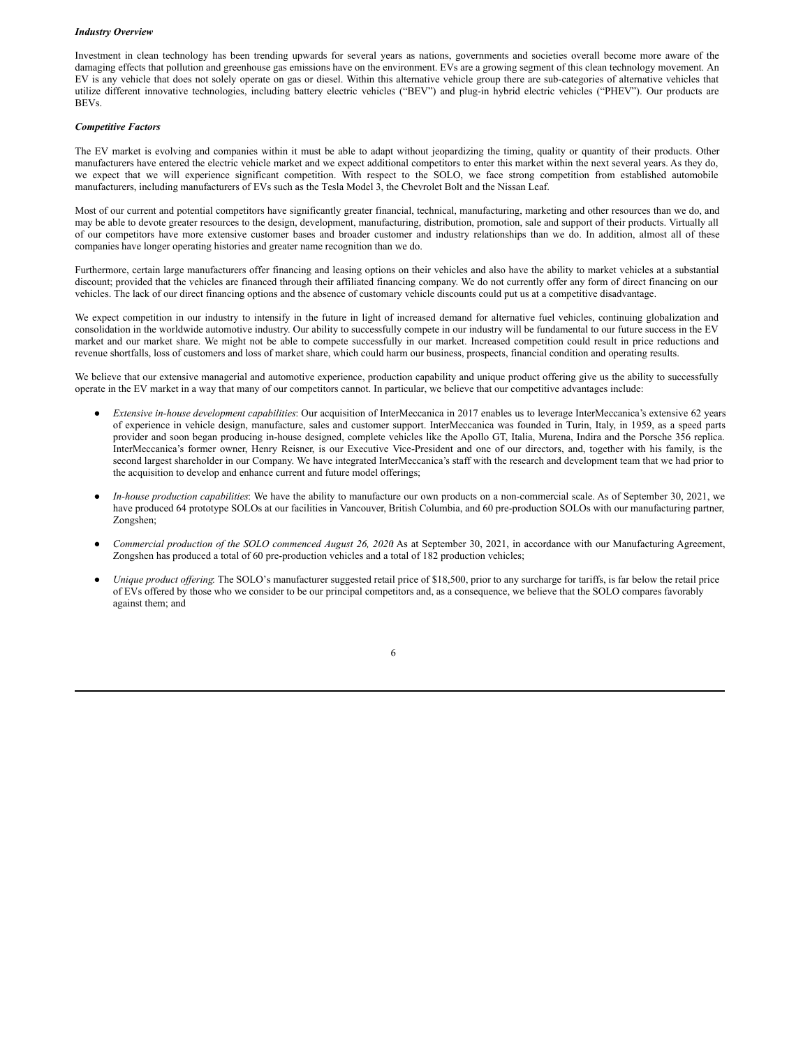#### *Industry Overview*

Investment in clean technology has been trending upwards for several years as nations, governments and societies overall become more aware of the damaging effects that pollution and greenhouse gas emissions have on the environment. EVs are a growing segment of this clean technology movement. An EV is any vehicle that does not solely operate on gas or diesel. Within this alternative vehicle group there are sub-categories of alternative vehicles that utilize different innovative technologies, including battery electric vehicles ("BEV") and plug-in hybrid electric vehicles ("PHEV"). Our products are BEVs.

#### *Competitive Factors*

The EV market is evolving and companies within it must be able to adapt without jeopardizing the timing, quality or quantity of their products. Other manufacturers have entered the electric vehicle market and we expect additional competitors to enter this market within the next several years. As they do, we expect that we will experience significant competition. With respect to the SOLO, we face strong competition from established automobile manufacturers, including manufacturers of EVs such as the Tesla Model 3, the Chevrolet Bolt and the Nissan Leaf.

Most of our current and potential competitors have significantly greater financial, technical, manufacturing, marketing and other resources than we do, and may be able to devote greater resources to the design, development, manufacturing, distribution, promotion, sale and support of their products. Virtually all of our competitors have more extensive customer bases and broader customer and industry relationships than we do. In addition, almost all of these companies have longer operating histories and greater name recognition than we do.

Furthermore, certain large manufacturers offer financing and leasing options on their vehicles and also have the ability to market vehicles at a substantial discount; provided that the vehicles are financed through their affiliated financing company. We do not currently offer any form of direct financing on our vehicles. The lack of our direct financing options and the absence of customary vehicle discounts could put us at a competitive disadvantage.

We expect competition in our industry to intensify in the future in light of increased demand for alternative fuel vehicles, continuing globalization and consolidation in the worldwide automotive industry. Our ability to successfully compete in our industry will be fundamental to our future success in the EV market and our market share. We might not be able to compete successfully in our market. Increased competition could result in price reductions and revenue shortfalls, loss of customers and loss of market share, which could harm our business, prospects, financial condition and operating results.

We believe that our extensive managerial and automotive experience, production capability and unique product offering give us the ability to successfully operate in the EV market in a way that many of our competitors cannot. In particular, we believe that our competitive advantages include:

- Extensive in-house development capabilities: Our acquisition of InterMeccanica in 2017 enables us to leverage InterMeccanica's extensive 62 years of experience in vehicle design, manufacture, sales and customer support. InterMeccanica was founded in Turin, Italy, in 1959, as a speed parts provider and soon began producing in-house designed, complete vehicles like the Apollo GT, Italia, Murena, Indira and the Porsche 356 replica. InterMeccanica's former owner, Henry Reisner, is our Executive Vice-President and one of our directors, and, together with his family, is the second largest shareholder in our Company. We have integrated InterMeccanica's staff with the research and development team that we had prior to the acquisition to develop and enhance current and future model offerings;
- *In-house production capabilities*: We have the ability to manufacture our own products on a non-commercial scale. As of September 30, 2021, we have produced 64 prototype SOLOs at our facilities in Vancouver, British Columbia, and 60 pre-production SOLOs with our manufacturing partner, Zongshen;
- *Commercial production of the SOLO commenced August 26, 2020*: As at September 30, 2021, in accordance with our Manufacturing Agreement, Zongshen has produced a total of 60 pre-production vehicles and a total of 182 production vehicles;
- *Unique product offering*: The SOLO's manufacturer suggested retail price of \$18,500, prior to any surcharge for tariffs, is far below the retail price of EVs offered by those who we consider to be our principal competitors and, as a consequence, we believe that the SOLO compares favorably against them; and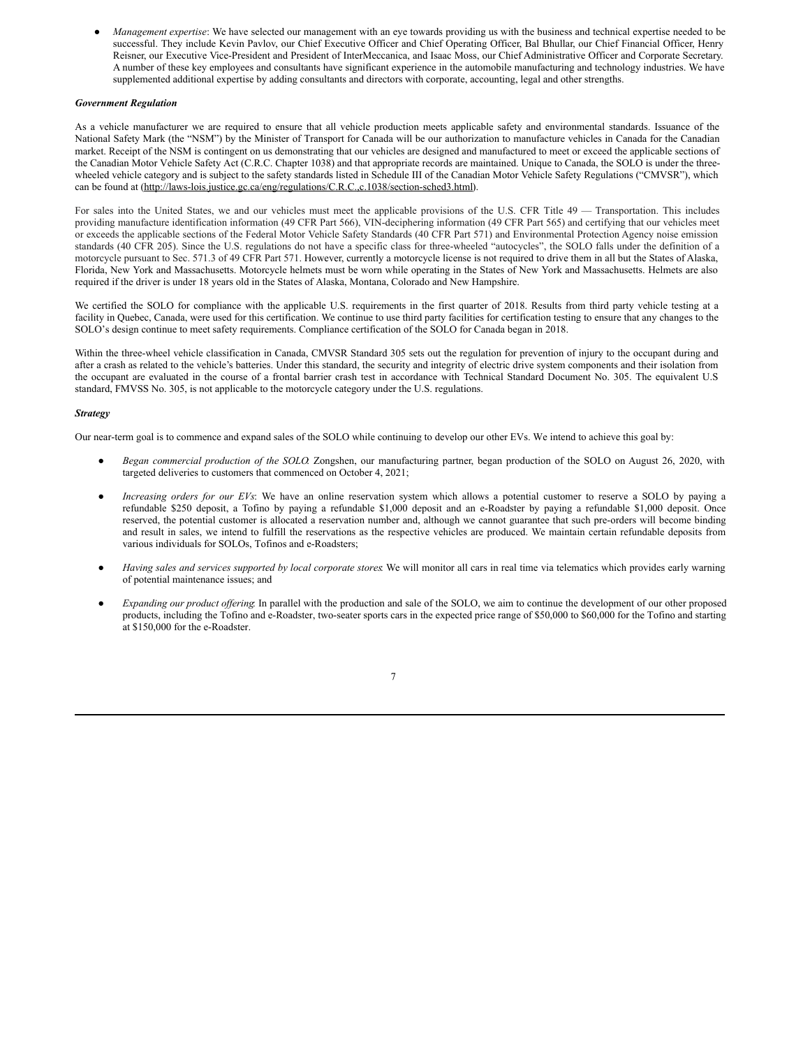*Management expertise*: We have selected our management with an eye towards providing us with the business and technical expertise needed to be successful. They include Kevin Pavlov, our Chief Executive Officer and Chief Operating Officer, Bal Bhullar, our Chief Financial Officer, Henry Reisner, our Executive Vice-President and President of InterMeccanica, and Isaac Moss, our Chief Administrative Officer and Corporate Secretary. A number of these key employees and consultants have significant experience in the automobile manufacturing and technology industries. We have supplemented additional expertise by adding consultants and directors with corporate, accounting, legal and other strengths.

## *Government Regulation*

As a vehicle manufacturer we are required to ensure that all vehicle production meets applicable safety and environmental standards. Issuance of the National Safety Mark (the "NSM") by the Minister of Transport for Canada will be our authorization to manufacture vehicles in Canada for the Canadian market. Receipt of the NSM is contingent on us demonstrating that our vehicles are designed and manufactured to meet or exceed the applicable sections of the Canadian Motor Vehicle Safety Act (C.R.C. Chapter 1038) and that appropriate records are maintained. Unique to Canada, the SOLO is under the threewheeled vehicle category and is subject to the safety standards listed in Schedule III of the Canadian Motor Vehicle Safety Regulations ("CMVSR"), which can be found at (http://laws-lois.justice.gc.ca/eng/regulations/C.R.C.,c.1038/section-sched3.html).

For sales into the United States, we and our vehicles must meet the applicable provisions of the U.S. CFR Title 49 — Transportation. This includes providing manufacture identification information (49 CFR Part 566), VIN-deciphering information (49 CFR Part 565) and certifying that our vehicles meet or exceeds the applicable sections of the Federal Motor Vehicle Safety Standards (40 CFR Part 571) and Environmental Protection Agency noise emission standards (40 CFR 205). Since the U.S. regulations do not have a specific class for three-wheeled "autocycles", the SOLO falls under the definition of a motorcycle pursuant to Sec. 571.3 of 49 CFR Part 571. However, currently a motorcycle license is not required to drive them in all but the States of Alaska, Florida, New York and Massachusetts. Motorcycle helmets must be worn while operating in the States of New York and Massachusetts. Helmets are also required if the driver is under 18 years old in the States of Alaska, Montana, Colorado and New Hampshire.

We certified the SOLO for compliance with the applicable U.S. requirements in the first quarter of 2018. Results from third party vehicle testing at a facility in Quebec, Canada, were used for this certification. We continue to use third party facilities for certification testing to ensure that any changes to the SOLO's design continue to meet safety requirements. Compliance certification of the SOLO for Canada began in 2018.

Within the three-wheel vehicle classification in Canada, CMVSR Standard 305 sets out the regulation for prevention of injury to the occupant during and after a crash as related to the vehicle's batteries. Under this standard, the security and integrity of electric drive system components and their isolation from the occupant are evaluated in the course of a frontal barrier crash test in accordance with Technical Standard Document No. 305. The equivalent U.S standard, FMVSS No. 305, is not applicable to the motorcycle category under the U.S. regulations.

#### *Strategy*

Our near-term goal is to commence and expand sales of the SOLO while continuing to develop our other EVs. We intend to achieve this goal by:

- *Began commercial production of the SOLO*: Zongshen, our manufacturing partner, began production of the SOLO on August 26, 2020, with targeted deliveries to customers that commenced on October 4, 2021;
- *Increasing orders for our EVs*: We have an online reservation system which allows a potential customer to reserve a SOLO by paying a refundable \$250 deposit, a Tofino by paying a refundable \$1,000 deposit and an e-Roadster by paying a refundable \$1,000 deposit. Once reserved, the potential customer is allocated a reservation number and, although we cannot guarantee that such pre-orders will become binding and result in sales, we intend to fulfill the reservations as the respective vehicles are produced. We maintain certain refundable deposits from various individuals for SOLOs, Tofinos and e-Roadsters;
- *Having sales and services supported by local corporate stores*: We will monitor all cars in real time via telematics which provides early warning of potential maintenance issues; and
- Expanding our product offering. In parallel with the production and sale of the SOLO, we aim to continue the development of our other proposed products, including the Tofino and e-Roadster, two-seater sports cars in the expected price range of \$50,000 to \$60,000 for the Tofino and starting at \$150,000 for the e-Roadster.

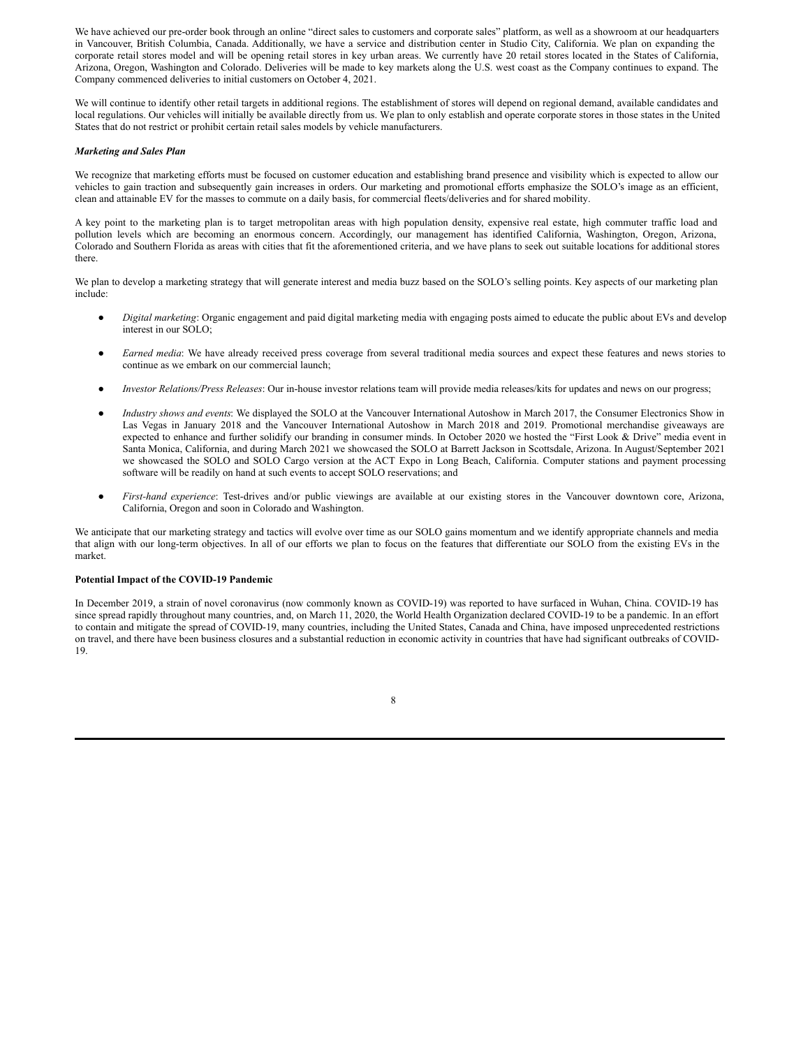We have achieved our pre-order book through an online "direct sales to customers and corporate sales" platform, as well as a showroom at our headquarters in Vancouver, British Columbia, Canada. Additionally, we have a service and distribution center in Studio City, California. We plan on expanding the corporate retail stores model and will be opening retail stores in key urban areas. We currently have 20 retail stores located in the States of California, Arizona, Oregon, Washington and Colorado. Deliveries will be made to key markets along the U.S. west coast as the Company continues to expand. The Company commenced deliveries to initial customers on October 4, 2021.

We will continue to identify other retail targets in additional regions. The establishment of stores will depend on regional demand, available candidates and local regulations. Our vehicles will initially be available directly from us. We plan to only establish and operate corporate stores in those states in the United States that do not restrict or prohibit certain retail sales models by vehicle manufacturers.

#### *Marketing and Sales Plan*

We recognize that marketing efforts must be focused on customer education and establishing brand presence and visibility which is expected to allow our vehicles to gain traction and subsequently gain increases in orders. Our marketing and promotional efforts emphasize the SOLO's image as an efficient, clean and attainable EV for the masses to commute on a daily basis, for commercial fleets/deliveries and for shared mobility.

A key point to the marketing plan is to target metropolitan areas with high population density, expensive real estate, high commuter traffic load and pollution levels which are becoming an enormous concern. Accordingly, our management has identified California, Washington, Oregon, Arizona, Colorado and Southern Florida as areas with cities that fit the aforementioned criteria, and we have plans to seek out suitable locations for additional stores there.

We plan to develop a marketing strategy that will generate interest and media buzz based on the SOLO's selling points. Key aspects of our marketing plan include:

- *Digital marketing*: Organic engagement and paid digital marketing media with engaging posts aimed to educate the public about EVs and develop interest in our SOLO;
- Earned media: We have already received press coverage from several traditional media sources and expect these features and news stories to continue as we embark on our commercial launch;
- *Investor Relations/Press Releases*: Our in-house investor relations team will provide media releases/kits for updates and news on our progress;
- *Industry shows and events*: We displayed the SOLO at the Vancouver International Autoshow in March 2017, the Consumer Electronics Show in Las Vegas in January 2018 and the Vancouver International Autoshow in March 2018 and 2019. Promotional merchandise giveaways are expected to enhance and further solidify our branding in consumer minds. In October 2020 we hosted the "First Look & Drive" media event in Santa Monica, California, and during March 2021 we showcased the SOLO at Barrett Jackson in Scottsdale, Arizona. In August/September 2021 we showcased the SOLO and SOLO Cargo version at the ACT Expo in Long Beach, California. Computer stations and payment processing software will be readily on hand at such events to accept SOLO reservations; and
- First-hand experience: Test-drives and/or public viewings are available at our existing stores in the Vancouver downtown core, Arizona, California, Oregon and soon in Colorado and Washington.

We anticipate that our marketing strategy and tactics will evolve over time as our SOLO gains momentum and we identify appropriate channels and media that align with our long-term objectives. In all of our efforts we plan to focus on the features that differentiate our SOLO from the existing EVs in the market.

## **Potential Impact of the COVID-19 Pandemic**

In December 2019, a strain of novel coronavirus (now commonly known as COVID-19) was reported to have surfaced in Wuhan, China. COVID-19 has since spread rapidly throughout many countries, and, on March 11, 2020, the World Health Organization declared COVID-19 to be a pandemic. In an effort to contain and mitigate the spread of COVID-19, many countries, including the United States, Canada and China, have imposed unprecedented restrictions on travel, and there have been business closures and a substantial reduction in economic activity in countries that have had significant outbreaks of COVID-19.

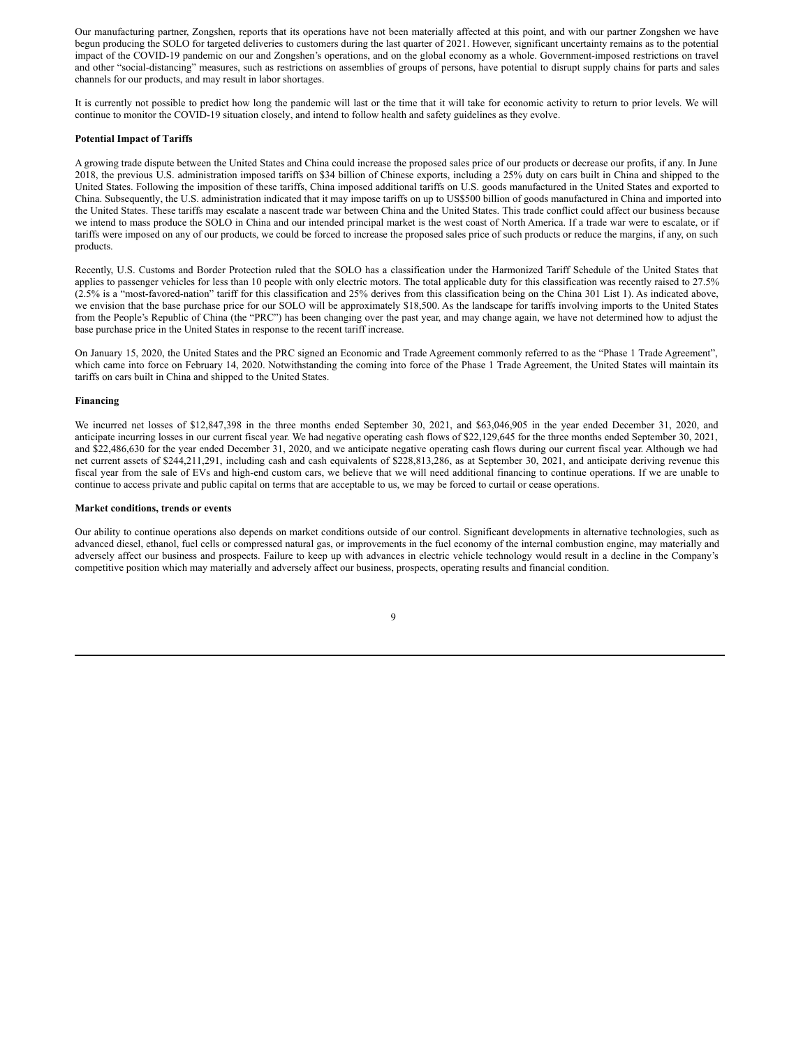Our manufacturing partner, Zongshen, reports that its operations have not been materially affected at this point, and with our partner Zongshen we have begun producing the SOLO for targeted deliveries to customers during the last quarter of 2021. However, significant uncertainty remains as to the potential impact of the COVID-19 pandemic on our and Zongshen's operations, and on the global economy as a whole. Government-imposed restrictions on travel and other "social-distancing" measures, such as restrictions on assemblies of groups of persons, have potential to disrupt supply chains for parts and sales channels for our products, and may result in labor shortages.

It is currently not possible to predict how long the pandemic will last or the time that it will take for economic activity to return to prior levels. We will continue to monitor the COVID-19 situation closely, and intend to follow health and safety guidelines as they evolve.

#### **Potential Impact of Tariffs**

A growing trade dispute between the United States and China could increase the proposed sales price of our products or decrease our profits, if any. In June 2018, the previous U.S. administration imposed tariffs on \$34 billion of Chinese exports, including a 25% duty on cars built in China and shipped to the United States. Following the imposition of these tariffs, China imposed additional tariffs on U.S. goods manufactured in the United States and exported to China. Subsequently, the U.S. administration indicated that it may impose tariffs on up to US\$500 billion of goods manufactured in China and imported into the United States. These tariffs may escalate a nascent trade war between China and the United States. This trade conflict could affect our business because we intend to mass produce the SOLO in China and our intended principal market is the west coast of North America. If a trade war were to escalate, or if tariffs were imposed on any of our products, we could be forced to increase the proposed sales price of such products or reduce the margins, if any, on such products.

Recently, U.S. Customs and Border Protection ruled that the SOLO has a classification under the Harmonized Tariff Schedule of the United States that applies to passenger vehicles for less than 10 people with only electric motors. The total applicable duty for this classification was recently raised to 27.5% (2.5% is a "most-favored-nation" tariff for this classification and 25% derives from this classification being on the China 301 List 1). As indicated above, we envision that the base purchase price for our SOLO will be approximately \$18,500. As the landscape for tariffs involving imports to the United States from the People's Republic of China (the "PRC") has been changing over the past year, and may change again, we have not determined how to adjust the base purchase price in the United States in response to the recent tariff increase.

On January 15, 2020, the United States and the PRC signed an Economic and Trade Agreement commonly referred to as the "Phase 1 Trade Agreement", which came into force on February 14, 2020. Notwithstanding the coming into force of the Phase 1 Trade Agreement, the United States will maintain its tariffs on cars built in China and shipped to the United States.

#### **Financing**

We incurred net losses of \$12,847,398 in the three months ended September 30, 2021, and \$63,046,905 in the year ended December 31, 2020, and anticipate incurring losses in our current fiscal year. We had negative operating cash flows of \$22,129,645 for the three months ended September 30, 2021, and \$22,486,630 for the year ended December 31, 2020, and we anticipate negative operating cash flows during our current fiscal year. Although we had net current assets of \$244,211,291, including cash and cash equivalents of \$228,813,286, as at September 30, 2021, and anticipate deriving revenue this fiscal year from the sale of EVs and high-end custom cars, we believe that we will need additional financing to continue operations. If we are unable to continue to access private and public capital on terms that are acceptable to us, we may be forced to curtail or cease operations.

#### **Market conditions, trends or events**

Our ability to continue operations also depends on market conditions outside of our control. Significant developments in alternative technologies, such as advanced diesel, ethanol, fuel cells or compressed natural gas, or improvements in the fuel economy of the internal combustion engine, may materially and adversely affect our business and prospects. Failure to keep up with advances in electric vehicle technology would result in a decline in the Company's competitive position which may materially and adversely affect our business, prospects, operating results and financial condition.

| I  |         |  |
|----|---------|--|
|    |         |  |
|    |         |  |
|    | ¢<br>۰. |  |
| ۰, | ۰.      |  |
|    |         |  |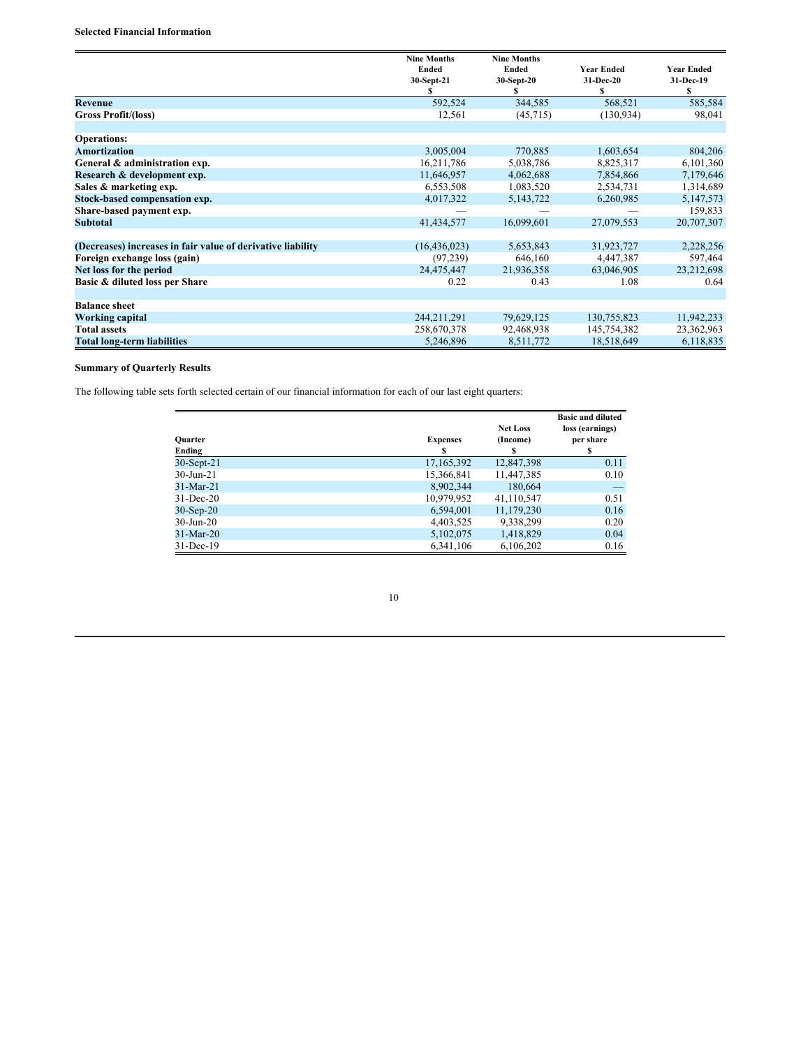# **Selected Financial Information**

|                                                             | <b>Nine Months</b> | <b>Nine Months</b> |                   |                   |
|-------------------------------------------------------------|--------------------|--------------------|-------------------|-------------------|
|                                                             | Ended              | <b>Ended</b>       | <b>Year Ended</b> | <b>Year Ended</b> |
|                                                             | 30-Sept-21         | 30-Sept-20         | 31-Dec-20         | 31-Dec-19         |
|                                                             |                    |                    | s                 | s                 |
| <b>Revenue</b>                                              | 592,524            | 344,585            | 568,521           | 585,584           |
| <b>Gross Profit/(loss)</b>                                  | 12,561             | (45, 715)          | (130, 934)        | 98,041            |
|                                                             |                    |                    |                   |                   |
| <b>Operations:</b>                                          |                    |                    |                   |                   |
| <b>Amortization</b>                                         | 3,005,004          | 770,885            | 1,603,654         | 804,206           |
| General & administration exp.                               | 16,211,786         | 5,038,786          | 8,825,317         | 6,101,360         |
| Research & development exp.                                 | 11,646,957         | 4,062,688          | 7,854,866         | 7,179,646         |
| Sales & marketing exp.                                      | 6,553,508          | 1,083,520          | 2,534,731         | 1,314,689         |
| Stock-based compensation exp.                               | 4,017,322          | 5,143,722          | 6,260,985         | 5,147,573         |
| Share-based payment exp.                                    |                    |                    |                   | 159,833           |
| <b>Subtotal</b>                                             | 41,434,577         | 16,099,601         | 27,079,553        | 20,707,307        |
|                                                             |                    |                    |                   |                   |
| (Decreases) increases in fair value of derivative liability | (16, 436, 023)     | 5,653,843          | 31,923,727        | 2,228,256         |
| Foreign exchange loss (gain)                                | (97, 239)          | 646,160            | 4,447,387         | 597,464           |
| Net loss for the period                                     | 24,475,447         | 21,936,358         | 63,046,905        | 23,212,698        |
| Basic & diluted loss per Share                              | 0.22               | 0.43               | 1.08              | 0.64              |
|                                                             |                    |                    |                   |                   |
| <b>Balance sheet</b>                                        |                    |                    |                   |                   |
| Working capital                                             | 244, 211, 291      | 79,629,125         | 130,755,823       | 11,942,233        |
| <b>Total assets</b>                                         | 258,670,378        | 92,468,938         | 145,754,382       | 23,362,963        |
| <b>Total long-term liabilities</b>                          | 5,246,896          | 8,511,772          | 18,518,649        | 6,118,835         |

# **Summary of Quarterly Results**

The following table sets forth selected certain of our financial information for each of our last eight quarters:

|                        |                 | <b>Net Loss</b> | <b>Basic and diluted</b><br>loss (earnings) |
|------------------------|-----------------|-----------------|---------------------------------------------|
| <b>Quarter</b>         | <b>Expenses</b> | (Income)        | per share                                   |
| Ending                 |                 |                 | \$                                          |
| $30-S$ ept $-21$       | 17,165,392      | 12,847,398      | 0.11                                        |
| 30-Jun-21              | 15,366,841      | 11,447,385      | 0.10                                        |
| $31-Mar-21$            | 8,902,344       | 180,664         |                                             |
| $31$ -Dec-20           | 10,979,952      | 41,110,547      | 0.51                                        |
| $30-Sep-20$            | 6,594,001       | 11,179,230      | 0.16                                        |
| $30 - \text{Jun} - 20$ | 4,403,525       | 9,338,299       | 0.20                                        |
| 31-Mar-20              | 5,102,075       | 1,418,829       | 0.04                                        |
| $31$ -Dec-19           | 6,341,106       | 6,106,202       | 0.16                                        |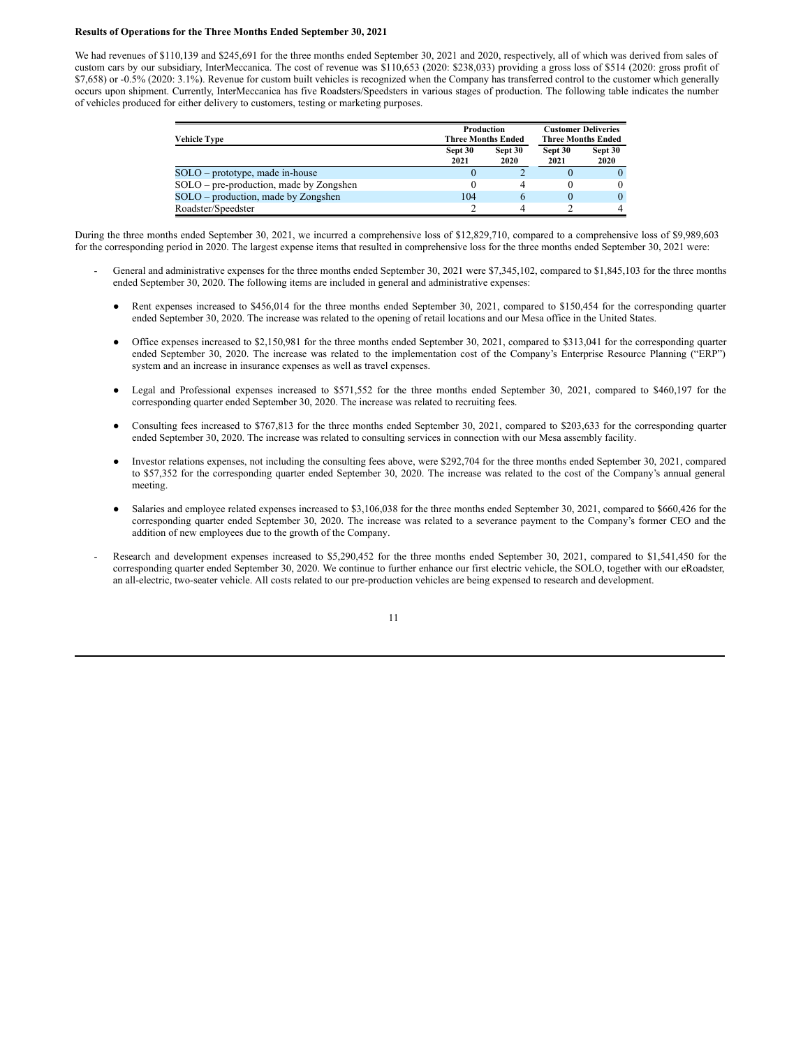#### **Results of Operations for the Three Months Ended September 30, 2021**

We had revenues of \$110,139 and \$245,691 for the three months ended September 30, 2021 and 2020, respectively, all of which was derived from sales of custom cars by our subsidiary, InterMeccanica. The cost of revenue was \$110,653 (2020: \$238,033) providing a gross loss of \$514 (2020: gross profit of \$7,658) or -0.5% (2020: 3.1%). Revenue for custom built vehicles is recognized when the Company has transferred control to the customer which generally occurs upon shipment. Currently, InterMeccanica has five Roadsters/Speedsters in various stages of production. The following table indicates the number of vehicles produced for either delivery to customers, testing or marketing purposes.

|                                                  | Production      | <b>Customer Deliveries</b> |                           |                 |
|--------------------------------------------------|-----------------|----------------------------|---------------------------|-----------------|
| <b>Three Months Ended</b><br><b>Vehicle Type</b> |                 |                            | <b>Three Months Ended</b> |                 |
|                                                  | Sept 30<br>2021 | Sept 30<br>2020            | Sept 30<br>2021           | Sept 30<br>2020 |
| $S OLO$ – prototype, made in-house               |                 |                            |                           |                 |
| SOLO – pre-production, made by Zongshen          |                 |                            |                           |                 |
| SOLO – production, made by Zongshen              | 104             | 6                          |                           |                 |
| Roadster/Speedster                               |                 |                            |                           |                 |

During the three months ended September 30, 2021, we incurred a comprehensive loss of \$12,829,710, compared to a comprehensive loss of \$9,989,603 for the corresponding period in 2020. The largest expense items that resulted in comprehensive loss for the three months ended September 30, 2021 were:

- General and administrative expenses for the three months ended September 30, 2021 were \$7,345,102, compared to \$1,845,103 for the three months ended September 30, 2020. The following items are included in general and administrative expenses:
	- Rent expenses increased to \$456,014 for the three months ended September 30, 2021, compared to \$150,454 for the corresponding quarter ended September 30, 2020. The increase was related to the opening of retail locations and our Mesa office in the United States.
	- Office expenses increased to \$2,150,981 for the three months ended September 30, 2021, compared to \$313,041 for the corresponding quarter ended September 30, 2020. The increase was related to the implementation cost of the Company's Enterprise Resource Planning ("ERP") system and an increase in insurance expenses as well as travel expenses.
	- Legal and Professional expenses increased to \$571,552 for the three months ended September 30, 2021, compared to \$460,197 for the corresponding quarter ended September 30, 2020. The increase was related to recruiting fees.
	- Consulting fees increased to \$767,813 for the three months ended September 30, 2021, compared to \$203,633 for the corresponding quarter ended September 30, 2020. The increase was related to consulting services in connection with our Mesa assembly facility.
	- Investor relations expenses, not including the consulting fees above, were \$292,704 for the three months ended September 30, 2021, compared to \$57,352 for the corresponding quarter ended September 30, 2020. The increase was related to the cost of the Company's annual general meeting.
	- Salaries and employee related expenses increased to \$3,106,038 for the three months ended September 30, 2021, compared to \$660,426 for the corresponding quarter ended September 30, 2020. The increase was related to a severance payment to the Company's former CEO and the addition of new employees due to the growth of the Company.
- Research and development expenses increased to \$5,290,452 for the three months ended September 30, 2021, compared to \$1,541,450 for the corresponding quarter ended September 30, 2020. We continue to further enhance our first electric vehicle, the SOLO, together with our eRoadster, an all-electric, two-seater vehicle. All costs related to our pre-production vehicles are being expensed to research and development.

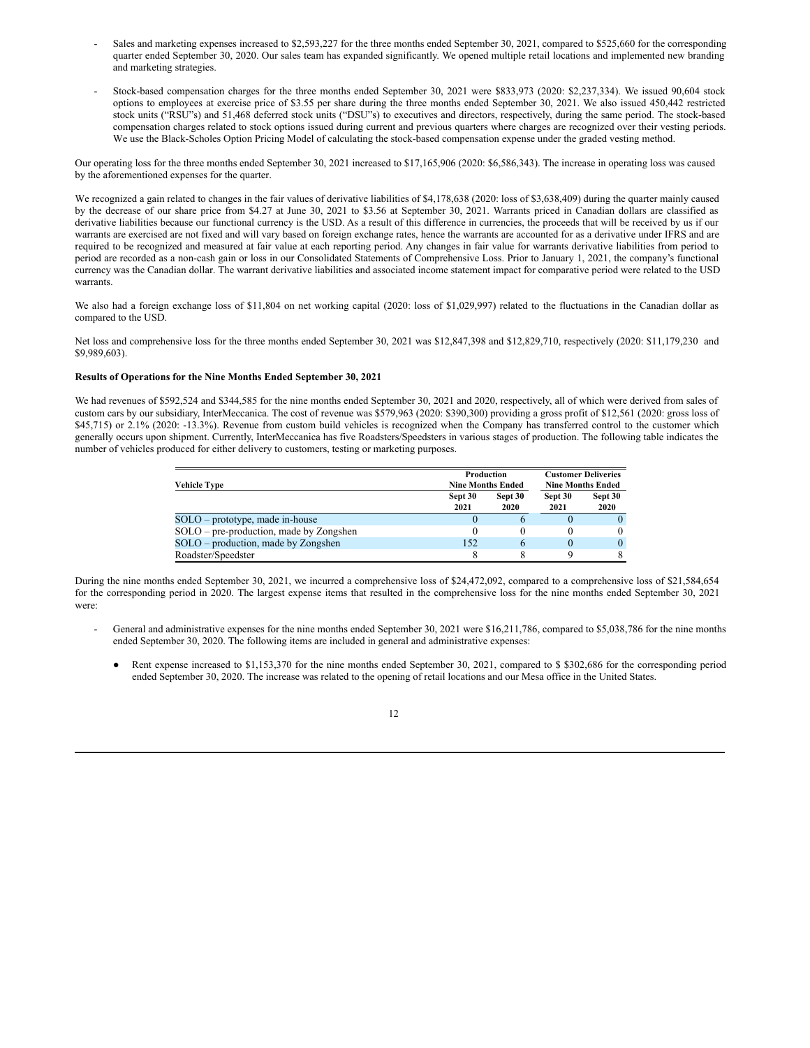- Sales and marketing expenses increased to \$2,593,227 for the three months ended September 30, 2021, compared to \$525,660 for the corresponding quarter ended September 30, 2020. Our sales team has expanded significantly. We opened multiple retail locations and implemented new branding and marketing strategies.
- Stock-based compensation charges for the three months ended September 30, 2021 were \$833,973 (2020: \$2,237,334). We issued 90,604 stock options to employees at exercise price of \$3.55 per share during the three months ended September 30, 2021. We also issued 450,442 restricted stock units ("RSU"s) and 51,468 deferred stock units ("DSU"s) to executives and directors, respectively, during the same period. The stock-based compensation charges related to stock options issued during current and previous quarters where charges are recognized over their vesting periods. We use the Black-Scholes Option Pricing Model of calculating the stock-based compensation expense under the graded vesting method.

Our operating loss for the three months ended September 30, 2021 increased to \$17,165,906 (2020: \$6,586,343). The increase in operating loss was caused by the aforementioned expenses for the quarter.

We recognized a gain related to changes in the fair values of derivative liabilities of \$4,178,638 (2020: loss of \$3,638,409) during the quarter mainly caused by the decrease of our share price from \$4.27 at June 30, 2021 to \$3.56 at September 30, 2021. Warrants priced in Canadian dollars are classified as derivative liabilities because our functional currency is the USD. As a result of this difference in currencies, the proceeds that will be received by us if our warrants are exercised are not fixed and will vary based on foreign exchange rates, hence the warrants are accounted for as a derivative under IFRS and are required to be recognized and measured at fair value at each reporting period. Any changes in fair value for warrants derivative liabilities from period to period are recorded as a non-cash gain or loss in our Consolidated Statements of Comprehensive Loss. Prior to January 1, 2021, the company's functional currency was the Canadian dollar. The warrant derivative liabilities and associated income statement impact for comparative period were related to the USD warrants.

We also had a foreign exchange loss of \$11,804 on net working capital (2020: loss of \$1,029,997) related to the fluctuations in the Canadian dollar as compared to the USD.

Net loss and comprehensive loss for the three months ended September 30, 2021 was \$12,847,398 and \$12,829,710, respectively (2020: \$11,179,230 and \$9,989,603).

## **Results of Operations for the Nine Months Ended September 30, 2021**

We had revenues of \$592,524 and \$344,585 for the nine months ended September 30, 2021 and 2020, respectively, all of which were derived from sales of custom cars by our subsidiary, InterMeccanica. The cost of revenue was \$579,963 (2020: \$390,300) providing a gross profit of \$12,561 (2020: gross loss of \$45,715) or 2.1% (2020: -13.3%). Revenue from custom build vehicles is recognized when the Company has transferred control to the customer which generally occurs upon shipment. Currently, InterMeccanica has five Roadsters/Speedsters in various stages of production. The following table indicates the number of vehicles produced for either delivery to customers, testing or marketing purposes.

|                                                 | Production      | <b>Customer Deliveries</b> |                 |                 |  |
|-------------------------------------------------|-----------------|----------------------------|-----------------|-----------------|--|
| <b>Nine Months Ended</b><br><b>Vehicle Type</b> |                 | <b>Nine Months Ended</b>   |                 |                 |  |
|                                                 | Sept 30<br>2021 | Sept 30<br>2020            | Sept 30<br>2021 | Sept 30<br>2020 |  |
| $S OLO$ – prototype, made in-house              | $_{0}$          | o                          | $_{0}$          |                 |  |
| SOLO – pre-production, made by Zongshen         | $_{0}$          | $^{(1)}$                   |                 |                 |  |
| SOLO – production, made by Zongshen             | 152             | 6                          | $\theta$        |                 |  |
| Roadster/Speedster                              |                 |                            |                 |                 |  |

During the nine months ended September 30, 2021, we incurred a comprehensive loss of \$24,472,092, compared to a comprehensive loss of \$21,584,654 for the corresponding period in 2020. The largest expense items that resulted in the comprehensive loss for the nine months ended September 30, 2021 were:

- General and administrative expenses for the nine months ended September 30, 2021 were \$16,211,786, compared to \$5,038,786 for the nine months ended September 30, 2020. The following items are included in general and administrative expenses:
	- Rent expense increased to \$1,153,370 for the nine months ended September 30, 2021, compared to \$ \$302,686 for the corresponding period ended September 30, 2020. The increase was related to the opening of retail locations and our Mesa office in the United States.

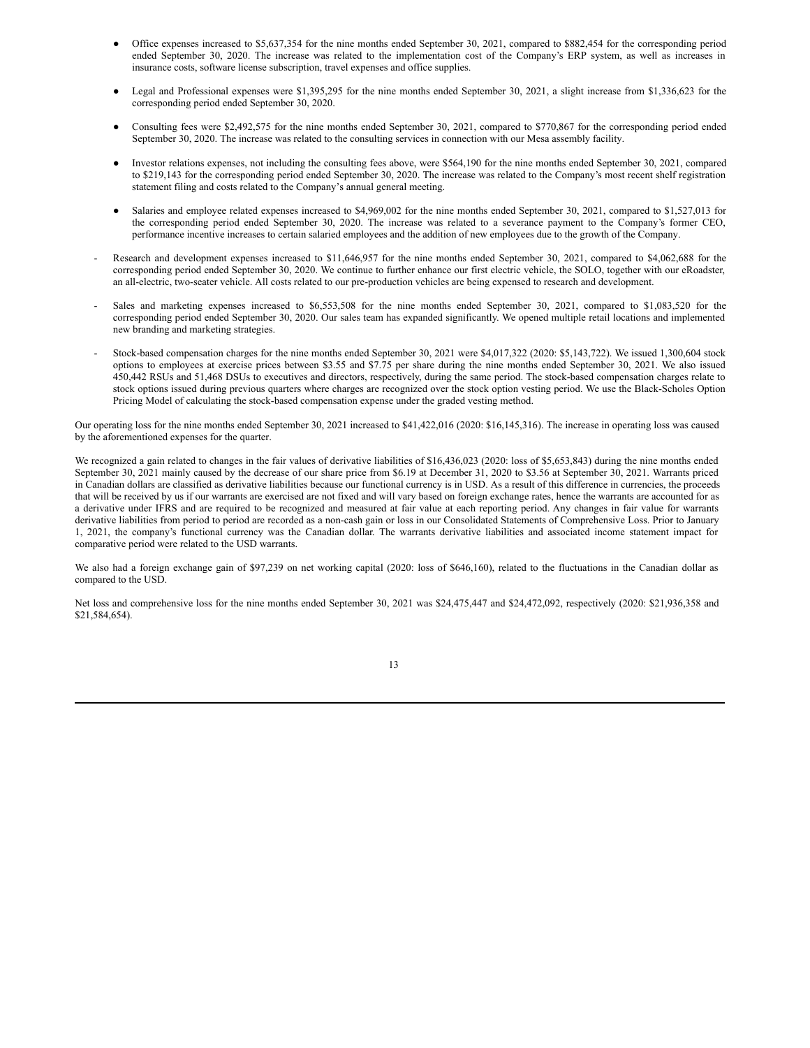- Office expenses increased to \$5,637,354 for the nine months ended September 30, 2021, compared to \$882,454 for the corresponding period ended September 30, 2020. The increase was related to the implementation cost of the Company's ERP system, as well as increases in insurance costs, software license subscription, travel expenses and office supplies.
- Legal and Professional expenses were \$1,395,295 for the nine months ended September 30, 2021, a slight increase from \$1,336,623 for the corresponding period ended September 30, 2020.
- Consulting fees were \$2,492,575 for the nine months ended September 30, 2021, compared to \$770,867 for the corresponding period ended September 30, 2020. The increase was related to the consulting services in connection with our Mesa assembly facility.
- Investor relations expenses, not including the consulting fees above, were \$564,190 for the nine months ended September 30, 2021, compared to \$219,143 for the corresponding period ended September 30, 2020. The increase was related to the Company's most recent shelf registration statement filing and costs related to the Company's annual general meeting.
- Salaries and employee related expenses increased to \$4,969,002 for the nine months ended September 30, 2021, compared to \$1,527,013 for the corresponding period ended September 30, 2020. The increase was related to a severance payment to the Company's former CEO, performance incentive increases to certain salaried employees and the addition of new employees due to the growth of the Company.
- Research and development expenses increased to \$11,646,957 for the nine months ended September 30, 2021, compared to \$4,062,688 for the corresponding period ended September 30, 2020. We continue to further enhance our first electric vehicle, the SOLO, together with our eRoadster, an all-electric, two-seater vehicle. All costs related to our pre-production vehicles are being expensed to research and development.
- Sales and marketing expenses increased to \$6,553,508 for the nine months ended September 30, 2021, compared to \$1,083,520 for the corresponding period ended September 30, 2020. Our sales team has expanded significantly. We opened multiple retail locations and implemented new branding and marketing strategies.
- Stock-based compensation charges for the nine months ended September 30, 2021 were \$4,017,322 (2020: \$5,143,722). We issued 1,300,604 stock options to employees at exercise prices between \$3.55 and \$7.75 per share during the nine months ended September 30, 2021. We also issued 450,442 RSUs and 51,468 DSUs to executives and directors, respectively, during the same period. The stock-based compensation charges relate to stock options issued during previous quarters where charges are recognized over the stock option vesting period. We use the Black-Scholes Option Pricing Model of calculating the stock-based compensation expense under the graded vesting method.

Our operating loss for the nine months ended September 30, 2021 increased to \$41,422,016 (2020: \$16,145,316). The increase in operating loss was caused by the aforementioned expenses for the quarter.

We recognized a gain related to changes in the fair values of derivative liabilities of \$16,436,023 (2020: loss of \$5,653,843) during the nine months ended September 30, 2021 mainly caused by the decrease of our share price from \$6.19 at December 31, 2020 to \$3.56 at September 30, 2021. Warrants priced in Canadian dollars are classified as derivative liabilities because our functional currency is in USD. As a result of this difference in currencies, the proceeds that will be received by us if our warrants are exercised are not fixed and will vary based on foreign exchange rates, hence the warrants are accounted for as a derivative under IFRS and are required to be recognized and measured at fair value at each reporting period. Any changes in fair value for warrants derivative liabilities from period to period are recorded as a non-cash gain or loss in our Consolidated Statements of Comprehensive Loss. Prior to January 1, 2021, the company's functional currency was the Canadian dollar. The warrants derivative liabilities and associated income statement impact for comparative period were related to the USD warrants.

We also had a foreign exchange gain of \$97,239 on net working capital (2020: loss of \$646,160), related to the fluctuations in the Canadian dollar as compared to the USD.

Net loss and comprehensive loss for the nine months ended September 30, 2021 was \$24,475,447 and \$24,472,092, respectively (2020: \$21,936,358 and \$21,584,654).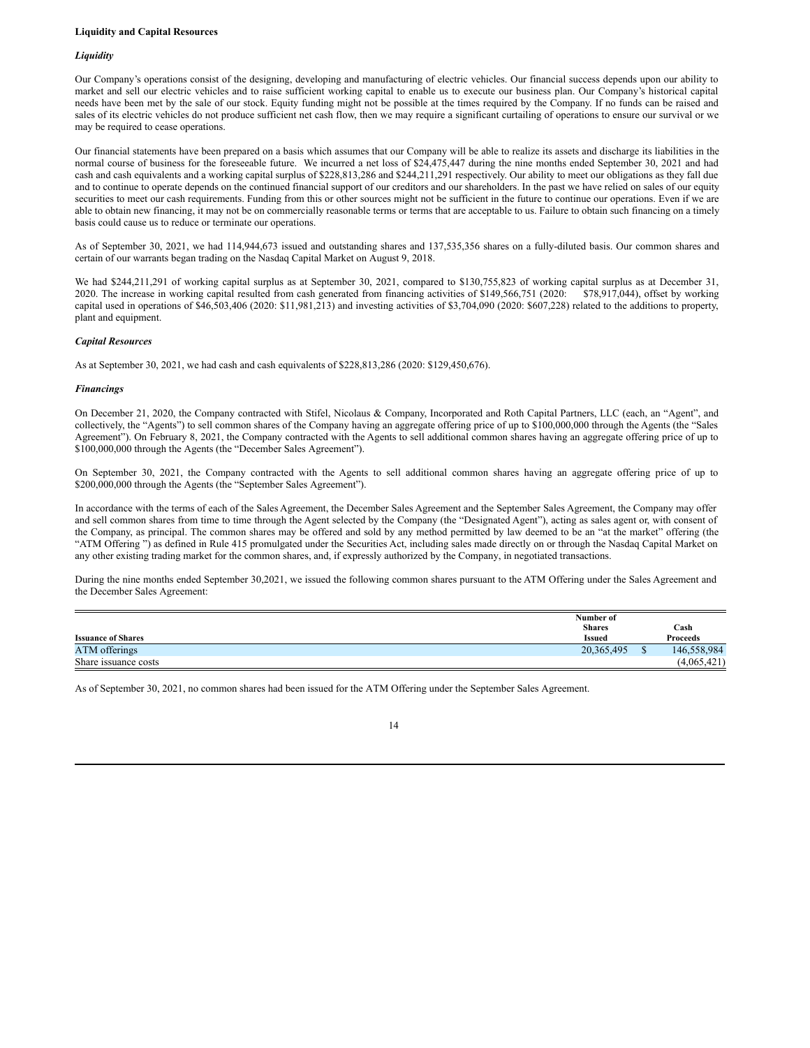#### **Liquidity and Capital Resources**

#### *Liquidity*

Our Company's operations consist of the designing, developing and manufacturing of electric vehicles. Our financial success depends upon our ability to market and sell our electric vehicles and to raise sufficient working capital to enable us to execute our business plan. Our Company's historical capital needs have been met by the sale of our stock. Equity funding might not be possible at the times required by the Company. If no funds can be raised and sales of its electric vehicles do not produce sufficient net cash flow, then we may require a significant curtailing of operations to ensure our survival or we may be required to cease operations.

Our financial statements have been prepared on a basis which assumes that our Company will be able to realize its assets and discharge its liabilities in the normal course of business for the foreseeable future. We incurred a net loss of \$24,475,447 during the nine months ended September 30, 2021 and had cash and cash equivalents and a working capital surplus of \$228,813,286 and \$244,211,291 respectively. Our ability to meet our obligations as they fall due and to continue to operate depends on the continued financial support of our creditors and our shareholders. In the past we have relied on sales of our equity securities to meet our cash requirements. Funding from this or other sources might not be sufficient in the future to continue our operations. Even if we are able to obtain new financing, it may not be on commercially reasonable terms or terms that are acceptable to us. Failure to obtain such financing on a timely basis could cause us to reduce or terminate our operations.

As of September 30, 2021, we had 114,944,673 issued and outstanding shares and 137,535,356 shares on a fully-diluted basis. Our common shares and certain of our warrants began trading on the Nasdaq Capital Market on August 9, 2018.

We had \$244,211,291 of working capital surplus as at September 30, 2021, compared to \$130,755,823 of working capital surplus as at December 31, 2020. The increase in working capital resulted from cash generated from financing activities of \$149,566,751 (2020: \$78,917,044), offset by working capital used in operations of \$46,503,406 (2020: \$11,981,213) and investing activities of \$3,704,090 (2020: \$607,228) related to the additions to property, plant and equipment.

#### *Capital Resources*

As at September 30, 2021, we had cash and cash equivalents of \$228,813,286 (2020: \$129,450,676).

#### *Financings*

On December 21, 2020, the Company contracted with Stifel, Nicolaus & Company, Incorporated and Roth Capital Partners, LLC (each, an "Agent", and collectively, the "Agents") to sell common shares of the Company having an aggregate offering price of up to \$100,000,000 through the Agents (the "Sales Agreement"). On February 8, 2021, the Company contracted with the Agents to sell additional common shares having an aggregate offering price of up to \$100,000,000 through the Agents (the "December Sales Agreement").

On September 30, 2021, the Company contracted with the Agents to sell additional common shares having an aggregate offering price of up to \$200,000,000 through the Agents (the "September Sales Agreement").

In accordance with the terms of each of the Sales Agreement, the December Sales Agreement and the September Sales Agreement, the Company may offer and sell common shares from time to time through the Agent selected by the Company (the "Designated Agent"), acting as sales agent or, with consent of the Company, as principal. The common shares may be offered and sold by any method permitted by law deemed to be an "at the market" offering (the "ATM Offering ") as defined in Rule 415 promulgated under the Securities Act, including sales made directly on or through the Nasdaq Capital Market on any other existing trading market for the common shares, and, if expressly authorized by the Company, in negotiated transactions.

During the nine months ended September 30,2021, we issued the following common shares pursuant to the ATM Offering under the Sales Agreement and the December Sales Agreement:

|                           | Number of                 |                 |
|---------------------------|---------------------------|-----------------|
|                           | <b>Shares</b>             | Cash            |
| <b>Issuance of Shares</b> | <b>Issued</b>             | <b>Proceeds</b> |
| ATM offerings             | 20,365,495<br>$\triangle$ | 146,558,984     |
| Share issuance costs      |                           | (4,065,421)     |

As of September 30, 2021, no common shares had been issued for the ATM Offering under the September Sales Agreement.

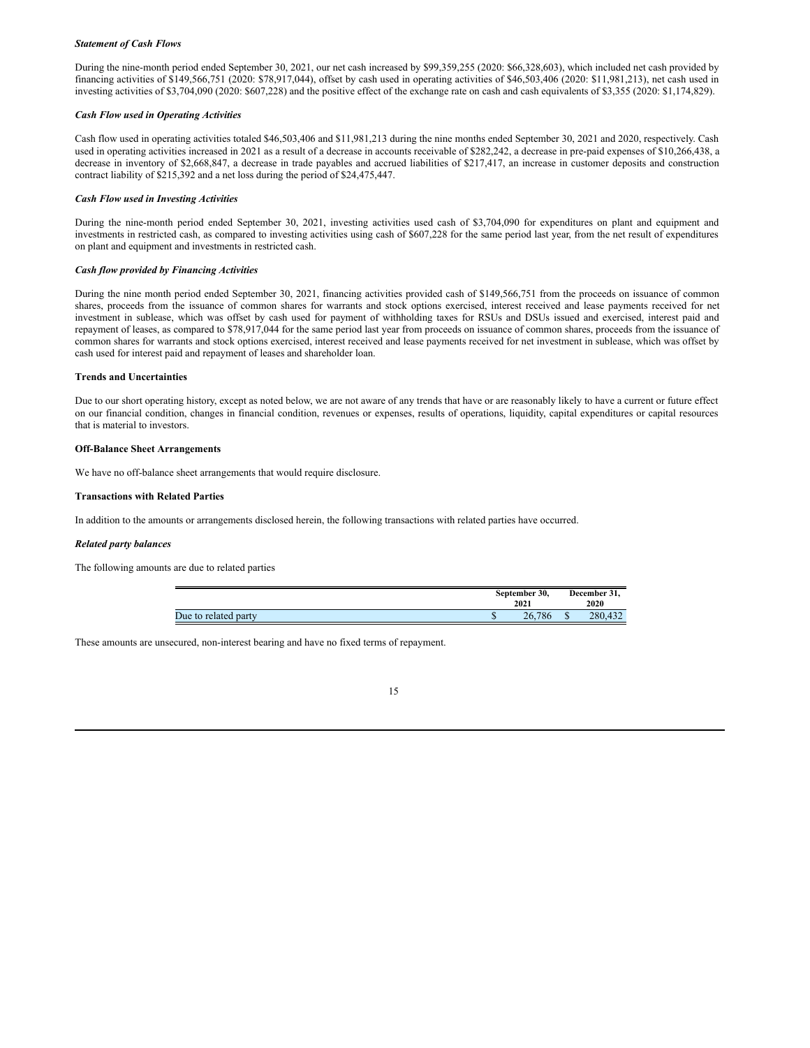#### *Statement of Cash Flows*

During the nine-month period ended September 30, 2021, our net cash increased by \$99,359,255 (2020: \$66,328,603), which included net cash provided by financing activities of \$149,566,751 (2020: \$78,917,044), offset by cash used in operating activities of \$46,503,406 (2020: \$11,981,213), net cash used in investing activities of \$3,704,090 (2020: \$607,228) and the positive effect of the exchange rate on cash and cash equivalents of \$3,355 (2020: \$1,174,829).

## *Cash Flow used in Operating Activities*

Cash flow used in operating activities totaled \$46,503,406 and \$11,981,213 during the nine months ended September 30, 2021 and 2020, respectively. Cash used in operating activities increased in 2021 as a result of a decrease in accounts receivable of \$282,242, a decrease in pre-paid expenses of \$10,266,438, a decrease in inventory of \$2,668,847, a decrease in trade payables and accrued liabilities of \$217,417, an increase in customer deposits and construction contract liability of \$215,392 and a net loss during the period of \$24,475,447.

## *Cash Flow used in Investing Activities*

During the nine-month period ended September 30, 2021, investing activities used cash of \$3,704,090 for expenditures on plant and equipment and investments in restricted cash, as compared to investing activities using cash of \$607,228 for the same period last year, from the net result of expenditures on plant and equipment and investments in restricted cash.

## *Cash flow provided by Financing Activities*

During the nine month period ended September 30, 2021, financing activities provided cash of \$149,566,751 from the proceeds on issuance of common shares, proceeds from the issuance of common shares for warrants and stock options exercised, interest received and lease payments received for net investment in sublease, which was offset by cash used for payment of withholding taxes for RSUs and DSUs issued and exercised, interest paid and repayment of leases, as compared to \$78,917,044 for the same period last year from proceeds on issuance of common shares, proceeds from the issuance of common shares for warrants and stock options exercised, interest received and lease payments received for net investment in sublease, which was offset by cash used for interest paid and repayment of leases and shareholder loan.

#### **Trends and Uncertainties**

Due to our short operating history, except as noted below, we are not aware of any trends that have or are reasonably likely to have a current or future effect on our financial condition, changes in financial condition, revenues or expenses, results of operations, liquidity, capital expenditures or capital resources that is material to investors.

#### **Off-Balance Sheet Arrangements**

We have no off-balance sheet arrangements that would require disclosure.

#### **Transactions with Related Parties**

In addition to the amounts or arrangements disclosed herein, the following transactions with related parties have occurred.

#### *Related party balances*

The following amounts are due to related parties

|                      | September 30,<br>2021 | December 31.<br>2020 |
|----------------------|-----------------------|----------------------|
| Due to related party | 26.786                | 280,432              |

These amounts are unsecured, non-interest bearing and have no fixed terms of repayment.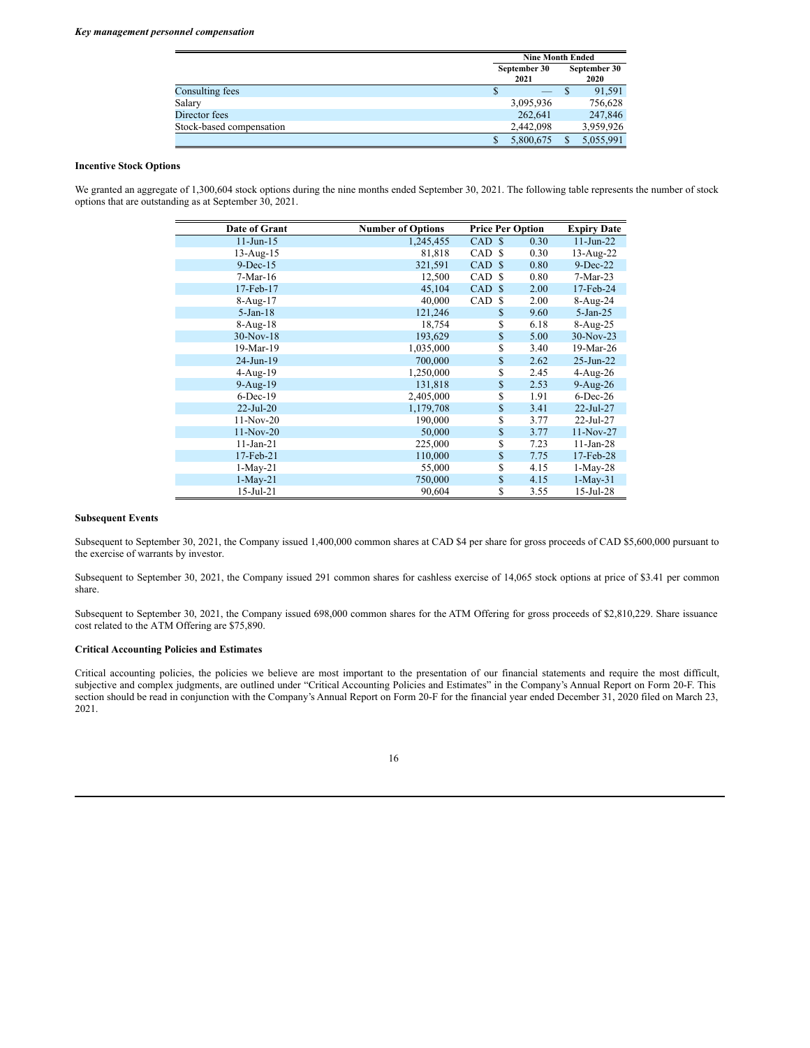#### *Key management personnel compensation*

|                          |   | <b>Nine Month Ended</b> |   |              |  |  |
|--------------------------|---|-------------------------|---|--------------|--|--|
|                          |   | September 30            |   | September 30 |  |  |
|                          |   | 2021                    |   | 2020         |  |  |
| Consulting fees          | S |                         | S | 91,591       |  |  |
| Salary                   |   | 3,095,936               |   | 756,628      |  |  |
| Director fees            |   | 262,641                 |   | 247,846      |  |  |
| Stock-based compensation |   | 2,442,098               |   | 3,959,926    |  |  |
|                          |   | 5,800,675               |   | 5,055,991    |  |  |

## **Incentive Stock Options**

We granted an aggregate of 1,300,604 stock options during the nine months ended September 30, 2021. The following table represents the number of stock options that are outstanding as at September 30, 2021.

| Date of Grant    | <b>Number of Options</b> | <b>Price Per Option</b> |      | <b>Expiry Date</b> |
|------------------|--------------------------|-------------------------|------|--------------------|
| $11$ -Jun- $15$  | 1,245,455                | $CAD \$                 | 0.30 | $11-Jun-22$        |
| 13-Aug-15        | 81,818                   | CAD <sub>\$</sub>       | 0.30 | 13-Aug-22          |
| $9-Dec-15$       | 321,591                  | $CAD$ \$                | 0.80 | $9-Dec-22$         |
| $7-Mar-16$       | 12,500                   | CAD <sub>\$</sub>       | 0.80 | $7-Mar-23$         |
| 17-Feb-17        | 45,104                   | CAD<br>- \$             | 2.00 | 17-Feb-24          |
| 8-Aug-17         | 40,000                   | CAD<br>-S               | 2.00 | 8-Aug-24           |
| $5 - Jan-18$     | 121,246                  | \$                      | 9.60 | $5-Jan-25$         |
| $8-Aug-18$       | 18,754                   | \$                      | 6.18 | $8-Aug-25$         |
| $30-Nov-18$      | 193,629                  | \$                      | 5.00 | $30-Nov-23$        |
| 19-Mar-19        | 1,035,000                | \$                      | 3.40 | 19-Mar-26          |
| 24-Jun-19        | 700,000                  | \$                      | 2.62 | 25-Jun-22          |
| $4 - Aug-19$     | 1,250,000                | \$                      | 2.45 | $4-Aug-26$         |
| 9-Aug-19         | 131,818                  | \$                      | 2.53 | $9-Aug-26$         |
| $6$ -Dec-19      | 2,405,000                | \$                      | 1.91 | $6$ -Dec-26        |
| $22$ -Jul- $20$  | 1,179,708                | \$                      | 3.41 | 22-Jul-27          |
| 11-Nov-20        | 190,000                  | \$                      | 3.77 | 22-Jul-27          |
| 11-Nov-20        | 50,000                   | \$                      | 3.77 | $11-Nov-27$        |
| $11-Jan-21$      | 225,000                  | \$                      | 7.23 | 11-Jan-28          |
| 17-Feb-21        | 110,000                  | \$                      | 7.75 | 17-Feb-28          |
| $1-May-21$       | 55,000                   | \$                      | 4.15 | $1-May-28$         |
| $1-May-21$       | 750,000                  | \$                      | 4.15 | $1-May-31$         |
| $15 -$ Jul $-21$ | 90,604                   | \$                      | 3.55 | 15-Jul-28          |

## **Subsequent Events**

Subsequent to September 30, 2021, the Company issued 1,400,000 common shares at CAD \$4 per share for gross proceeds of CAD \$5,600,000 pursuant to the exercise of warrants by investor.

Subsequent to September 30, 2021, the Company issued 291 common shares for cashless exercise of 14,065 stock options at price of \$3.41 per common share.

Subsequent to September 30, 2021, the Company issued 698,000 common shares for the ATM Offering for gross proceeds of \$2,810,229. Share issuance cost related to the ATM Offering are \$75,890.

## **Critical Accounting Policies and Estimates**

Critical accounting policies, the policies we believe are most important to the presentation of our financial statements and require the most difficult, subjective and complex judgments, are outlined under "Critical Accounting Policies and Estimates" in the Company's Annual Report on Form 20-F. This section should be read in conjunction with the Company's Annual Report on Form 20-F for the financial year ended December 31, 2020 filed on March 23, 2021.

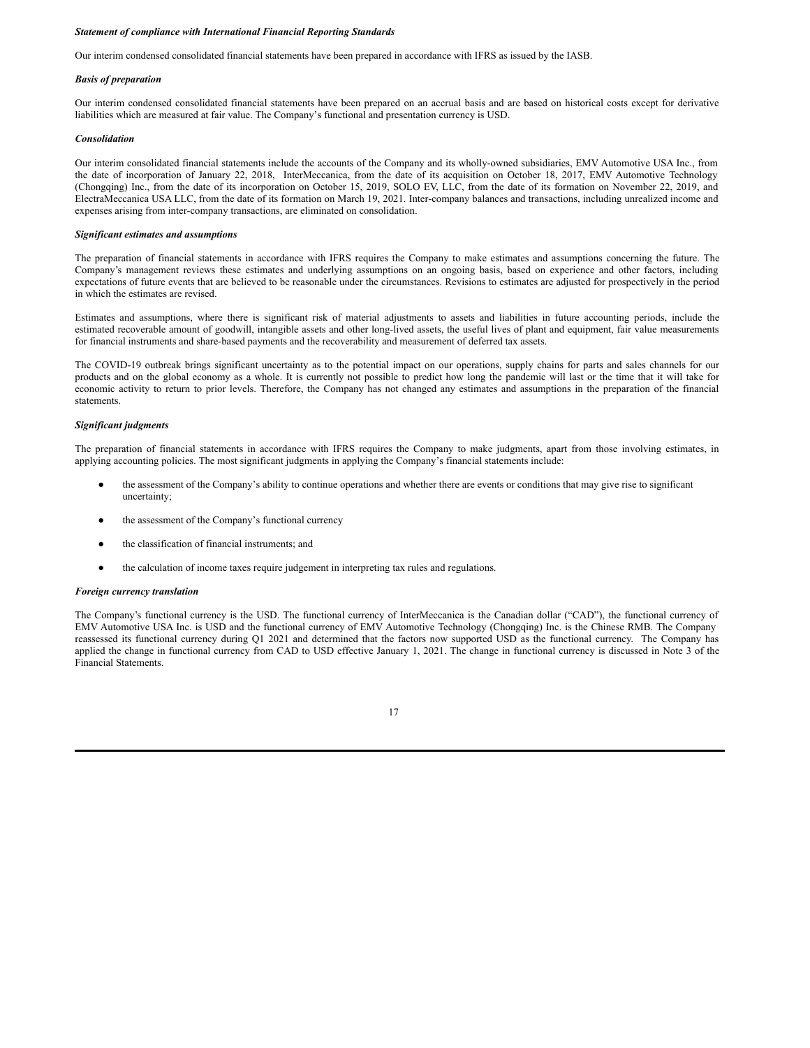#### *Statement of compliance with International Financial Reporting Standards*

Our interim condensed consolidated financial statements have been prepared in accordance with IFRS as issued by the IASB.

#### *Basis of preparation*

Our interim condensed consolidated financial statements have been prepared on an accrual basis and are based on historical costs except for derivative liabilities which are measured at fair value. The Company's functional and presentation currency is USD.

## *Consolidation*

Our interim consolidated financial statements include the accounts of the Company and its wholly-owned subsidiaries, EMV Automotive USA Inc., from the date of incorporation of January 22, 2018, InterMeccanica, from the date of its acquisition on October 18, 2017, EMV Automotive Technology (Chongqing) Inc., from the date of its incorporation on October 15, 2019, SOLO EV, LLC, from the date of its formation on November 22, 2019, and ElectraMeccanica USA LLC, from the date of its formation on March 19, 2021. Inter-company balances and transactions, including unrealized income and expenses arising from inter-company transactions, are eliminated on consolidation.

#### *Significant estimates and assumptions*

The preparation of financial statements in accordance with IFRS requires the Company to make estimates and assumptions concerning the future. The Company's management reviews these estimates and underlying assumptions on an ongoing basis, based on experience and other factors, including expectations of future events that are believed to be reasonable under the circumstances. Revisions to estimates are adjusted for prospectively in the period in which the estimates are revised.

Estimates and assumptions, where there is significant risk of material adjustments to assets and liabilities in future accounting periods, include the estimated recoverable amount of goodwill, intangible assets and other long-lived assets, the useful lives of plant and equipment, fair value measurements for financial instruments and share-based payments and the recoverability and measurement of deferred tax assets.

The COVID-19 outbreak brings significant uncertainty as to the potential impact on our operations, supply chains for parts and sales channels for our products and on the global economy as a whole. It is currently not possible to predict how long the pandemic will last or the time that it will take for economic activity to return to prior levels. Therefore, the Company has not changed any estimates and assumptions in the preparation of the financial statements.

#### *Significant judgments*

The preparation of financial statements in accordance with IFRS requires the Company to make judgments, apart from those involving estimates, in applying accounting policies. The most significant judgments in applying the Company's financial statements include:

- the assessment of the Company's ability to continue operations and whether there are events or conditions that may give rise to significant uncertainty;
- the assessment of the Company's functional currency
- the classification of financial instruments; and
- the calculation of income taxes require judgement in interpreting tax rules and regulations.

#### *Foreign currency translation*

The Company's functional currency is the USD. The functional currency of InterMeccanica is the Canadian dollar ("CAD"), the functional currency of EMV Automotive USA Inc. is USD and the functional currency of EMV Automotive Technology (Chongqing) Inc. is the Chinese RMB. The Company reassessed its functional currency during Q1 2021 and determined that the factors now supported USD as the functional currency. The Company has applied the change in functional currency from CAD to USD effective January 1, 2021. The change in functional currency is discussed in Note 3 of the Financial Statements.

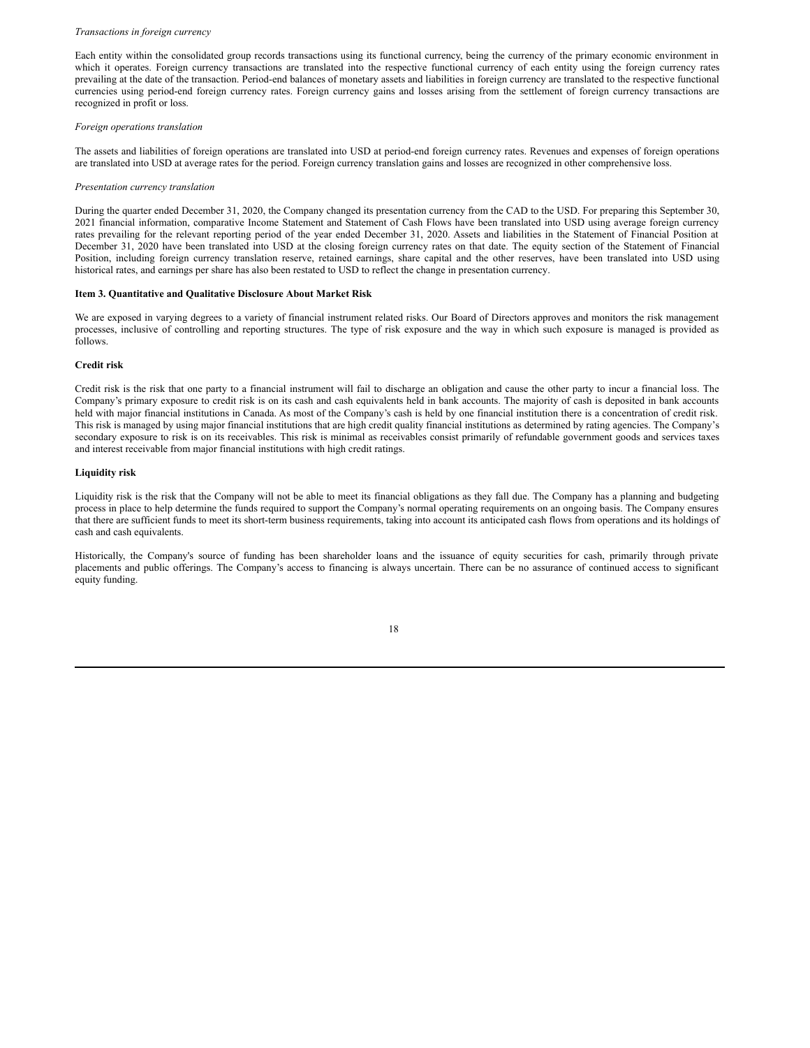#### *Transactions in foreign currency*

Each entity within the consolidated group records transactions using its functional currency, being the currency of the primary economic environment in which it operates. Foreign currency transactions are translated into the respective functional currency of each entity using the foreign currency rates prevailing at the date of the transaction. Period-end balances of monetary assets and liabilities in foreign currency are translated to the respective functional currencies using period-end foreign currency rates. Foreign currency gains and losses arising from the settlement of foreign currency transactions are recognized in profit or loss.

#### *Foreign operations translation*

The assets and liabilities of foreign operations are translated into USD at period-end foreign currency rates. Revenues and expenses of foreign operations are translated into USD at average rates for the period. Foreign currency translation gains and losses are recognized in other comprehensive loss.

#### *Presentation currency translation*

During the quarter ended December 31, 2020, the Company changed its presentation currency from the CAD to the USD. For preparing this September 30, 2021 financial information, comparative Income Statement and Statement of Cash Flows have been translated into USD using average foreign currency rates prevailing for the relevant reporting period of the year ended December 31, 2020. Assets and liabilities in the Statement of Financial Position at December 31, 2020 have been translated into USD at the closing foreign currency rates on that date. The equity section of the Statement of Financial Position, including foreign currency translation reserve, retained earnings, share capital and the other reserves, have been translated into USD using historical rates, and earnings per share has also been restated to USD to reflect the change in presentation currency.

#### **Item 3. Quantitative and Qualitative Disclosure About Market Risk**

We are exposed in varying degrees to a variety of financial instrument related risks. Our Board of Directors approves and monitors the risk management processes, inclusive of controlling and reporting structures. The type of risk exposure and the way in which such exposure is managed is provided as follows.

#### **Credit risk**

Credit risk is the risk that one party to a financial instrument will fail to discharge an obligation and cause the other party to incur a financial loss. The Company's primary exposure to credit risk is on its cash and cash equivalents held in bank accounts. The majority of cash is deposited in bank accounts held with major financial institutions in Canada. As most of the Company's cash is held by one financial institution there is a concentration of credit risk. This risk is managed by using major financial institutions that are high credit quality financial institutions as determined by rating agencies. The Company's secondary exposure to risk is on its receivables. This risk is minimal as receivables consist primarily of refundable government goods and services taxes and interest receivable from major financial institutions with high credit ratings.

#### **Liquidity risk**

Liquidity risk is the risk that the Company will not be able to meet its financial obligations as they fall due. The Company has a planning and budgeting process in place to help determine the funds required to support the Company's normal operating requirements on an ongoing basis. The Company ensures that there are sufficient funds to meet its short-term business requirements, taking into account its anticipated cash flows from operations and its holdings of cash and cash equivalents.

Historically, the Company's source of funding has been shareholder loans and the issuance of equity securities for cash, primarily through private placements and public offerings. The Company's access to financing is always uncertain. There can be no assurance of continued access to significant equity funding.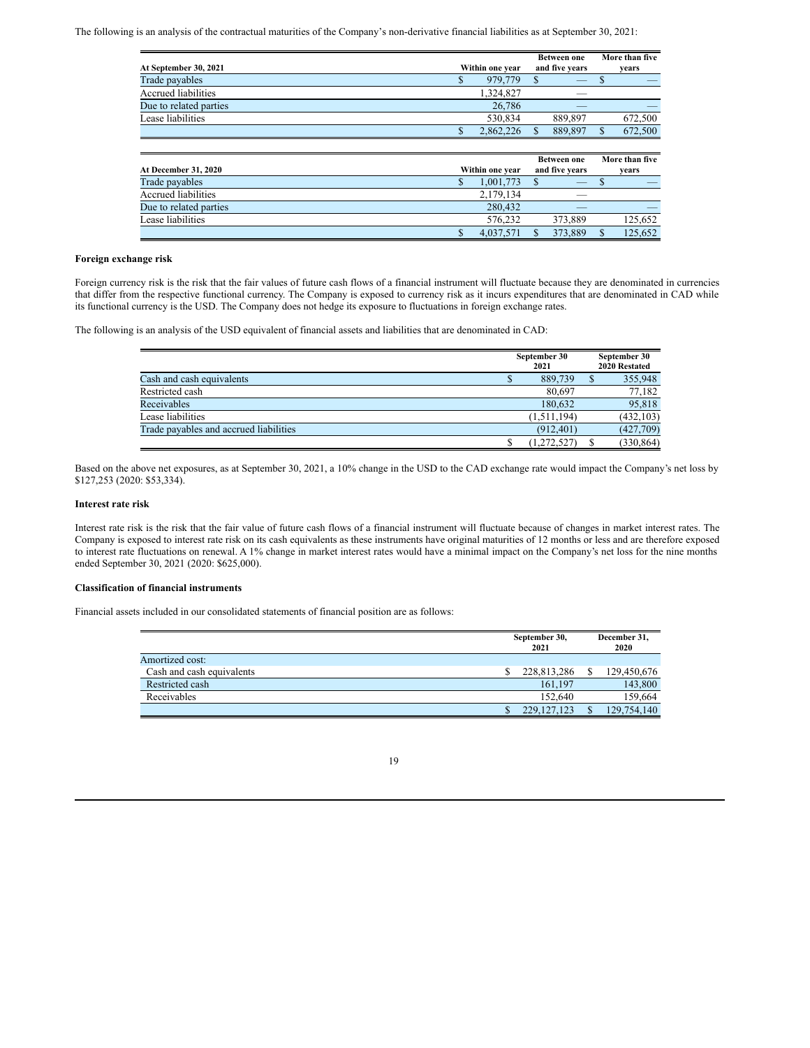The following is an analysis of the contractual maturities of the Company's non-derivative financial liabilities as at September 30, 2021:

|                             |     |                 |   | <b>Between one</b> | More than five |
|-----------------------------|-----|-----------------|---|--------------------|----------------|
| At September 30, 2021       |     | Within one year |   | and five years     | years          |
| Trade payables              | S   | 979,779         | S |                    |                |
| Accrued liabilities         |     | 1,324,827       |   |                    |                |
| Due to related parties      |     | 26,786          |   |                    |                |
| Lease liabilities           |     | 530.834         |   | 889,897            | 672,500        |
|                             | S   | 2,862,226       | S | 889,897            | \$<br>672,500  |
|                             |     |                 |   |                    |                |
|                             |     |                 |   |                    |                |
|                             |     |                 |   | <b>Between</b> one | More than five |
| <b>At December 31, 2020</b> |     | Within one year |   | and five years     | vears          |
| Trade payables              | \$. | 1,001,773       |   |                    |                |
| <b>Accrued liabilities</b>  |     | 2,179,134       |   |                    |                |
| Due to related parties      |     | 280,432         |   |                    |                |
| Lease liabilities           |     | 576,232         |   | 373,889            | 125,652        |

## **Foreign exchange risk**

Foreign currency risk is the risk that the fair values of future cash flows of a financial instrument will fluctuate because they are denominated in currencies that differ from the respective functional currency. The Company is exposed to currency risk as it incurs expenditures that are denominated in CAD while its functional currency is the USD. The Company does not hedge its exposure to fluctuations in foreign exchange rates.

The following is an analysis of the USD equivalent of financial assets and liabilities that are denominated in CAD:

|                                        | September 30<br>2021 | September 30<br>2020 Restated |
|----------------------------------------|----------------------|-------------------------------|
| Cash and cash equivalents              | 889.739              | 355,948                       |
| Restricted cash                        | 80,697               | 77,182                        |
| Receivables                            | 180.632              | 95,818                        |
| Lease liabilities                      | (1,511,194)          | (432, 103)                    |
| Trade payables and accrued liabilities | (912, 401)           | (427,709)                     |
|                                        | (1.272.527)          | (330, 864)                    |

Based on the above net exposures, as at September 30, 2021, a 10% change in the USD to the CAD exchange rate would impact the Company's net loss by \$127,253 (2020: \$53,334).

#### **Interest rate risk**

Interest rate risk is the risk that the fair value of future cash flows of a financial instrument will fluctuate because of changes in market interest rates. The Company is exposed to interest rate risk on its cash equivalents as these instruments have original maturities of 12 months or less and are therefore exposed to interest rate fluctuations on renewal. A 1% change in market interest rates would have a minimal impact on the Company's net loss for the nine months ended September 30, 2021 (2020: \$625,000).

## **Classification of financial instruments**

Financial assets included in our consolidated statements of financial position are as follows:

|                           | September 30,<br>2021 | December 31,<br>2020 |
|---------------------------|-----------------------|----------------------|
| Amortized cost:           |                       |                      |
| Cash and cash equivalents | 228,813,286           | 129,450,676          |
| Restricted cash           | 161.197               | 143,800              |
| Receivables               | 152,640               | 159,664              |
|                           | 229, 127, 123         | 129,754,140          |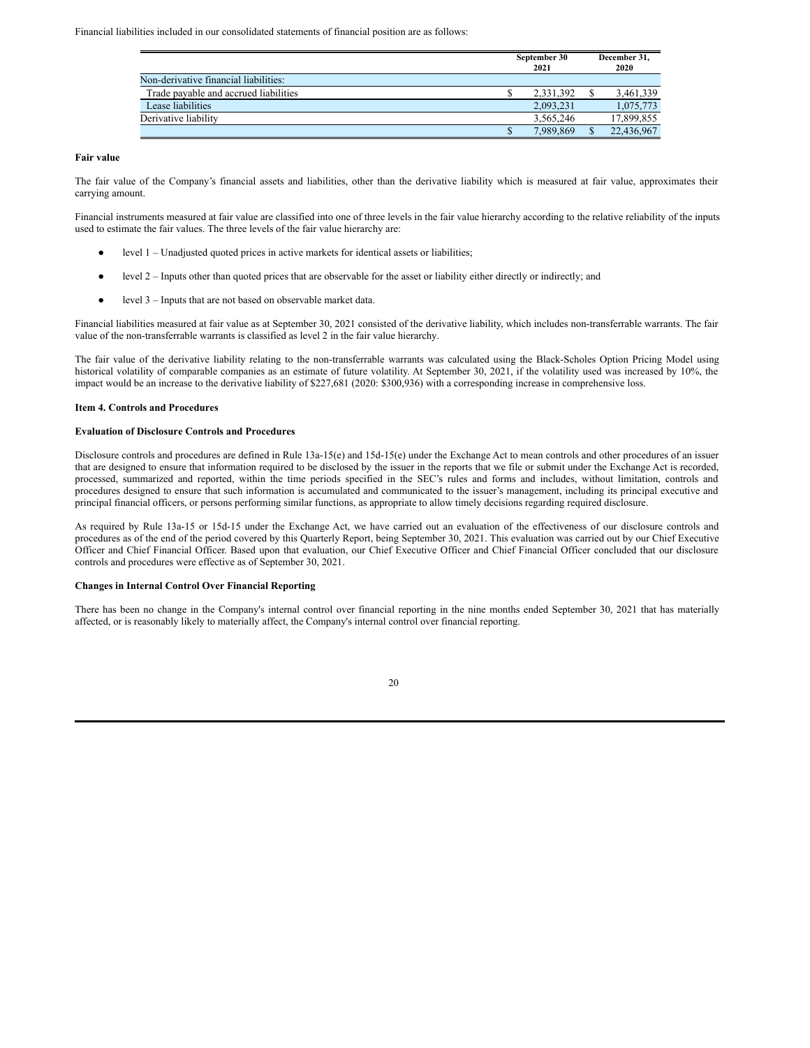Financial liabilities included in our consolidated statements of financial position are as follows:

|                                       | September 30 | December 31. |
|---------------------------------------|--------------|--------------|
|                                       | 2021         | 2020         |
| Non-derivative financial liabilities: |              |              |
| Trade payable and accrued liabilities | 2.331.392    | 3,461,339    |
| Lease liabilities                     | 2.093.231    | 1,075,773    |
| Derivative liability                  | 3.565.246    | 17.899.855   |
|                                       | 7.989.869    | 22,436,967   |

## **Fair value**

The fair value of the Company's financial assets and liabilities, other than the derivative liability which is measured at fair value, approximates their carrying amount.

Financial instruments measured at fair value are classified into one of three levels in the fair value hierarchy according to the relative reliability of the inputs used to estimate the fair values. The three levels of the fair value hierarchy are:

- level  $1$  Unadjusted quoted prices in active markets for identical assets or liabilities;
- level 2 Inputs other than quoted prices that are observable for the asset or liability either directly or indirectly; and
- level 3 Inputs that are not based on observable market data.

Financial liabilities measured at fair value as at September 30, 2021 consisted of the derivative liability, which includes non-transferrable warrants. The fair value of the non-transferrable warrants is classified as level 2 in the fair value hierarchy.

The fair value of the derivative liability relating to the non-transferrable warrants was calculated using the Black-Scholes Option Pricing Model using historical volatility of comparable companies as an estimate of future volatility. At September 30, 2021, if the volatility used was increased by 10%, the impact would be an increase to the derivative liability of \$227,681 (2020: \$300,936) with a corresponding increase in comprehensive loss.

## **Item 4. Controls and Procedures**

## **Evaluation of Disclosure Controls and Procedures**

Disclosure controls and procedures are defined in Rule 13a-15(e) and 15d-15(e) under the Exchange Act to mean controls and other procedures of an issuer that are designed to ensure that information required to be disclosed by the issuer in the reports that we file or submit under the Exchange Act is recorded, processed, summarized and reported, within the time periods specified in the SEC's rules and forms and includes, without limitation, controls and procedures designed to ensure that such information is accumulated and communicated to the issuer's management, including its principal executive and principal financial officers, or persons performing similar functions, as appropriate to allow timely decisions regarding required disclosure.

As required by Rule 13a-15 or 15d-15 under the Exchange Act, we have carried out an evaluation of the effectiveness of our disclosure controls and procedures as of the end of the period covered by this Quarterly Report, being September 30, 2021. This evaluation was carried out by our Chief Executive Officer and Chief Financial Officer. Based upon that evaluation, our Chief Executive Officer and Chief Financial Officer concluded that our disclosure controls and procedures were effective as of September 30, 2021.

## **Changes in Internal Control Over Financial Reporting**

There has been no change in the Company's internal control over financial reporting in the nine months ended September 30, 2021 that has materially affected, or is reasonably likely to materially affect, the Company's internal control over financial reporting.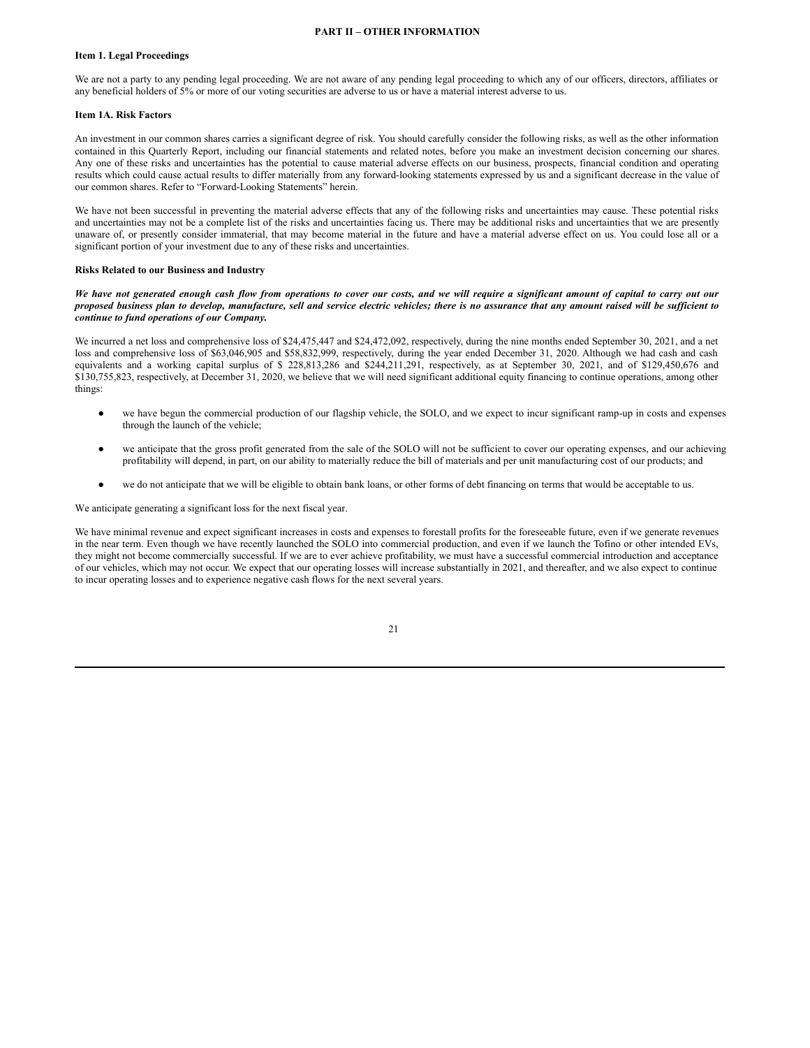## **PART II – OTHER INFORMATION**

## **Item 1. Legal Proceedings**

We are not a party to any pending legal proceeding. We are not aware of any pending legal proceeding to which any of our officers, directors, affiliates or any beneficial holders of 5% or more of our voting securities are adverse to us or have a material interest adverse to us.

## **Item 1A. Risk Factors**

An investment in our common shares carries a significant degree of risk. You should carefully consider the following risks, as well as the other information contained in this Quarterly Report, including our financial statements and related notes, before you make an investment decision concerning our shares. Any one of these risks and uncertainties has the potential to cause material adverse effects on our business, prospects, financial condition and operating results which could cause actual results to differ materially from any forward-looking statements expressed by us and a significant decrease in the value of our common shares. Refer to "Forward-Looking Statements" herein.

We have not been successful in preventing the material adverse effects that any of the following risks and uncertainties may cause. These potential risks and uncertainties may not be a complete list of the risks and uncertainties facing us. There may be additional risks and uncertainties that we are presently unaware of, or presently consider immaterial, that may become material in the future and have a material adverse effect on us. You could lose all or a significant portion of your investment due to any of these risks and uncertainties.

#### **Risks Related to our Business and Industry**

We have not generated enough cash flow from operations to cover our costs, and we will require a significant amount of capital to carry out our proposed business plan to develop, manufacture, sell and service electric vehicles; there is no assurance that any amount raised will be sufficient to *continue to fund operations of our Company.*

We incurred a net loss and comprehensive loss of \$24,475,447 and \$24,472,092, respectively, during the nine months ended September 30, 2021, and a net loss and comprehensive loss of \$63,046,905 and \$58,832,999, respectively, during the year ended December 31, 2020. Although we had cash and cash equivalents and a working capital surplus of \$ 228,813,286 and \$244,211,291, respectively, as at September 30, 2021, and of \$129,450,676 and \$130,755,823, respectively, at December 31, 2020, we believe that we will need significant additional equity financing to continue operations, among other things:

- we have begun the commercial production of our flagship vehicle, the SOLO, and we expect to incur significant ramp-up in costs and expenses through the launch of the vehicle;
- we anticipate that the gross profit generated from the sale of the SOLO will not be sufficient to cover our operating expenses, and our achieving profitability will depend, in part, on our ability to materially reduce the bill of materials and per unit manufacturing cost of our products; and
- we do not anticipate that we will be eligible to obtain bank loans, or other forms of debt financing on terms that would be acceptable to us.

We anticipate generating a significant loss for the next fiscal year.

We have minimal revenue and expect significant increases in costs and expenses to forestall profits for the foreseeable future, even if we generate revenues in the near term. Even though we have recently launched the SOLO into commercial production, and even if we launch the Tofino or other intended EVs, they might not become commercially successful. If we are to ever achieve profitability, we must have a successful commercial introduction and acceptance of our vehicles, which may not occur. We expect that our operating losses will increase substantially in 2021, and thereafter, and we also expect to continue to incur operating losses and to experience negative cash flows for the next several years.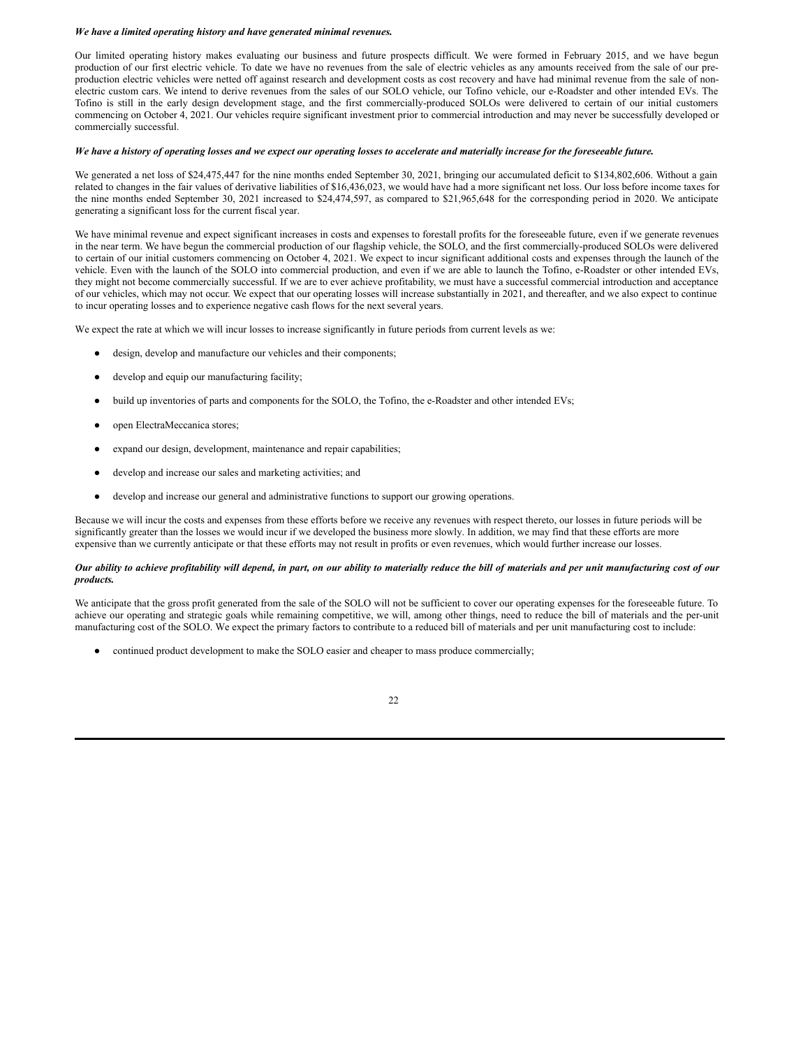#### *We have a limited operating history and have generated minimal revenues.*

Our limited operating history makes evaluating our business and future prospects difficult. We were formed in February 2015, and we have begun production of our first electric vehicle. To date we have no revenues from the sale of electric vehicles as any amounts received from the sale of our preproduction electric vehicles were netted off against research and development costs as cost recovery and have had minimal revenue from the sale of nonelectric custom cars. We intend to derive revenues from the sales of our SOLO vehicle, our Tofino vehicle, our e-Roadster and other intended EVs. The Tofino is still in the early design development stage, and the first commercially-produced SOLOs were delivered to certain of our initial customers commencing on October 4, 2021. Our vehicles require significant investment prior to commercial introduction and may never be successfully developed or commercially successful.

## We have a history of operating losses and we expect our operating losses to accelerate and materially increase for the foreseeable future.

We generated a net loss of \$24,475,447 for the nine months ended September 30, 2021, bringing our accumulated deficit to \$134,802,606. Without a gain related to changes in the fair values of derivative liabilities of \$16,436,023, we would have had a more significant net loss. Our loss before income taxes for the nine months ended September 30, 2021 increased to \$24,474,597, as compared to \$21,965,648 for the corresponding period in 2020. We anticipate generating a significant loss for the current fiscal year.

We have minimal revenue and expect significant increases in costs and expenses to forestall profits for the foreseeable future, even if we generate revenues in the near term. We have begun the commercial production of our flagship vehicle, the SOLO, and the first commercially-produced SOLOs were delivered to certain of our initial customers commencing on October 4, 2021. We expect to incur significant additional costs and expenses through the launch of the vehicle. Even with the launch of the SOLO into commercial production, and even if we are able to launch the Tofino, e-Roadster or other intended EVs, they might not become commercially successful. If we are to ever achieve profitability, we must have a successful commercial introduction and acceptance of our vehicles, which may not occur. We expect that our operating losses will increase substantially in 2021, and thereafter, and we also expect to continue to incur operating losses and to experience negative cash flows for the next several years.

We expect the rate at which we will incur losses to increase significantly in future periods from current levels as we:

- design, develop and manufacture our vehicles and their components;
- develop and equip our manufacturing facility;
- build up inventories of parts and components for the SOLO, the Tofino, the e-Roadster and other intended EVs;
- open ElectraMeccanica stores;
- expand our design, development, maintenance and repair capabilities;
- develop and increase our sales and marketing activities; and
- develop and increase our general and administrative functions to support our growing operations.

Because we will incur the costs and expenses from these efforts before we receive any revenues with respect thereto, our losses in future periods will be significantly greater than the losses we would incur if we developed the business more slowly. In addition, we may find that these efforts are more expensive than we currently anticipate or that these efforts may not result in profits or even revenues, which would further increase our losses.

### Our ability to achieve profitability will depend, in part, on our ability to materially reduce the bill of materials and per unit manufacturing cost of our *products.*

We anticipate that the gross profit generated from the sale of the SOLO will not be sufficient to cover our operating expenses for the foreseeable future. To achieve our operating and strategic goals while remaining competitive, we will, among other things, need to reduce the bill of materials and the per-unit manufacturing cost of the SOLO. We expect the primary factors to contribute to a reduced bill of materials and per unit manufacturing cost to include:

● continued product development to make the SOLO easier and cheaper to mass produce commercially;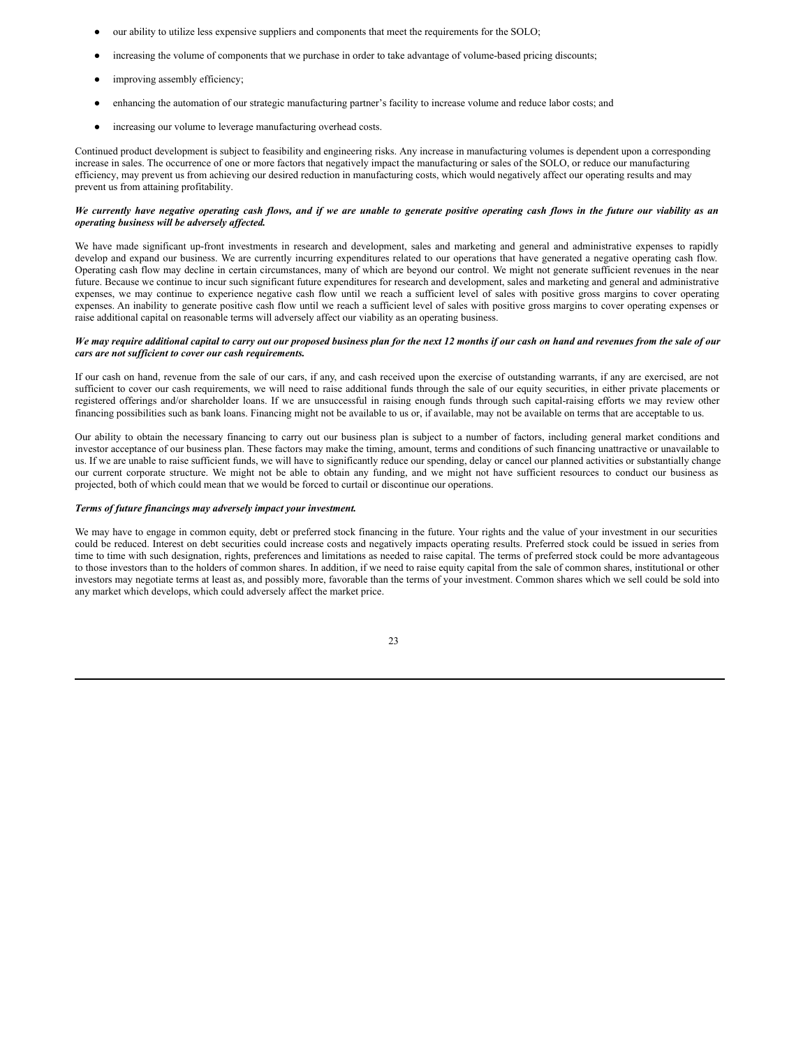- our ability to utilize less expensive suppliers and components that meet the requirements for the SOLO;
- increasing the volume of components that we purchase in order to take advantage of volume-based pricing discounts;
- improving assembly efficiency;
- enhancing the automation of our strategic manufacturing partner's facility to increase volume and reduce labor costs; and
- increasing our volume to leverage manufacturing overhead costs.

Continued product development is subject to feasibility and engineering risks. Any increase in manufacturing volumes is dependent upon a corresponding increase in sales. The occurrence of one or more factors that negatively impact the manufacturing or sales of the SOLO, or reduce our manufacturing efficiency, may prevent us from achieving our desired reduction in manufacturing costs, which would negatively affect our operating results and may prevent us from attaining profitability.

### We currently have negative operating cash flows, and if we are unable to generate positive operating cash flows in the future our viability as an *operating business will be adversely af ected.*

We have made significant up-front investments in research and development, sales and marketing and general and administrative expenses to rapidly develop and expand our business. We are currently incurring expenditures related to our operations that have generated a negative operating cash flow. Operating cash flow may decline in certain circumstances, many of which are beyond our control. We might not generate sufficient revenues in the near future. Because we continue to incur such significant future expenditures for research and development, sales and marketing and general and administrative expenses, we may continue to experience negative cash flow until we reach a sufficient level of sales with positive gross margins to cover operating expenses. An inability to generate positive cash flow until we reach a sufficient level of sales with positive gross margins to cover operating expenses or raise additional capital on reasonable terms will adversely affect our viability as an operating business.

## We may require additional capital to carry out our proposed business plan for the next 12 months if our cash on hand and revenues from the sale of our *cars are not suf icient to cover our cash requirements.*

If our cash on hand, revenue from the sale of our cars, if any, and cash received upon the exercise of outstanding warrants, if any are exercised, are not sufficient to cover our cash requirements, we will need to raise additional funds through the sale of our equity securities, in either private placements or registered offerings and/or shareholder loans. If we are unsuccessful in raising enough funds through such capital-raising efforts we may review other financing possibilities such as bank loans. Financing might not be available to us or, if available, may not be available on terms that are acceptable to us.

Our ability to obtain the necessary financing to carry out our business plan is subject to a number of factors, including general market conditions and investor acceptance of our business plan. These factors may make the timing, amount, terms and conditions of such financing unattractive or unavailable to us. If we are unable to raise sufficient funds, we will have to significantly reduce our spending, delay or cancel our planned activities or substantially change our current corporate structure. We might not be able to obtain any funding, and we might not have sufficient resources to conduct our business as projected, both of which could mean that we would be forced to curtail or discontinue our operations.

#### *Terms of future financings may adversely impact your investment.*

We may have to engage in common equity, debt or preferred stock financing in the future. Your rights and the value of your investment in our securities could be reduced. Interest on debt securities could increase costs and negatively impacts operating results. Preferred stock could be issued in series from time to time with such designation, rights, preferences and limitations as needed to raise capital. The terms of preferred stock could be more advantageous to those investors than to the holders of common shares. In addition, if we need to raise equity capital from the sale of common shares, institutional or other investors may negotiate terms at least as, and possibly more, favorable than the terms of your investment. Common shares which we sell could be sold into any market which develops, which could adversely affect the market price.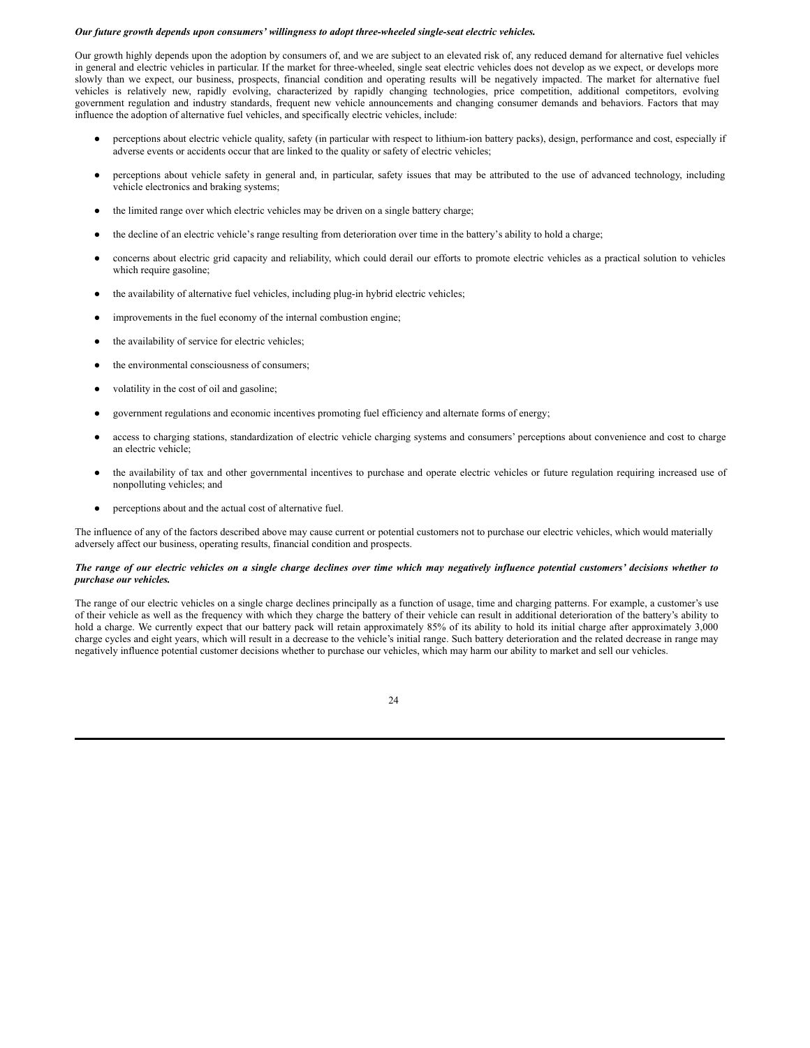#### *Our future growth depends upon consumers' willingness to adopt three-wheeled single-seat electric vehicles.*

Our growth highly depends upon the adoption by consumers of, and we are subject to an elevated risk of, any reduced demand for alternative fuel vehicles in general and electric vehicles in particular. If the market for three-wheeled, single seat electric vehicles does not develop as we expect, or develops more slowly than we expect, our business, prospects, financial condition and operating results will be negatively impacted. The market for alternative fuel vehicles is relatively new, rapidly evolving, characterized by rapidly changing technologies, price competition, additional competitors, evolving government regulation and industry standards, frequent new vehicle announcements and changing consumer demands and behaviors. Factors that may influence the adoption of alternative fuel vehicles, and specifically electric vehicles, include:

- perceptions about electric vehicle quality, safety (in particular with respect to lithium-ion battery packs), design, performance and cost, especially if adverse events or accidents occur that are linked to the quality or safety of electric vehicles;
- perceptions about vehicle safety in general and, in particular, safety issues that may be attributed to the use of advanced technology, including vehicle electronics and braking systems;
- the limited range over which electric vehicles may be driven on a single battery charge;
- the decline of an electric vehicle's range resulting from deterioration over time in the battery's ability to hold a charge;
- concerns about electric grid capacity and reliability, which could derail our efforts to promote electric vehicles as a practical solution to vehicles which require gasoline;
- the availability of alternative fuel vehicles, including plug-in hybrid electric vehicles;
- improvements in the fuel economy of the internal combustion engine;
- the availability of service for electric vehicles;
- the environmental consciousness of consumers;
- volatility in the cost of oil and gasoline;
- government regulations and economic incentives promoting fuel efficiency and alternate forms of energy;
- access to charging stations, standardization of electric vehicle charging systems and consumers' perceptions about convenience and cost to charge an electric vehicle;
- the availability of tax and other governmental incentives to purchase and operate electric vehicles or future regulation requiring increased use of nonpolluting vehicles; and
- perceptions about and the actual cost of alternative fuel.

The influence of any of the factors described above may cause current or potential customers not to purchase our electric vehicles, which would materially adversely affect our business, operating results, financial condition and prospects.

### The range of our electric vehicles on a single charge declines over time which may negatively influence potential customers' decisions whether to *purchase our vehicles.*

The range of our electric vehicles on a single charge declines principally as a function of usage, time and charging patterns. For example, a customer's use of their vehicle as well as the frequency with which they charge the battery of their vehicle can result in additional deterioration of the battery's ability to hold a charge. We currently expect that our battery pack will retain approximately 85% of its ability to hold its initial charge after approximately 3,000 charge cycles and eight years, which will result in a decrease to the vehicle's initial range. Such battery deterioration and the related decrease in range may negatively influence potential customer decisions whether to purchase our vehicles, which may harm our ability to market and sell our vehicles.

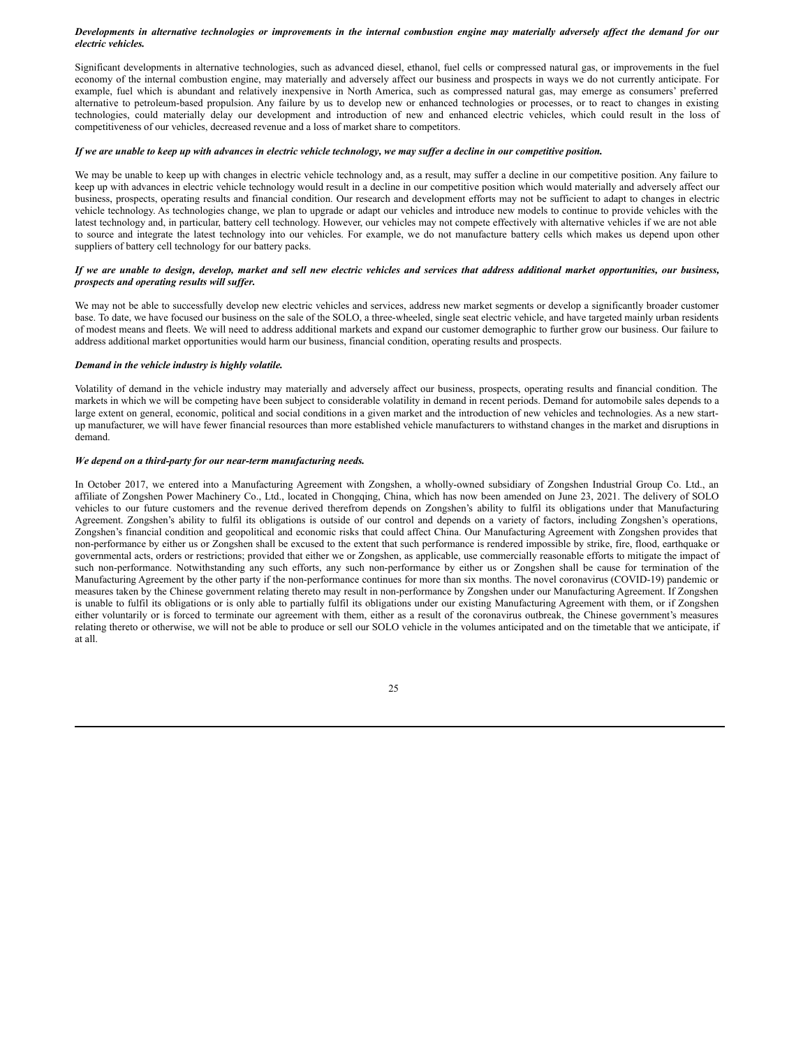## Developments in alternative technologies or improvements in the internal combustion engine may materially adversely affect the demand for our *electric vehicles.*

Significant developments in alternative technologies, such as advanced diesel, ethanol, fuel cells or compressed natural gas, or improvements in the fuel economy of the internal combustion engine, may materially and adversely affect our business and prospects in ways we do not currently anticipate. For example, fuel which is abundant and relatively inexpensive in North America, such as compressed natural gas, may emerge as consumers' preferred alternative to petroleum-based propulsion. Any failure by us to develop new or enhanced technologies or processes, or to react to changes in existing technologies, could materially delay our development and introduction of new and enhanced electric vehicles, which could result in the loss of competitiveness of our vehicles, decreased revenue and a loss of market share to competitors.

#### If we are unable to keep up with advances in electric vehicle technology, we may suffer a decline in our competitive position.

We may be unable to keep up with changes in electric vehicle technology and, as a result, may suffer a decline in our competitive position. Any failure to keep up with advances in electric vehicle technology would result in a decline in our competitive position which would materially and adversely affect our business, prospects, operating results and financial condition. Our research and development efforts may not be sufficient to adapt to changes in electric vehicle technology. As technologies change, we plan to upgrade or adapt our vehicles and introduce new models to continue to provide vehicles with the latest technology and, in particular, battery cell technology. However, our vehicles may not compete effectively with alternative vehicles if we are not able to source and integrate the latest technology into our vehicles. For example, we do not manufacture battery cells which makes us depend upon other suppliers of battery cell technology for our battery packs.

## If we are unable to design, develop, market and sell new electric vehicles and services that address additional market opportunities, our business, *prospects and operating results will suf er.*

We may not be able to successfully develop new electric vehicles and services, address new market segments or develop a significantly broader customer base. To date, we have focused our business on the sale of the SOLO, a three-wheeled, single seat electric vehicle, and have targeted mainly urban residents of modest means and fleets. We will need to address additional markets and expand our customer demographic to further grow our business. Our failure to address additional market opportunities would harm our business, financial condition, operating results and prospects.

## *Demand in the vehicle industry is highly volatile.*

Volatility of demand in the vehicle industry may materially and adversely affect our business, prospects, operating results and financial condition. The markets in which we will be competing have been subject to considerable volatility in demand in recent periods. Demand for automobile sales depends to a large extent on general, economic, political and social conditions in a given market and the introduction of new vehicles and technologies. As a new startup manufacturer, we will have fewer financial resources than more established vehicle manufacturers to withstand changes in the market and disruptions in demand.

#### *We depend on a third-party for our near-term manufacturing needs.*

In October 2017, we entered into a Manufacturing Agreement with Zongshen, a wholly-owned subsidiary of Zongshen Industrial Group Co. Ltd., an affiliate of Zongshen Power Machinery Co., Ltd., located in Chongqing, China, which has now been amended on June 23, 2021. The delivery of SOLO vehicles to our future customers and the revenue derived therefrom depends on Zongshen's ability to fulfil its obligations under that Manufacturing Agreement. Zongshen's ability to fulfil its obligations is outside of our control and depends on a variety of factors, including Zongshen's operations, Zongshen's financial condition and geopolitical and economic risks that could affect China. Our Manufacturing Agreement with Zongshen provides that non-performance by either us or Zongshen shall be excused to the extent that such performance is rendered impossible by strike, fire, flood, earthquake or governmental acts, orders or restrictions; provided that either we or Zongshen, as applicable, use commercially reasonable efforts to mitigate the impact of such non-performance. Notwithstanding any such efforts, any such non-performance by either us or Zongshen shall be cause for termination of the Manufacturing Agreement by the other party if the non-performance continues for more than six months. The novel coronavirus (COVID-19) pandemic or measures taken by the Chinese government relating thereto may result in non-performance by Zongshen under our Manufacturing Agreement. If Zongshen is unable to fulfil its obligations or is only able to partially fulfil its obligations under our existing Manufacturing Agreement with them, or if Zongshen either voluntarily or is forced to terminate our agreement with them, either as a result of the coronavirus outbreak, the Chinese government's measures relating thereto or otherwise, we will not be able to produce or sell our SOLO vehicle in the volumes anticipated and on the timetable that we anticipate, if at all.

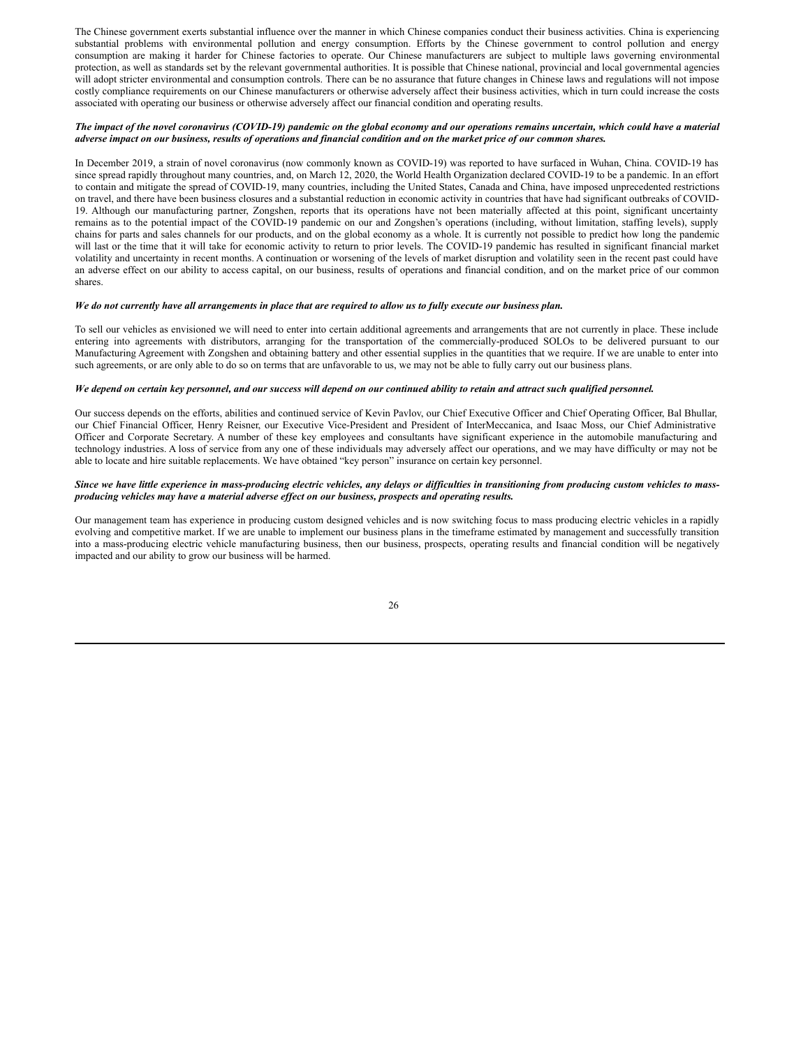The Chinese government exerts substantial influence over the manner in which Chinese companies conduct their business activities. China is experiencing substantial problems with environmental pollution and energy consumption. Efforts by the Chinese government to control pollution and energy consumption are making it harder for Chinese factories to operate. Our Chinese manufacturers are subject to multiple laws governing environmental protection, as well as standards set by the relevant governmental authorities. It is possible that Chinese national, provincial and local governmental agencies will adopt stricter environmental and consumption controls. There can be no assurance that future changes in Chinese laws and regulations will not impose costly compliance requirements on our Chinese manufacturers or otherwise adversely affect their business activities, which in turn could increase the costs associated with operating our business or otherwise adversely affect our financial condition and operating results.

## The impact of the novel coronavirus (COVID-19) pandemic on the global economy and our operations remains uncertain, which could have a material adverse impact on our business, results of operations and financial condition and on the market price of our common shares.

In December 2019, a strain of novel coronavirus (now commonly known as COVID-19) was reported to have surfaced in Wuhan, China. COVID-19 has since spread rapidly throughout many countries, and, on March 12, 2020, the World Health Organization declared COVID-19 to be a pandemic. In an effort to contain and mitigate the spread of COVID-19, many countries, including the United States, Canada and China, have imposed unprecedented restrictions on travel, and there have been business closures and a substantial reduction in economic activity in countries that have had significant outbreaks of COVID-19. Although our manufacturing partner, Zongshen, reports that its operations have not been materially affected at this point, significant uncertainty remains as to the potential impact of the COVID-19 pandemic on our and Zongshen's operations (including, without limitation, staffing levels), supply chains for parts and sales channels for our products, and on the global economy as a whole. It is currently not possible to predict how long the pandemic will last or the time that it will take for economic activity to return to prior levels. The COVID-19 pandemic has resulted in significant financial market volatility and uncertainty in recent months. A continuation or worsening of the levels of market disruption and volatility seen in the recent past could have an adverse effect on our ability to access capital, on our business, results of operations and financial condition, and on the market price of our common shares.

#### We do not currently have all arrangements in place that are required to allow us to fully execute our business plan.

To sell our vehicles as envisioned we will need to enter into certain additional agreements and arrangements that are not currently in place. These include entering into agreements with distributors, arranging for the transportation of the commercially-produced SOLOs to be delivered pursuant to our Manufacturing Agreement with Zongshen and obtaining battery and other essential supplies in the quantities that we require. If we are unable to enter into such agreements, or are only able to do so on terms that are unfavorable to us, we may not be able to fully carry out our business plans.

#### We depend on certain key personnel, and our success will depend on our continued ability to retain and attract such qualified personnel.

Our success depends on the efforts, abilities and continued service of Kevin Pavlov, our Chief Executive Officer and Chief Operating Officer, Bal Bhullar, our Chief Financial Officer, Henry Reisner, our Executive Vice-President and President of InterMeccanica, and Isaac Moss, our Chief Administrative Officer and Corporate Secretary. A number of these key employees and consultants have significant experience in the automobile manufacturing and technology industries. A loss of service from any one of these individuals may adversely affect our operations, and we may have difficulty or may not be able to locate and hire suitable replacements. We have obtained "key person" insurance on certain key personnel.

## Since we have little experience in mass-producing electric vehicles, any delays or difficulties in transitioning from producing custom vehicles to mass*producing vehicles may have a material adverse ef ect on our business, prospects and operating results.*

Our management team has experience in producing custom designed vehicles and is now switching focus to mass producing electric vehicles in a rapidly evolving and competitive market. If we are unable to implement our business plans in the timeframe estimated by management and successfully transition into a mass-producing electric vehicle manufacturing business, then our business, prospects, operating results and financial condition will be negatively impacted and our ability to grow our business will be harmed.

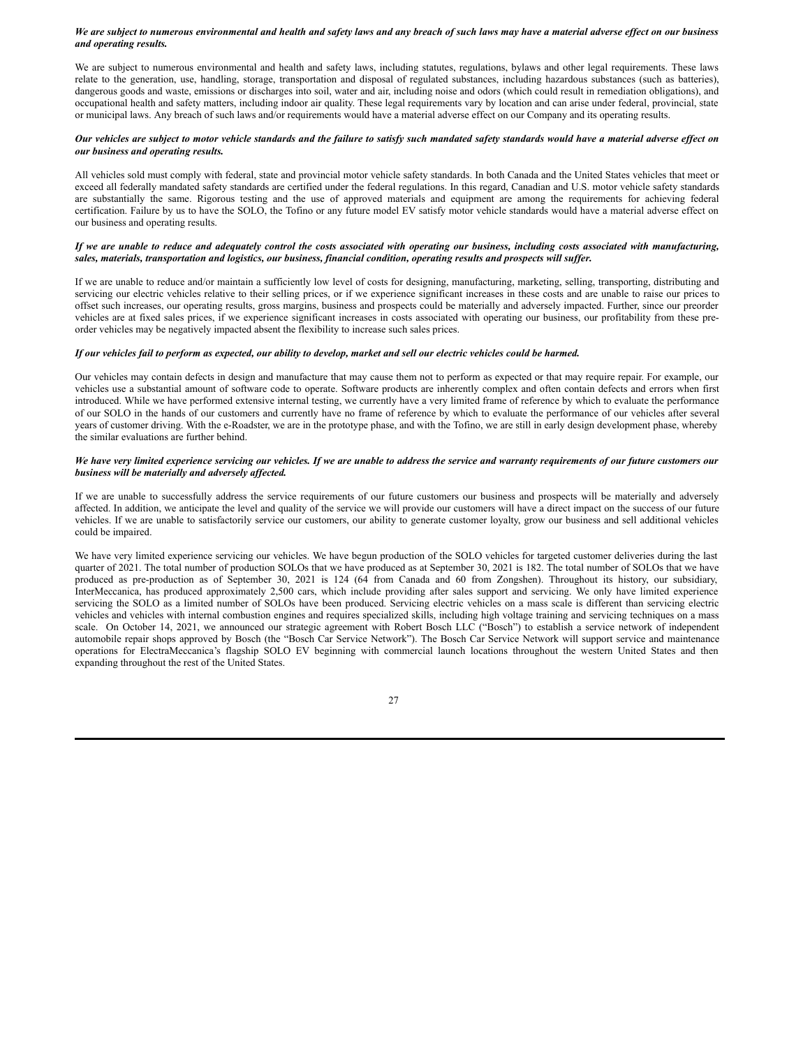### We are subject to numerous environmental and health and safety laws and any breach of such laws may have a material adverse effect on our business *and operating results.*

We are subject to numerous environmental and health and safety laws, including statutes, regulations, bylaws and other legal requirements. These laws relate to the generation, use, handling, storage, transportation and disposal of regulated substances, including hazardous substances (such as batteries), dangerous goods and waste, emissions or discharges into soil, water and air, including noise and odors (which could result in remediation obligations), and occupational health and safety matters, including indoor air quality. These legal requirements vary by location and can arise under federal, provincial, state or municipal laws. Any breach of such laws and/or requirements would have a material adverse effect on our Company and its operating results.

## Our vehicles are subject to motor vehicle standards and the failure to satisfy such mandated safety standards would have a material adverse effect on *our business and operating results.*

All vehicles sold must comply with federal, state and provincial motor vehicle safety standards. In both Canada and the United States vehicles that meet or exceed all federally mandated safety standards are certified under the federal regulations. In this regard, Canadian and U.S. motor vehicle safety standards are substantially the same. Rigorous testing and the use of approved materials and equipment are among the requirements for achieving federal certification. Failure by us to have the SOLO, the Tofino or any future model EV satisfy motor vehicle standards would have a material adverse effect on our business and operating results.

## If we are unable to reduce and adequately control the costs associated with operating our business, including costs associated with manufacturing, sales, materials, transportation and logistics, our business, financial condition, operating results and prospects will suffer.

If we are unable to reduce and/or maintain a sufficiently low level of costs for designing, manufacturing, marketing, selling, transporting, distributing and servicing our electric vehicles relative to their selling prices, or if we experience significant increases in these costs and are unable to raise our prices to offset such increases, our operating results, gross margins, business and prospects could be materially and adversely impacted. Further, since our preorder vehicles are at fixed sales prices, if we experience significant increases in costs associated with operating our business, our profitability from these preorder vehicles may be negatively impacted absent the flexibility to increase such sales prices.

#### If our vehicles fail to perform as expected, our ability to develop, market and sell our electric vehicles could be harmed.

Our vehicles may contain defects in design and manufacture that may cause them not to perform as expected or that may require repair. For example, our vehicles use a substantial amount of software code to operate. Software products are inherently complex and often contain defects and errors when first introduced. While we have performed extensive internal testing, we currently have a very limited frame of reference by which to evaluate the performance of our SOLO in the hands of our customers and currently have no frame of reference by which to evaluate the performance of our vehicles after several years of customer driving. With the e-Roadster, we are in the prototype phase, and with the Tofino, we are still in early design development phase, whereby the similar evaluations are further behind.

#### We have very limited experience servicing our vehicles. If we are unable to address the service and warranty requirements of our future customers our *business will be materially and adversely af ected.*

If we are unable to successfully address the service requirements of our future customers our business and prospects will be materially and adversely affected. In addition, we anticipate the level and quality of the service we will provide our customers will have a direct impact on the success of our future vehicles. If we are unable to satisfactorily service our customers, our ability to generate customer loyalty, grow our business and sell additional vehicles could be impaired.

We have very limited experience servicing our vehicles. We have begun production of the SOLO vehicles for targeted customer deliveries during the last quarter of 2021. The total number of production SOLOs that we have produced as at September 30, 2021 is 182. The total number of SOLOs that we have produced as pre-production as of September 30, 2021 is 124 (64 from Canada and 60 from Zongshen). Throughout its history, our subsidiary, InterMeccanica, has produced approximately 2,500 cars, which include providing after sales support and servicing. We only have limited experience servicing the SOLO as a limited number of SOLOs have been produced. Servicing electric vehicles on a mass scale is different than servicing electric vehicles and vehicles with internal combustion engines and requires specialized skills, including high voltage training and servicing techniques on a mass scale. On October 14, 2021, we announced our strategic agreement with Robert Bosch LLC ("Bosch") to establish a service network of independent automobile repair shops approved by Bosch (the "Bosch Car Service Network"). The Bosch Car Service Network will support service and maintenance operations for ElectraMeccanica's flagship SOLO EV beginning with commercial launch locations throughout the western United States and then expanding throughout the rest of the United States.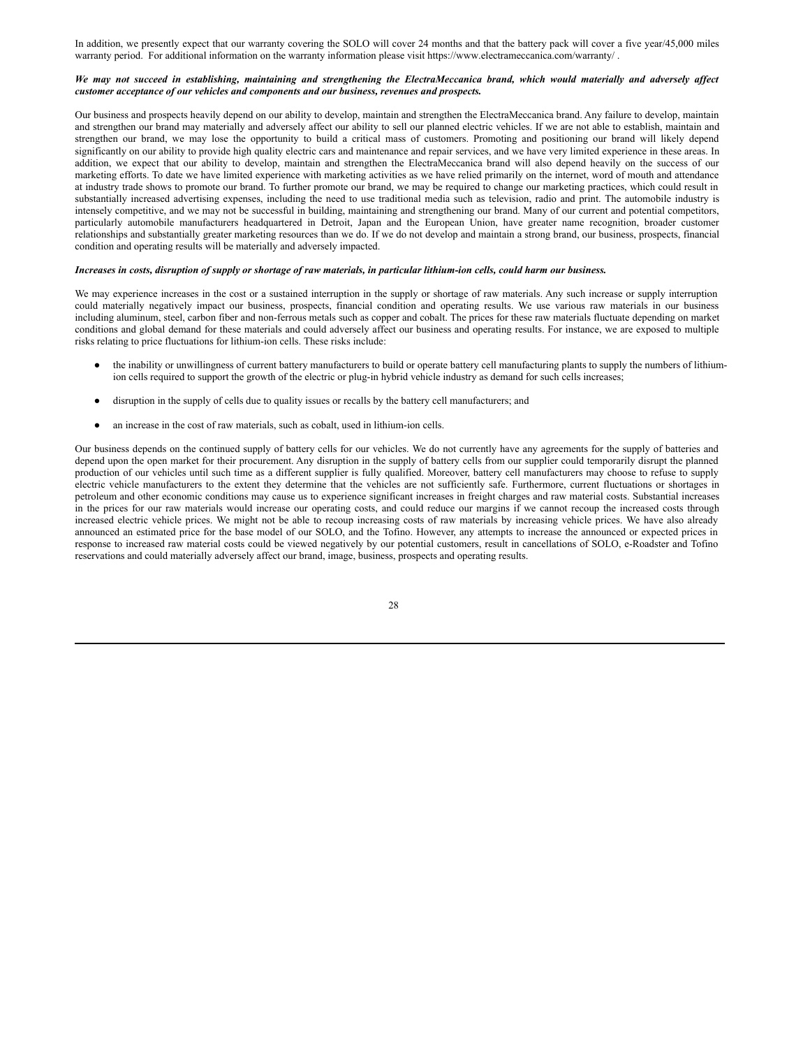<span id="page-31-0"></span>In addition, we presently expect that our warranty covering the SOLO will cover 24 months and that the battery pack will cover a five year/45,000 miles warranty period. For additional information on the warranty information please visit https://www.electrameccanica.com/warranty/ .

## We may not succeed in establishing, maintaining and strengthening the ElectraMeccanica brand, which would materially and adversely affect *customer acceptance of our vehicles and components and our business, revenues and prospects.*

Our business and prospects heavily depend on our ability to develop, maintain and strengthen the ElectraMeccanica brand. Any failure to develop, maintain and strengthen our brand may materially and adversely affect our ability to sell our planned electric vehicles. If we are not able to establish, maintain and strengthen our brand, we may lose the opportunity to build a critical mass of customers. Promoting and positioning our brand will likely depend significantly on our ability to provide high quality electric cars and maintenance and repair services, and we have very limited experience in these areas. In addition, we expect that our ability to develop, maintain and strengthen the ElectraMeccanica brand will also depend heavily on the success of our marketing efforts. To date we have limited experience with marketing activities as we have relied primarily on the internet, word of mouth and attendance at industry trade shows to promote our brand. To further promote our brand, we may be required to change our marketing practices, which could result in substantially increased advertising expenses, including the need to use traditional media such as television, radio and print. The automobile industry is intensely competitive, and we may not be successful in building, maintaining and strengthening our brand. Many of our current and potential competitors, particularly automobile manufacturers headquartered in Detroit, Japan and the European Union, have greater name recognition, broader customer relationships and substantially greater marketing resources than we do. If we do not develop and maintain a strong brand, our business, prospects, financial condition and operating results will be materially and adversely impacted.

#### Increases in costs, disruption of supply or shortage of raw materials, in particular lithium-ion cells, could harm our business.

We may experience increases in the cost or a sustained interruption in the supply or shortage of raw materials. Any such increase or supply interruption could materially negatively impact our business, prospects, financial condition and operating results. We use various raw materials in our business including aluminum, steel, carbon fiber and non-ferrous metals such as copper and cobalt. The prices for these raw materials fluctuate depending on market conditions and global demand for these materials and could adversely affect our business and operating results. For instance, we are exposed to multiple risks relating to price fluctuations for lithium-ion cells. These risks include:

- the inability or unwillingness of current battery manufacturers to build or operate battery cell manufacturing plants to supply the numbers of lithiumion cells required to support the growth of the electric or plug-in hybrid vehicle industry as demand for such cells increases;
- disruption in the supply of cells due to quality issues or recalls by the battery cell manufacturers; and
- an increase in the cost of raw materials, such as cobalt, used in lithium-ion cells.

Our business depends on the continued supply of battery cells for our vehicles. We do not currently have any agreements for the supply of batteries and depend upon the open market for their procurement. Any disruption in the supply of battery cells from our supplier could temporarily disrupt the planned production of our vehicles until such time as a different supplier is fully qualified. Moreover, battery cell manufacturers may choose to refuse to supply electric vehicle manufacturers to the extent they determine that the vehicles are not sufficiently safe. Furthermore, current fluctuations or shortages in petroleum and other economic conditions may cause us to experience significant increases in freight charges and raw material costs. Substantial increases in the prices for our raw materials would increase our operating costs, and could reduce our margins if we cannot recoup the increased costs through increased electric vehicle prices. We might not be able to recoup increasing costs of raw materials by increasing vehicle prices. We have also already announced an estimated price for the base model of our SOLO, and the Tofino. However, any attempts to increase the announced or expected prices in response to increased raw material costs could be viewed negatively by our potential customers, result in cancellations of SOLO, e-Roadster and Tofino reservations and could materially adversely affect our brand, image, business, prospects and operating results.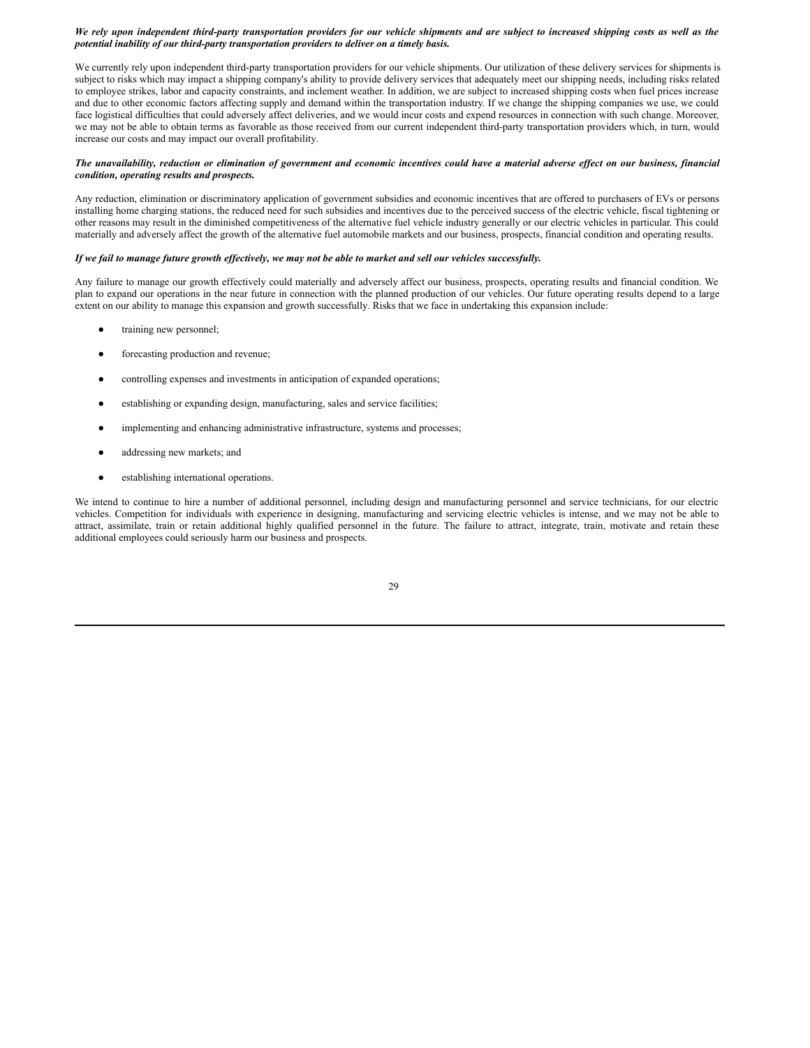## We rely upon independent third-party transportation providers for our vehicle shipments and are subject to increased shipping costs as well as the *potential inability of our third-party transportation providers to deliver on a timely basis.*

We currently rely upon independent third-party transportation providers for our vehicle shipments. Our utilization of these delivery services for shipments is subject to risks which may impact a shipping company's ability to provide delivery services that adequately meet our shipping needs, including risks related to employee strikes, labor and capacity constraints, and inclement weather. In addition, we are subject to increased shipping costs when fuel prices increase and due to other economic factors affecting supply and demand within the transportation industry. If we change the shipping companies we use, we could face logistical difficulties that could adversely affect deliveries, and we would incur costs and expend resources in connection with such change. Moreover, we may not be able to obtain terms as favorable as those received from our current independent third-party transportation providers which, in turn, would increase our costs and may impact our overall profitability.

## The unavailability, reduction or elimination of government and economic incentives could have a material adverse effect on our business, financial *condition, operating results and prospects.*

Any reduction, elimination or discriminatory application of government subsidies and economic incentives that are offered to purchasers of EVs or persons installing home charging stations, the reduced need for such subsidies and incentives due to the perceived success of the electric vehicle, fiscal tightening or other reasons may result in the diminished competitiveness of the alternative fuel vehicle industry generally or our electric vehicles in particular. This could materially and adversely affect the growth of the alternative fuel automobile markets and our business, prospects, financial condition and operating results.

## If we fail to manage future growth effectively, we may not be able to market and sell our vehicles successfully.

Any failure to manage our growth effectively could materially and adversely affect our business, prospects, operating results and financial condition. We plan to expand our operations in the near future in connection with the planned production of our vehicles. Our future operating results depend to a large extent on our ability to manage this expansion and growth successfully. Risks that we face in undertaking this expansion include:

- training new personnel;
- forecasting production and revenue;
- controlling expenses and investments in anticipation of expanded operations;
- establishing or expanding design, manufacturing, sales and service facilities;
- implementing and enhancing administrative infrastructure, systems and processes;
- addressing new markets; and
- establishing international operations.

We intend to continue to hire a number of additional personnel, including design and manufacturing personnel and service technicians, for our electric vehicles. Competition for individuals with experience in designing, manufacturing and servicing electric vehicles is intense, and we may not be able to attract, assimilate, train or retain additional highly qualified personnel in the future. The failure to attract, integrate, train, motivate and retain these additional employees could seriously harm our business and prospects.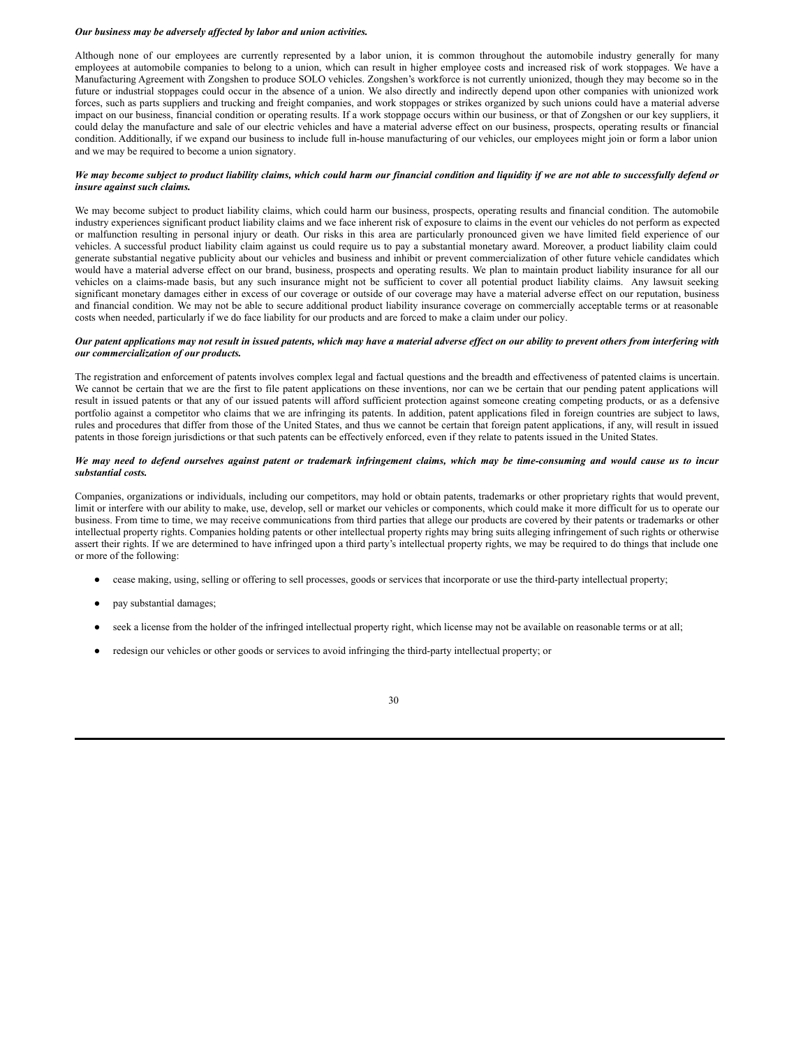#### *Our business may be adversely af ected by labor and union activities.*

Although none of our employees are currently represented by a labor union, it is common throughout the automobile industry generally for many employees at automobile companies to belong to a union, which can result in higher employee costs and increased risk of work stoppages. We have a Manufacturing Agreement with Zongshen to produce SOLO vehicles. Zongshen's workforce is not currently unionized, though they may become so in the future or industrial stoppages could occur in the absence of a union. We also directly and indirectly depend upon other companies with unionized work forces, such as parts suppliers and trucking and freight companies, and work stoppages or strikes organized by such unions could have a material adverse impact on our business, financial condition or operating results. If a work stoppage occurs within our business, or that of Zongshen or our key suppliers, it could delay the manufacture and sale of our electric vehicles and have a material adverse effect on our business, prospects, operating results or financial condition. Additionally, if we expand our business to include full in-house manufacturing of our vehicles, our employees might join or form a labor union and we may be required to become a union signatory.

## We may become subject to product liability claims, which could harm our financial condition and liquidity if we are not able to successfully defend or *insure against such claims.*

We may become subject to product liability claims, which could harm our business, prospects, operating results and financial condition. The automobile industry experiences significant product liability claims and we face inherent risk of exposure to claims in the event our vehicles do not perform as expected or malfunction resulting in personal injury or death. Our risks in this area are particularly pronounced given we have limited field experience of our vehicles. A successful product liability claim against us could require us to pay a substantial monetary award. Moreover, a product liability claim could generate substantial negative publicity about our vehicles and business and inhibit or prevent commercialization of other future vehicle candidates which would have a material adverse effect on our brand, business, prospects and operating results. We plan to maintain product liability insurance for all our vehicles on a claims-made basis, but any such insurance might not be sufficient to cover all potential product liability claims. Any lawsuit seeking significant monetary damages either in excess of our coverage or outside of our coverage may have a material adverse effect on our reputation, business and financial condition. We may not be able to secure additional product liability insurance coverage on commercially acceptable terms or at reasonable costs when needed, particularly if we do face liability for our products and are forced to make a claim under our policy.

#### Our patent applications may not result in issued patents, which may have a material adverse effect on our ability to prevent others from interfering with *our commercialization of our products.*

The registration and enforcement of patents involves complex legal and factual questions and the breadth and effectiveness of patented claims is uncertain. We cannot be certain that we are the first to file patent applications on these inventions, nor can we be certain that our pending patent applications will result in issued patents or that any of our issued patents will afford sufficient protection against someone creating competing products, or as a defensive portfolio against a competitor who claims that we are infringing its patents. In addition, patent applications filed in foreign countries are subject to laws, rules and procedures that differ from those of the United States, and thus we cannot be certain that foreign patent applications, if any, will result in issued patents in those foreign jurisdictions or that such patents can be effectively enforced, even if they relate to patents issued in the United States.

## We may need to defend ourselves against patent or trademark infringement claims, which may be time-consuming and would cause us to incur *substantial costs.*

Companies, organizations or individuals, including our competitors, may hold or obtain patents, trademarks or other proprietary rights that would prevent, limit or interfere with our ability to make, use, develop, sell or market our vehicles or components, which could make it more difficult for us to operate our business. From time to time, we may receive communications from third parties that allege our products are covered by their patents or trademarks or other intellectual property rights. Companies holding patents or other intellectual property rights may bring suits alleging infringement of such rights or otherwise assert their rights. If we are determined to have infringed upon a third party's intellectual property rights, we may be required to do things that include one or more of the following:

- cease making, using, selling or offering to sell processes, goods or services that incorporate or use the third-party intellectual property;
- pay substantial damages;
- seek a license from the holder of the infringed intellectual property right, which license may not be available on reasonable terms or at all;
- redesign our vehicles or other goods or services to avoid infringing the third-party intellectual property; or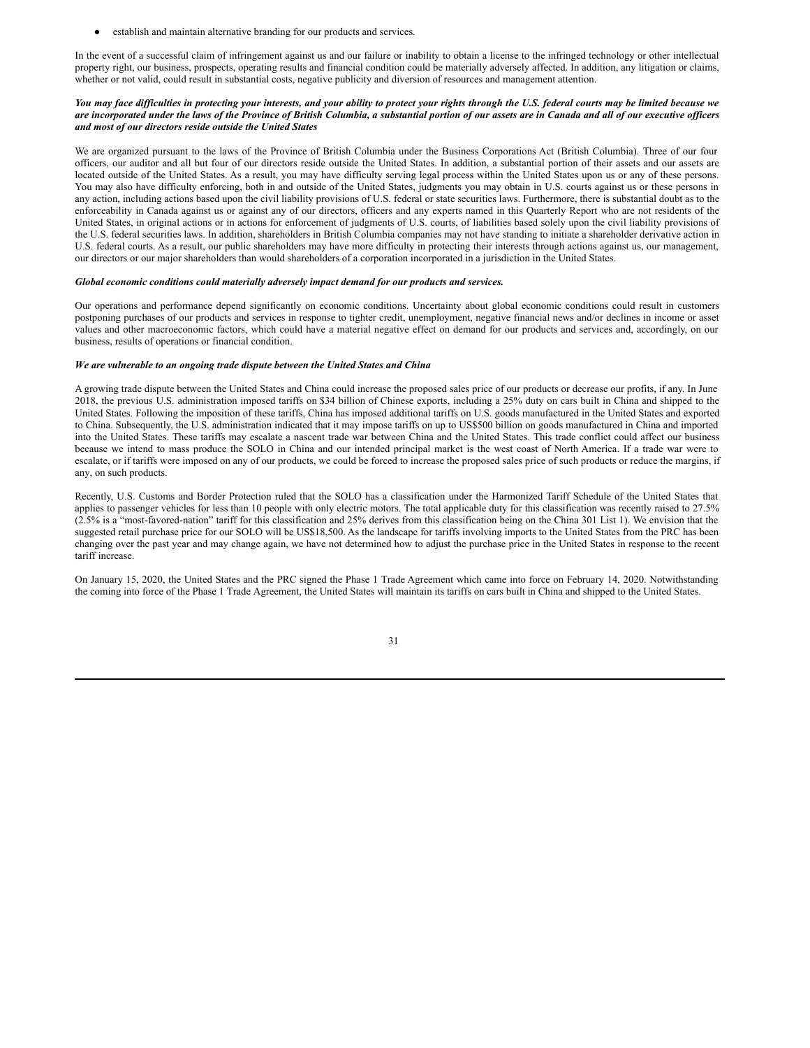● establish and maintain alternative branding for our products and services.

In the event of a successful claim of infringement against us and our failure or inability to obtain a license to the infringed technology or other intellectual property right, our business, prospects, operating results and financial condition could be materially adversely affected. In addition, any litigation or claims, whether or not valid, could result in substantial costs, negative publicity and diversion of resources and management attention.

### You may face difficulties in protecting your interests, and your ability to protect your rights through the U.S. federal courts may be limited because we are incorporated under the laws of the Province of British Columbia, a substantial portion of our assets are in Canada and all of our executive officers *and most of our directors reside outside the United States*

We are organized pursuant to the laws of the Province of British Columbia under the Business Corporations Act (British Columbia). Three of our four officers, our auditor and all but four of our directors reside outside the United States. In addition, a substantial portion of their assets and our assets are located outside of the United States. As a result, you may have difficulty serving legal process within the United States upon us or any of these persons. You may also have difficulty enforcing, both in and outside of the United States, judgments you may obtain in U.S. courts against us or these persons in any action, including actions based upon the civil liability provisions of U.S. federal or state securities laws. Furthermore, there is substantial doubt as to the enforceability in Canada against us or against any of our directors, officers and any experts named in this Quarterly Report who are not residents of the United States, in original actions or in actions for enforcement of judgments of U.S. courts, of liabilities based solely upon the civil liability provisions of the U.S. federal securities laws. In addition, shareholders in British Columbia companies may not have standing to initiate a shareholder derivative action in U.S. federal courts. As a result, our public shareholders may have more difficulty in protecting their interests through actions against us, our management, our directors or our major shareholders than would shareholders of a corporation incorporated in a jurisdiction in the United States.

## *Global economic conditions could materially adversely impact demand for our products and services.*

Our operations and performance depend significantly on economic conditions. Uncertainty about global economic conditions could result in customers postponing purchases of our products and services in response to tighter credit, unemployment, negative financial news and/or declines in income or asset values and other macroeconomic factors, which could have a material negative effect on demand for our products and services and, accordingly, on our business, results of operations or financial condition.

#### *We are vulnerable to an ongoing trade dispute between the United States and China*

A growing trade dispute between the United States and China could increase the proposed sales price of our products or decrease our profits, if any. In June 2018, the previous U.S. administration imposed tariffs on \$34 billion of Chinese exports, including a 25% duty on cars built in China and shipped to the United States. Following the imposition of these tariffs, China has imposed additional tariffs on U.S. goods manufactured in the United States and exported to China. Subsequently, the U.S. administration indicated that it may impose tariffs on up to US\$500 billion on goods manufactured in China and imported into the United States. These tariffs may escalate a nascent trade war between China and the United States. This trade conflict could affect our business because we intend to mass produce the SOLO in China and our intended principal market is the west coast of North America. If a trade war were to escalate, or if tariffs were imposed on any of our products, we could be forced to increase the proposed sales price of such products or reduce the margins, if any, on such products.

Recently, U.S. Customs and Border Protection ruled that the SOLO has a classification under the Harmonized Tariff Schedule of the United States that applies to passenger vehicles for less than 10 people with only electric motors. The total applicable duty for this classification was recently raised to 27.5% (2.5% is a "most-favored-nation" tariff for this classification and 25% derives from this classification being on the China 301 List 1). We envision that the suggested retail purchase price for our SOLO will be US\$18,500. As the landscape for tariffs involving imports to the United States from the PRC has been changing over the past year and may change again, we have not determined how to adjust the purchase price in the United States in response to the recent tariff increase.

On January 15, 2020, the United States and the PRC signed the Phase 1 Trade Agreement which came into force on February 14, 2020. Notwithstanding the coming into force of the Phase 1 Trade Agreement, the United States will maintain its tariffs on cars built in China and shipped to the United States.

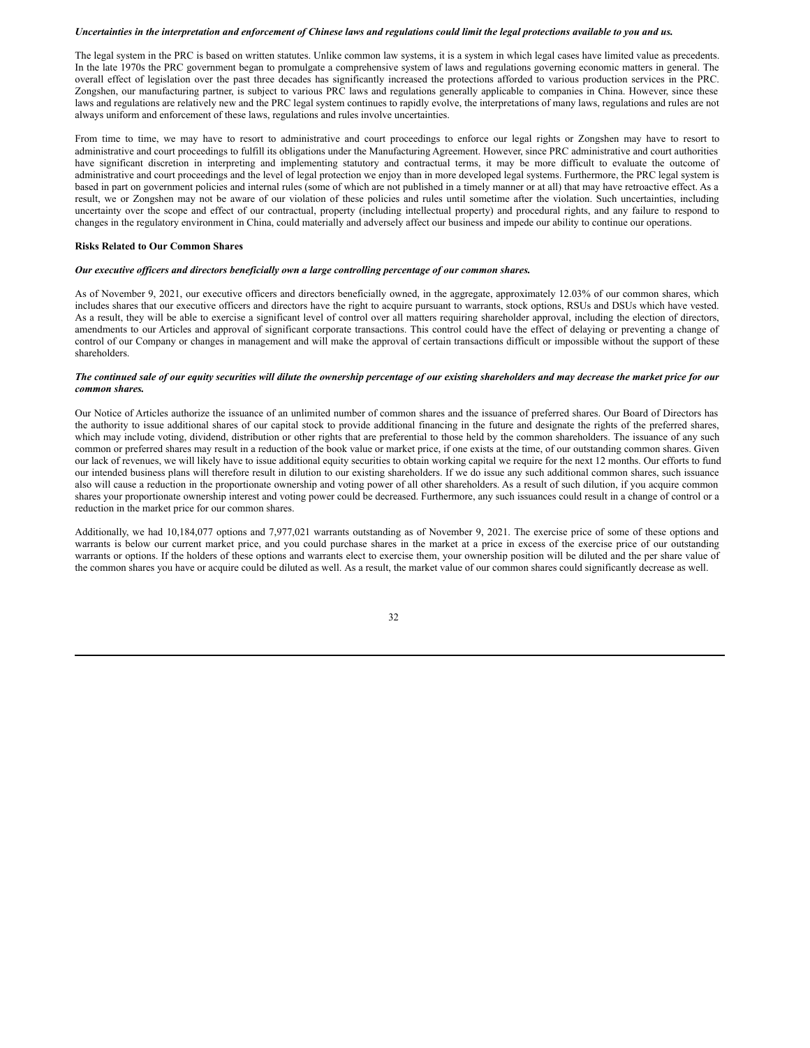#### Uncertainties in the interpretation and enforcement of Chinese laws and regulations could limit the legal protections available to you and us.

The legal system in the PRC is based on written statutes. Unlike common law systems, it is a system in which legal cases have limited value as precedents. In the late 1970s the PRC government began to promulgate a comprehensive system of laws and regulations governing economic matters in general. The overall effect of legislation over the past three decades has significantly increased the protections afforded to various production services in the PRC. Zongshen, our manufacturing partner, is subject to various PRC laws and regulations generally applicable to companies in China. However, since these laws and regulations are relatively new and the PRC legal system continues to rapidly evolve, the interpretations of many laws, regulations and rules are not always uniform and enforcement of these laws, regulations and rules involve uncertainties.

From time to time, we may have to resort to administrative and court proceedings to enforce our legal rights or Zongshen may have to resort to administrative and court proceedings to fulfill its obligations under the Manufacturing Agreement. However, since PRC administrative and court authorities have significant discretion in interpreting and implementing statutory and contractual terms, it may be more difficult to evaluate the outcome of administrative and court proceedings and the level of legal protection we enjoy than in more developed legal systems. Furthermore, the PRC legal system is based in part on government policies and internal rules (some of which are not published in a timely manner or at all) that may have retroactive effect. As a result, we or Zongshen may not be aware of our violation of these policies and rules until sometime after the violation. Such uncertainties, including uncertainty over the scope and effect of our contractual, property (including intellectual property) and procedural rights, and any failure to respond to changes in the regulatory environment in China, could materially and adversely affect our business and impede our ability to continue our operations.

#### **Risks Related to Our Common Shares**

#### *Our executive of icers and directors beneficially own a large controlling percentage of our common shares.*

As of November 9, 2021, our executive officers and directors beneficially owned, in the aggregate, approximately 12.03% of our common shares, which includes shares that our executive officers and directors have the right to acquire pursuant to warrants, stock options, RSUs and DSUs which have vested. As a result, they will be able to exercise a significant level of control over all matters requiring shareholder approval, including the election of directors, amendments to our Articles and approval of significant corporate transactions. This control could have the effect of delaying or preventing a change of control of our Company or changes in management and will make the approval of certain transactions difficult or impossible without the support of these shareholders.

## The continued sale of our equity securities will dilute the ownership percentage of our existing shareholders and may decrease the market price for our *common shares.*

Our Notice of Articles authorize the issuance of an unlimited number of common shares and the issuance of preferred shares. Our Board of Directors has the authority to issue additional shares of our capital stock to provide additional financing in the future and designate the rights of the preferred shares, which may include voting, dividend, distribution or other rights that are preferential to those held by the common shareholders. The issuance of any such common or preferred shares may result in a reduction of the book value or market price, if one exists at the time, of our outstanding common shares. Given our lack of revenues, we will likely have to issue additional equity securities to obtain working capital we require for the next 12 months. Our efforts to fund our intended business plans will therefore result in dilution to our existing shareholders. If we do issue any such additional common shares, such issuance also will cause a reduction in the proportionate ownership and voting power of all other shareholders. As a result of such dilution, if you acquire common shares your proportionate ownership interest and voting power could be decreased. Furthermore, any such issuances could result in a change of control or a reduction in the market price for our common shares.

Additionally, we had 10,184,077 options and 7,977,021 warrants outstanding as of November 9, 2021. The exercise price of some of these options and warrants is below our current market price, and you could purchase shares in the market at a price in excess of the exercise price of our outstanding warrants or options. If the holders of these options and warrants elect to exercise them, your ownership position will be diluted and the per share value of the common shares you have or acquire could be diluted as well. As a result, the market value of our common shares could significantly decrease as well.

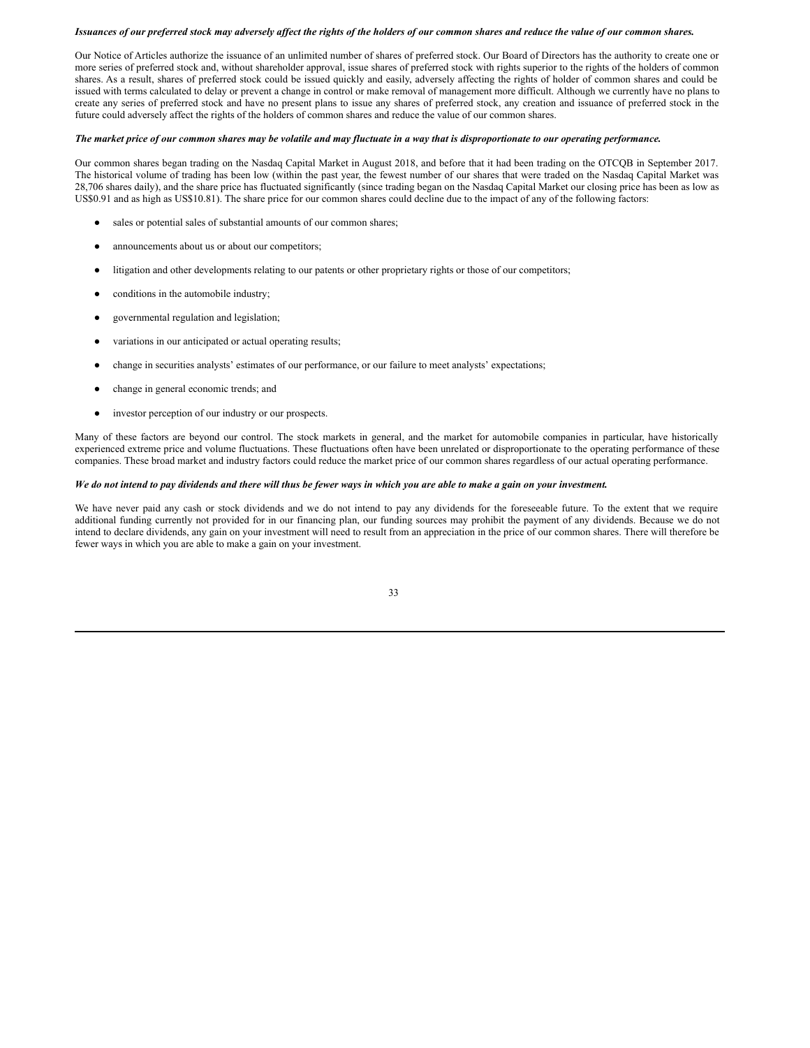#### Issuances of our preferred stock may adversely affect the rights of the holders of our common shares and reduce the value of our common shares.

Our Notice of Articles authorize the issuance of an unlimited number of shares of preferred stock. Our Board of Directors has the authority to create one or more series of preferred stock and, without shareholder approval, issue shares of preferred stock with rights superior to the rights of the holders of common shares. As a result, shares of preferred stock could be issued quickly and easily, adversely affecting the rights of holder of common shares and could be issued with terms calculated to delay or prevent a change in control or make removal of management more difficult. Although we currently have no plans to create any series of preferred stock and have no present plans to issue any shares of preferred stock, any creation and issuance of preferred stock in the future could adversely affect the rights of the holders of common shares and reduce the value of our common shares.

#### The market price of our common shares may be volatile and may fluctuate in a way that is disproportionate to our operating performance.

Our common shares began trading on the Nasdaq Capital Market in August 2018, and before that it had been trading on the OTCQB in September 2017. The historical volume of trading has been low (within the past year, the fewest number of our shares that were traded on the Nasdaq Capital Market was 28,706 shares daily), and the share price has fluctuated significantly (since trading began on the Nasdaq Capital Market our closing price has been as low as US\$0.91 and as high as US\$10.81). The share price for our common shares could decline due to the impact of any of the following factors:

- sales or potential sales of substantial amounts of our common shares;
- announcements about us or about our competitors;
- litigation and other developments relating to our patents or other proprietary rights or those of our competitors;
- conditions in the automobile industry;
- governmental regulation and legislation;
- variations in our anticipated or actual operating results;
- change in securities analysts' estimates of our performance, or our failure to meet analysts' expectations;
- change in general economic trends; and
- investor perception of our industry or our prospects.

Many of these factors are beyond our control. The stock markets in general, and the market for automobile companies in particular, have historically experienced extreme price and volume fluctuations. These fluctuations often have been unrelated or disproportionate to the operating performance of these companies. These broad market and industry factors could reduce the market price of our common shares regardless of our actual operating performance.

#### We do not intend to pay dividends and there will thus be fewer ways in which you are able to make a gain on your investment.

We have never paid any cash or stock dividends and we do not intend to pay any dividends for the foreseeable future. To the extent that we require additional funding currently not provided for in our financing plan, our funding sources may prohibit the payment of any dividends. Because we do not intend to declare dividends, any gain on your investment will need to result from an appreciation in the price of our common shares. There will therefore be fewer ways in which you are able to make a gain on your investment.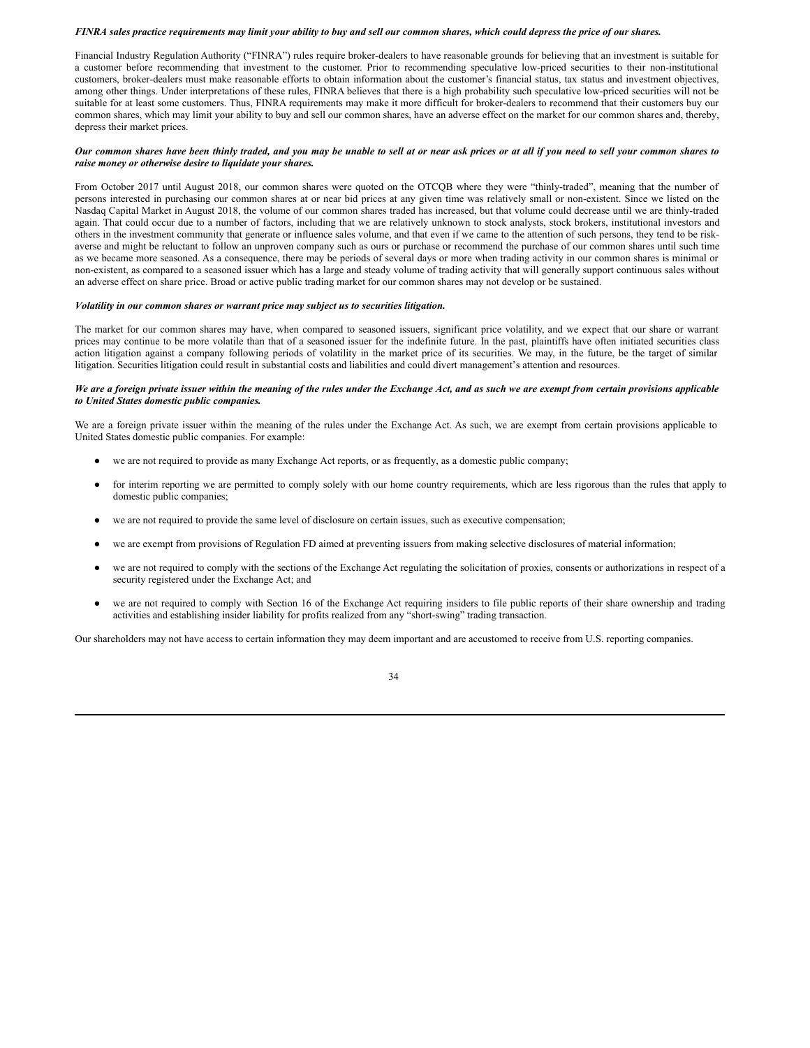#### FINRA sales practice requirements may limit your ability to buy and sell our common shares, which could depress the price of our shares.

Financial Industry Regulation Authority ("FINRA") rules require broker-dealers to have reasonable grounds for believing that an investment is suitable for a customer before recommending that investment to the customer. Prior to recommending speculative low-priced securities to their non-institutional customers, broker-dealers must make reasonable efforts to obtain information about the customer's financial status, tax status and investment objectives, among other things. Under interpretations of these rules, FINRA believes that there is a high probability such speculative low-priced securities will not be suitable for at least some customers. Thus, FINRA requirements may make it more difficult for broker-dealers to recommend that their customers buy our common shares, which may limit your ability to buy and sell our common shares, have an adverse effect on the market for our common shares and, thereby, depress their market prices.

#### Our common shares have been thinly traded, and you may be unable to sell at or near ask prices or at all if you need to sell your common shares to *raise money or otherwise desire to liquidate your shares.*

From October 2017 until August 2018, our common shares were quoted on the OTCQB where they were "thinly-traded", meaning that the number of persons interested in purchasing our common shares at or near bid prices at any given time was relatively small or non-existent. Since we listed on the Nasdaq Capital Market in August 2018, the volume of our common shares traded has increased, but that volume could decrease until we are thinly-traded again. That could occur due to a number of factors, including that we are relatively unknown to stock analysts, stock brokers, institutional investors and others in the investment community that generate or influence sales volume, and that even if we came to the attention of such persons, they tend to be riskaverse and might be reluctant to follow an unproven company such as ours or purchase or recommend the purchase of our common shares until such time as we became more seasoned. As a consequence, there may be periods of several days or more when trading activity in our common shares is minimal or non-existent, as compared to a seasoned issuer which has a large and steady volume of trading activity that will generally support continuous sales without an adverse effect on share price. Broad or active public trading market for our common shares may not develop or be sustained.

#### *Volatility in our common shares or warrant price may subject us to securities litigation.*

The market for our common shares may have, when compared to seasoned issuers, significant price volatility, and we expect that our share or warrant prices may continue to be more volatile than that of a seasoned issuer for the indefinite future. In the past, plaintiffs have often initiated securities class action litigation against a company following periods of volatility in the market price of its securities. We may, in the future, be the target of similar litigation. Securities litigation could result in substantial costs and liabilities and could divert management's attention and resources.

#### We are a foreign private issuer within the meaning of the rules under the Exchange Act, and as such we are exempt from certain provisions applicable *to United States domestic public companies.*

We are a foreign private issuer within the meaning of the rules under the Exchange Act. As such, we are exempt from certain provisions applicable to United States domestic public companies. For example:

- we are not required to provide as many Exchange Act reports, or as frequently, as a domestic public company;
- for interim reporting we are permitted to comply solely with our home country requirements, which are less rigorous than the rules that apply to domestic public companies;
- we are not required to provide the same level of disclosure on certain issues, such as executive compensation;
- we are exempt from provisions of Regulation FD aimed at preventing issuers from making selective disclosures of material information;
- we are not required to comply with the sections of the Exchange Act regulating the solicitation of proxies, consents or authorizations in respect of a security registered under the Exchange Act; and
- we are not required to comply with Section 16 of the Exchange Act requiring insiders to file public reports of their share ownership and trading activities and establishing insider liability for profits realized from any "short-swing" trading transaction.

Our shareholders may not have access to certain information they may deem important and are accustomed to receive from U.S. reporting companies.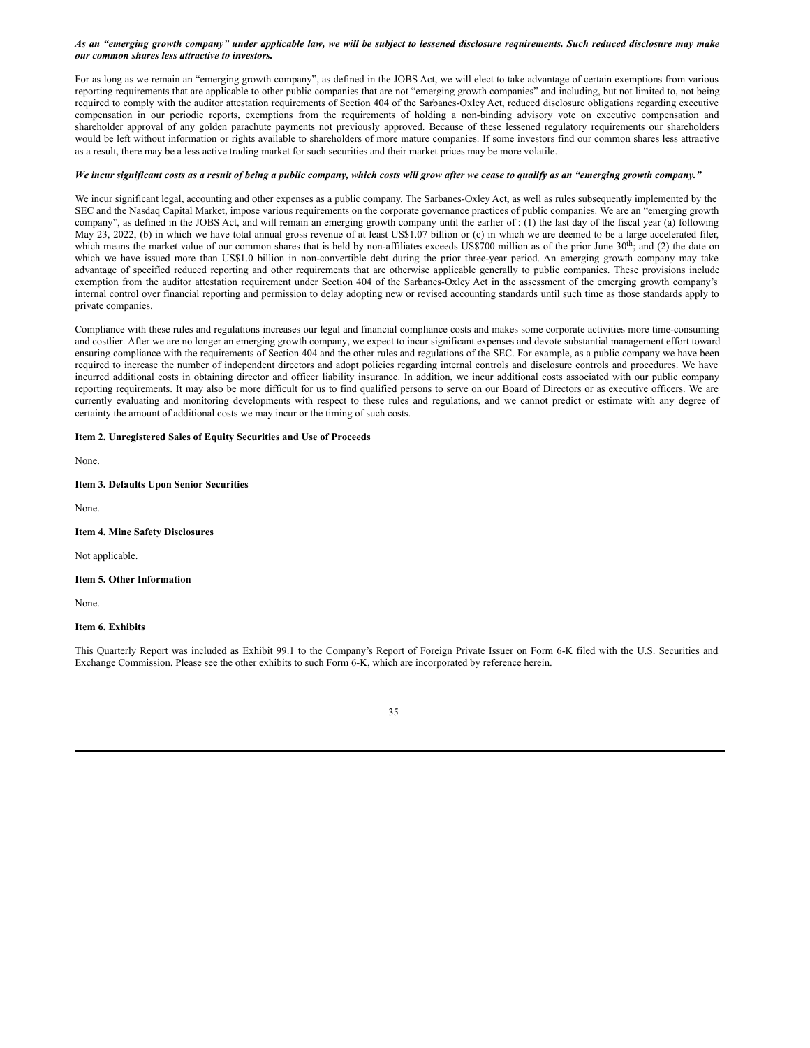## As an "emerging growth company" under applicable law, we will be subject to lessened disclosure requirements. Such reduced disclosure may make *our common shares less attractive to investors.*

For as long as we remain an "emerging growth company", as defined in the JOBS Act, we will elect to take advantage of certain exemptions from various reporting requirements that are applicable to other public companies that are not "emerging growth companies" and including, but not limited to, not being required to comply with the auditor attestation requirements of Section 404 of the Sarbanes-Oxley Act, reduced disclosure obligations regarding executive compensation in our periodic reports, exemptions from the requirements of holding a non-binding advisory vote on executive compensation and shareholder approval of any golden parachute payments not previously approved. Because of these lessened regulatory requirements our shareholders would be left without information or rights available to shareholders of more mature companies. If some investors find our common shares less attractive as a result, there may be a less active trading market for such securities and their market prices may be more volatile.

## We incur significant costs as a result of being a public company, which costs will grow after we cease to qualify as an "emerging growth company."

We incur significant legal, accounting and other expenses as a public company. The Sarbanes-Oxley Act, as well as rules subsequently implemented by the SEC and the Nasdaq Capital Market, impose various requirements on the corporate governance practices of public companies. We are an "emerging growth company", as defined in the JOBS Act, and will remain an emerging growth company until the earlier of : (1) the last day of the fiscal year (a) following May 23, 2022, (b) in which we have total annual gross revenue of at least US\$1.07 billion or (c) in which we are deemed to be a large accelerated filer, which means the market value of our common shares that is held by non-affiliates exceeds US\$700 million as of the prior June 30<sup>th</sup>; and (2) the date on which we have issued more than US\$1.0 billion in non-convertible debt during the prior three-year period. An emerging growth company may take advantage of specified reduced reporting and other requirements that are otherwise applicable generally to public companies. These provisions include exemption from the auditor attestation requirement under Section 404 of the Sarbanes-Oxley Act in the assessment of the emerging growth company's internal control over financial reporting and permission to delay adopting new or revised accounting standards until such time as those standards apply to private companies.

Compliance with these rules and regulations increases our legal and financial compliance costs and makes some corporate activities more time-consuming and costlier. After we are no longer an emerging growth company, we expect to incur significant expenses and devote substantial management effort toward ensuring compliance with the requirements of Section 404 and the other rules and regulations of the SEC. For example, as a public company we have been required to increase the number of independent directors and adopt policies regarding internal controls and disclosure controls and procedures. We have incurred additional costs in obtaining director and officer liability insurance. In addition, we incur additional costs associated with our public company reporting requirements. It may also be more difficult for us to find qualified persons to serve on our Board of Directors or as executive officers. We are currently evaluating and monitoring developments with respect to these rules and regulations, and we cannot predict or estimate with any degree of certainty the amount of additional costs we may incur or the timing of such costs.

#### **Item 2. Unregistered Sales of Equity Securities and Use of Proceeds**

None.

# **Item 3. Defaults Upon Senior Securities**

None.

**Item 4. Mine Safety Disclosures**

Not applicable.

# **Item 5. Other Information**

None.

## **Item 6. Exhibits**

This Quarterly Report was included as Exhibit 99.1 to the Company's Report of Foreign Private Issuer on Form 6-K filed with the U.S. Securities and Exchange Commission. Please see the other exhibits to such Form 6-K, which are incorporated by reference herein.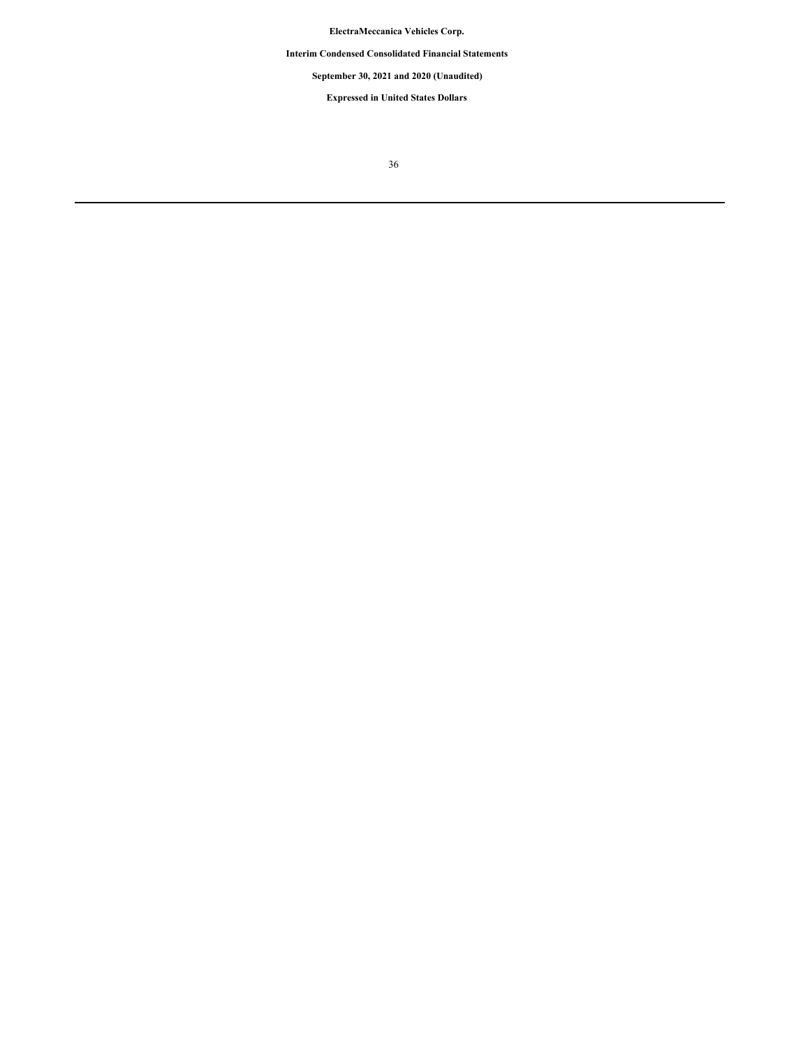**ElectraMeccanica Vehicles Corp.**

**Interim Condensed Consolidated Financial Statements**

**September 30, 2021 and 2020 (Unaudited)**

**Expressed in United States Dollars**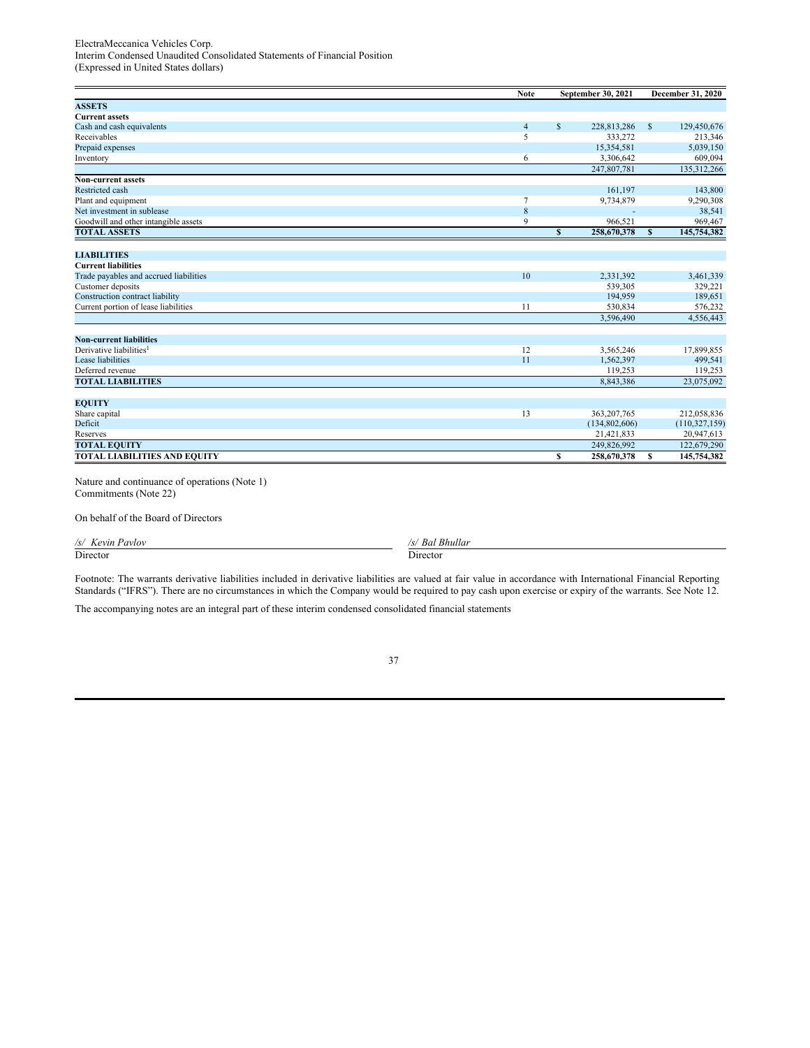ElectraMeccanica Vehicles Corp. Interim Condensed Unaudited Consolidated Statements of Financial Position (Expressed in United States dollars)

|                                        | <b>Note</b>    | September 30, 2021 |                 | December 31, 2020 |                 |
|----------------------------------------|----------------|--------------------|-----------------|-------------------|-----------------|
| <b>ASSETS</b>                          |                |                    |                 |                   |                 |
| <b>Current assets</b>                  |                |                    |                 |                   |                 |
| Cash and cash equivalents              | $\overline{4}$ | $\mathbb{S}$       | 228,813,286     | $\mathbf{s}$      | 129,450,676     |
| Receivables                            | 5              |                    | 333,272         |                   | 213,346         |
| Prepaid expenses                       |                |                    | 15,354,581      |                   | 5,039,150       |
| Inventory                              | 6              |                    | 3,306,642       |                   | 609,094         |
|                                        |                |                    | 247,807,781     |                   | 135,312,266     |
| <b>Non-current assets</b>              |                |                    |                 |                   |                 |
| Restricted cash                        |                |                    | 161,197         |                   | 143,800         |
| Plant and equipment                    | $\overline{7}$ |                    | 9,734,879       |                   | 9,290,308       |
| Net investment in sublease             | 8              |                    |                 |                   | 38,541          |
| Goodwill and other intangible assets   | $\mathbf Q$    |                    | 966,521         |                   | 969,467         |
| <b>TOTAL ASSETS</b>                    |                | S                  | 258,670,378     | S.                | 145,754,382     |
|                                        |                |                    |                 |                   |                 |
| <b>LIABILITIES</b>                     |                |                    |                 |                   |                 |
| <b>Current liabilities</b>             |                |                    |                 |                   |                 |
| Trade payables and accrued liabilities | 10             |                    | 2,331,392       |                   | 3,461,339       |
| Customer deposits                      |                |                    | 539,305         |                   | 329,221         |
| Construction contract liability        |                |                    | 194,959         |                   | 189,651         |
| Current portion of lease liabilities   | 11             |                    | 530,834         |                   | 576,232         |
|                                        |                |                    | 3,596,490       |                   | 4,556,443       |
| <b>Non-current liabilities</b>         |                |                    |                 |                   |                 |
| Derivative liabilities <sup>1</sup>    | 12             |                    | 3,565,246       |                   | 17,899,855      |
| <b>Lease</b> liabilities               | 11             |                    | 1,562,397       |                   | 499,541         |
| Deferred revenue                       |                |                    | 119,253         |                   | 119,253         |
| <b>TOTAL LIABILITIES</b>               |                |                    | 8,843,386       |                   | 23,075,092      |
|                                        |                |                    |                 |                   |                 |
| <b>EOUITY</b>                          |                |                    |                 |                   |                 |
| Share capital                          | 13             |                    | 363, 207, 765   |                   | 212,058,836     |
| Deficit                                |                |                    | (134, 802, 606) |                   | (110, 327, 159) |
| Reserves                               |                |                    | 21,421,833      |                   | 20,947,613      |
| <b>TOTAL EQUITY</b>                    |                |                    | 249,826,992     |                   | 122,679,290     |
| <b>TOTAL LIABILITIES AND EQUITY</b>    |                | S                  | 258,670,378     | s                 | 145,754,382     |

Nature and continuance of operations (Note 1) Commitments (Note 22)

On behalf of the Board of Directors

*/s/ Kevin Pavlov /s/ Bal Bhullar* Director Director

Footnote: The warrants derivative liabilities included in derivative liabilities are valued at fair value in accordance with International Financial Reporting Standards ("IFRS"). There are no circumstances in which the Company would be required to pay cash upon exercise or expiry of the warrants. See Note 12.

The accompanying notes are an integral part of these interim condensed consolidated financial statements

| ł<br>ł<br>×<br>v | I |  |
|------------------|---|--|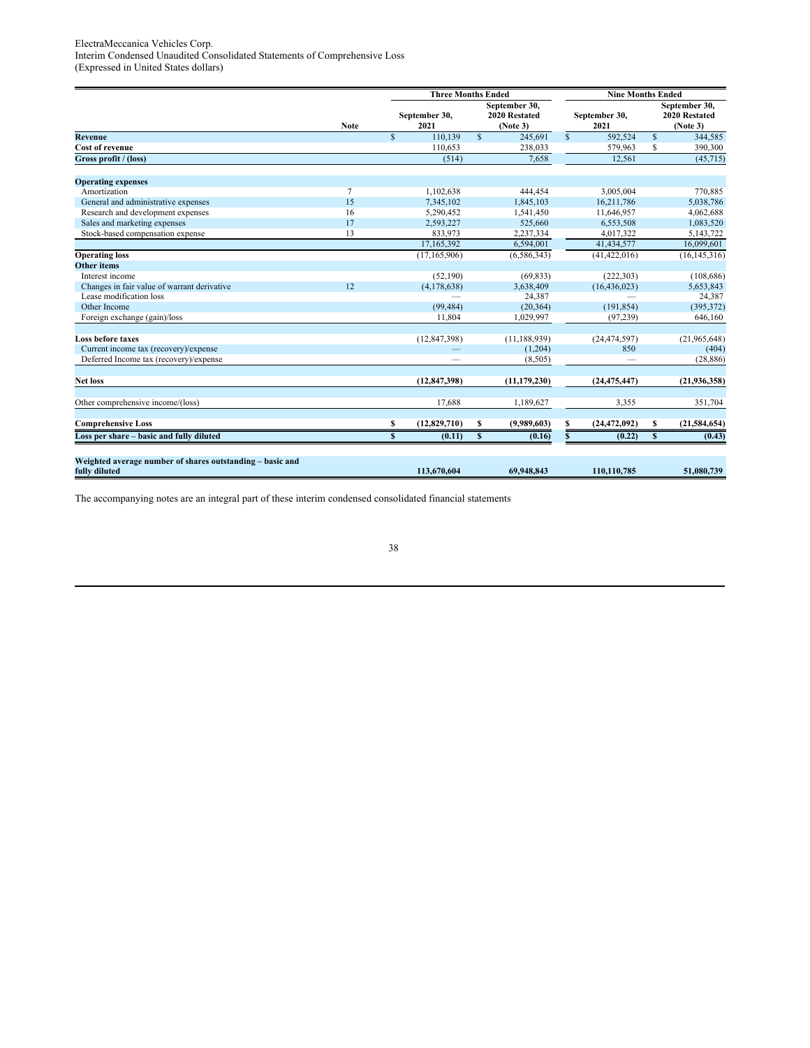ElectraMeccanica Vehicles Corp. Interim Condensed Unaudited Consolidated Statements of Comprehensive Loss (Expressed in United States dollars)

|                                                                            |                |             | <b>Three Months Ended</b> |              |                |              | <b>Nine Months Ended</b> |              |                |
|----------------------------------------------------------------------------|----------------|-------------|---------------------------|--------------|----------------|--------------|--------------------------|--------------|----------------|
|                                                                            |                |             |                           |              | September 30,  |              |                          |              | September 30,  |
|                                                                            |                |             | September 30,             |              | 2020 Restated  |              | September 30,            |              | 2020 Restated  |
|                                                                            | <b>Note</b>    |             | 2021                      |              | (Note 3)       |              | 2021                     |              | (Note 3)       |
| Revenue                                                                    |                | $\mathbf S$ | 110.139                   | $\mathbf{s}$ | 245,691        | $\mathbb{S}$ | 592.524                  | $\mathbb{S}$ | 344,585        |
| Cost of revenue                                                            |                |             | 110,653                   |              | 238,033        |              | 579,963                  | S            | 390,300        |
| Gross profit / (loss)                                                      |                |             | (514)                     |              | 7.658          |              | 12.561                   |              | (45, 715)      |
| <b>Operating expenses</b>                                                  |                |             |                           |              |                |              |                          |              |                |
| Amortization                                                               | $\overline{7}$ |             | 1,102,638                 |              | 444,454        |              | 3,005,004                |              | 770,885        |
| General and administrative expenses                                        | 15             |             | 7,345,102                 |              | 1,845,103      |              | 16,211,786               |              | 5,038,786      |
| Research and development expenses                                          | 16             |             | 5,290,452                 |              | 1,541,450      |              | 11,646,957               |              | 4,062,688      |
| Sales and marketing expenses                                               | 17             |             | 2,593,227                 |              | 525,660        |              | 6,553,508                |              | 1,083,520      |
| Stock-based compensation expense                                           | 13             |             | 833,973                   |              | 2,237,334      |              | 4,017,322                |              | 5,143,722      |
|                                                                            |                |             | 17,165,392                |              | 6,594,001      |              | 41,434,577               |              | 16,099,601     |
| <b>Operating loss</b>                                                      |                |             | (17, 165, 906)            |              | (6, 586, 343)  |              | (41, 422, 016)           |              | (16, 145, 316) |
| Other items                                                                |                |             |                           |              |                |              |                          |              |                |
| Interest income                                                            |                |             | (52,190)                  |              | (69, 833)      |              | (222, 303)               |              | (108, 686)     |
| Changes in fair value of warrant derivative                                | 12             |             | (4,178,638)               |              | 3,638,409      |              | (16, 436, 023)           |              | 5,653,843      |
| Lease modification loss                                                    |                |             |                           |              | 24,387         |              |                          |              | 24,387         |
| Other Income                                                               |                |             | (99, 484)                 |              | (20, 364)      |              | (191, 854)               |              | (395, 372)     |
| Foreign exchange (gain)/loss                                               |                |             | 11,804                    |              | 1,029,997      |              | (97, 239)                |              | 646,160        |
| <b>Loss before taxes</b>                                                   |                |             | (12, 847, 398)            |              | (11, 188, 939) |              | (24, 474, 597)           |              | (21,965,648)   |
| Current income tax (recovery)/expense                                      |                |             |                           |              | (1,204)        |              | 850                      |              | (404)          |
| Deferred Income tax (recovery)/expense                                     |                |             |                           |              | (8,505)        |              |                          |              | (28, 886)      |
| <b>Net loss</b>                                                            |                |             | (12, 847, 398)            |              | (11, 179, 230) |              | (24, 475, 447)           |              | (21, 936, 358) |
|                                                                            |                |             |                           |              |                |              |                          |              |                |
| Other comprehensive income/(loss)                                          |                |             | 17,688                    |              | 1,189,627      |              | 3,355                    |              | 351,704        |
| <b>Comprehensive Loss</b>                                                  |                | \$          | (12,829,710)              | S            | (9,989,603)    | s            | (24, 472, 092)           | S            | (21, 584, 654) |
| Loss per share - basic and fully diluted                                   |                | $\mathbf S$ | (0.11)                    | $\mathbf{s}$ | (0.16)         | $\mathbf{s}$ | (0.22)                   | $\mathbf{s}$ | (0.43)         |
|                                                                            |                |             |                           |              |                |              |                          |              |                |
| Weighted average number of shares outstanding – basic and<br>fully diluted |                |             | 113,670,604               |              | 69.948.843     |              | 110,110,785              |              | 51.080.739     |

The accompanying notes are an integral part of these interim condensed consolidated financial statements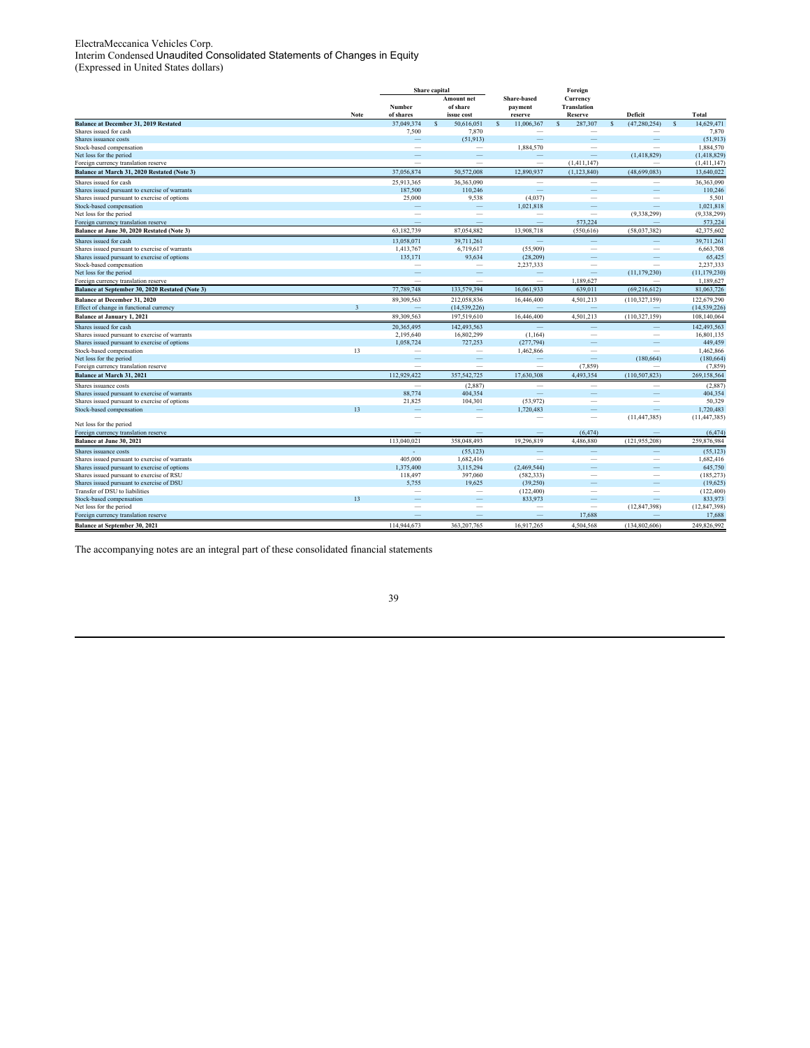## ElectraMeccanica Vehicles Corp. Interim Condensed Unaudited Consolidated Statements of Changes in Equity (Expressed in United States dollars)

|                                                 |              |                          | Share capital              |                                        | Foreign                                              |                                      |                            |
|-------------------------------------------------|--------------|--------------------------|----------------------------|----------------------------------------|------------------------------------------------------|--------------------------------------|----------------------------|
|                                                 |              |                          | Amount net                 | Share-based                            | Currency                                             |                                      |                            |
|                                                 |              | Number                   | of share                   | payment                                | <b>Translation</b>                                   |                                      |                            |
|                                                 | Note         | of shares                | issue cost                 | reserve                                | <b>Reserve</b>                                       | Deficit                              | <b>Total</b>               |
| <b>Balance at December 31, 2019 Restated</b>    |              | 37,049,374               | $\mathbf{S}$<br>50,616,051 | 11,006,367<br>S                        | 287,307<br>S                                         | (47, 280, 254)<br>$\mathbf{\hat{S}}$ | 14,629,471<br><sub>S</sub> |
| Shares issued for cash                          |              | 7,500                    | 7,870                      |                                        |                                                      |                                      | 7,870                      |
| Shares issuance costs                           |              |                          | (51, 913)                  |                                        |                                                      |                                      | (51, 913)                  |
| Stock-based compensation                        |              | -                        |                            | 1,884,570<br>$\overline{\phantom{a}}$  | $\overline{\phantom{a}}$                             | $\overline{\phantom{a}}$             | 1,884,570                  |
| Net loss for the period                         |              |                          |                            |                                        |                                                      | (1,418,829)                          | (1, 418, 829)              |
| Foreign currency translation reserve            |              |                          |                            |                                        | (1,411,147)                                          |                                      | (1,411,147)                |
| Balance at March 31, 2020 Restated (Note 3)     |              | 37,056,874               | 50,572,008                 | 12,890,937                             | (1.123.840)                                          | (48.699.083)                         | 13.640.022                 |
| Shares issued for cash                          |              | 25.913.365               | 36,363,090                 |                                        | $\overline{\phantom{0}}$<br>$\overline{\phantom{0}}$ | $\overline{\phantom{a}}$             | 36,363,090                 |
| Shares issued pursuant to exercise of warrants  |              | 187,500                  | 110,246                    |                                        | -<br>-                                               |                                      | 110,246                    |
| Shares issued pursuant to exercise of options   |              | 25,000                   | 9,538                      | (4,037)                                | $\overline{\phantom{a}}$                             |                                      | 5,501                      |
| Stock-based compensation                        |              |                          |                            | 1,021,818                              |                                                      |                                      | 1,021,818                  |
| Net loss for the period                         |              | $\overline{\phantom{a}}$ |                            | $\overline{\phantom{a}}$               | $\overline{\phantom{a}}$                             | (9,338,299)                          | (9,338,299)                |
| Foreign currency translation reserve            |              |                          |                            |                                        | 573,224                                              |                                      | 573,224                    |
| Balance at June 30, 2020 Restated (Note 3)      |              | 63,182,739               | 87.054.882                 | 13,908,718                             | (550, 616)                                           | (58.037.382)                         | 42,375,602                 |
| Shares issued for cash                          |              | 13,058,071               | 39,711,261                 |                                        |                                                      |                                      | 39,711,261                 |
| Shares issued pursuant to exercise of warrants  |              | 1,413,767                | 6,719,617                  | (55,909)                               | $\overline{\phantom{a}}$                             |                                      | 6,663,708                  |
| Shares issued pursuant to exercise of options   |              | 135,171                  | 93,634                     | (28, 209)                              |                                                      |                                      | 65,425                     |
| Stock-based compensation                        |              | $\overline{\phantom{a}}$ |                            | 2,237,333<br>$\sim$                    | $\overline{\phantom{a}}$                             |                                      | 2,237,333                  |
| Net loss for the period                         |              | $\overline{\phantom{a}}$ |                            | $\overline{\phantom{a}}$               | -                                                    | (11, 179, 230)                       | (11, 179, 230)             |
| Foreign currency translation reserve            |              |                          |                            |                                        | 1,189,627                                            |                                      | 1,189,627                  |
| Balance at September 30, 2020 Restated (Note 3) |              | 77,789,748               | 133,579,394                | 16,061,933                             | 639,011                                              | (69, 216, 612)                       | 81,063,726                 |
| Balance at December 31, 2020                    |              | 89,309,563               | 212,058,836                | 16,446,400                             | 4,501,213                                            | (110, 327, 159)                      | 122,679,290                |
| Effect of change in functional currency         | $\mathbf{3}$ |                          | (14, 539, 226)             |                                        |                                                      |                                      | (14, 539, 226)             |
| <b>Balance at January 1, 2021</b>               |              | 89,309,563               | 197,519,610                | 16,446,400                             | 4.501.213                                            | (110.327.159)                        | 108,140,064                |
| Shares issued for cash                          |              | 20.365.495               | 142,493,563                |                                        |                                                      |                                      | 142,493,563                |
| Shares issued pursuant to exercise of warrants  |              | 2,195,640                | 16,802,299                 | (1, 164)                               | -                                                    |                                      | 16,801,135                 |
| Shares issued pursuant to exercise of options   |              | 1,058,724                | 727,253                    | (277, 794)                             |                                                      |                                      | 449,459                    |
| Stock-based compensation                        | 13           | $\overline{\phantom{0}}$ |                            | 1,462,866<br>$\overline{\phantom{a}}$  | $\overline{\phantom{a}}$                             |                                      | 1,462,866                  |
| Net loss for the period                         |              | -                        |                            | -                                      | -                                                    | (180, 664)                           | (180, 664)                 |
| Foreign currency translation reserve            |              |                          |                            |                                        | (7, 859)                                             |                                      | (7,859)                    |
| <b>Balance at March 31, 2021</b>                |              | 112.929.422              | 357,542,725                | 17.630.308                             | 4.493.354                                            | (110.507.823)                        | 269,158,564                |
| Shares issuance costs                           |              |                          | (2,887)                    |                                        | $\overline{\phantom{0}}$<br>$\overline{\phantom{a}}$ |                                      | (2,887)                    |
| Shares issued pursuant to exercise of warrants  |              | 88,774                   | 404,354                    |                                        |                                                      |                                      | 404,354                    |
| Shares issued pursuant to exercise of options   |              | 21,825                   | 104,301                    | (53, 972)                              | $\overline{\phantom{a}}$                             |                                      | 50,329                     |
| Stock-based compensation                        | 13           |                          |                            | 1,720,483                              |                                                      |                                      | 1,720,483                  |
|                                                 |              |                          |                            |                                        | $\overline{\phantom{a}}$                             | (11, 447, 385)                       | (11, 447, 385)             |
| Net loss for the period                         |              |                          |                            |                                        |                                                      |                                      |                            |
| Foreign currency translation reserve            |              | $\overline{\phantom{a}}$ |                            | $\overline{\phantom{0}}$               | (6, 474)<br>$\overline{\phantom{a}}$                 | -                                    | (6, 474)                   |
| Balance at June 30, 2021                        |              | 113,040,021              | 358,048,493                | 19,296,819                             | 4,486,880                                            | (121, 955, 208)                      | 259,876,984                |
| Shares issuance costs                           |              |                          | (55, 123)                  |                                        |                                                      |                                      | (55, 123)                  |
| Shares issued pursuant to exercise of warrants  |              | 405,000                  | 1,682,416                  |                                        | -                                                    |                                      | 1,682,416                  |
| Shares issued pursuant to exercise of options   |              | 1,375,400                | 3,115,294                  | (2,469,544)                            |                                                      |                                      | 645,750                    |
| Shares issued pursuant to exercise of RSU       |              | 118,497                  | 397,060                    | (582, 333)                             |                                                      |                                      | (185, 273)                 |
| Shares issued pursuant to exercise of DSU       |              | 5,755                    | 19,625                     | (39, 250)                              |                                                      |                                      | (19,625)                   |
| Transfer of DSU to liabilities                  |              | -                        |                            | (122, 400)<br>$\overline{\phantom{a}}$ |                                                      |                                      | (122, 400)                 |
| Stock-based compensation                        | 13           |                          |                            | 833,973                                |                                                      |                                      | 833,973                    |
| Net loss for the period                         |              | -                        |                            | $\overline{\phantom{a}}$               | $\overline{\phantom{a}}$                             | (12, 847, 398)                       | (12, 847, 398)             |
| Foreign currency translation reserve            |              |                          |                            |                                        | 17.688                                               |                                      | 17,688                     |
| <b>Balance at September 30, 2021</b>            |              | 114,944,673              | 363,207,765                | 16.917.265                             | 4.504.568                                            | (134,802,606)                        | 249.826.992                |

The accompanying notes are an integral part of these consolidated financial statements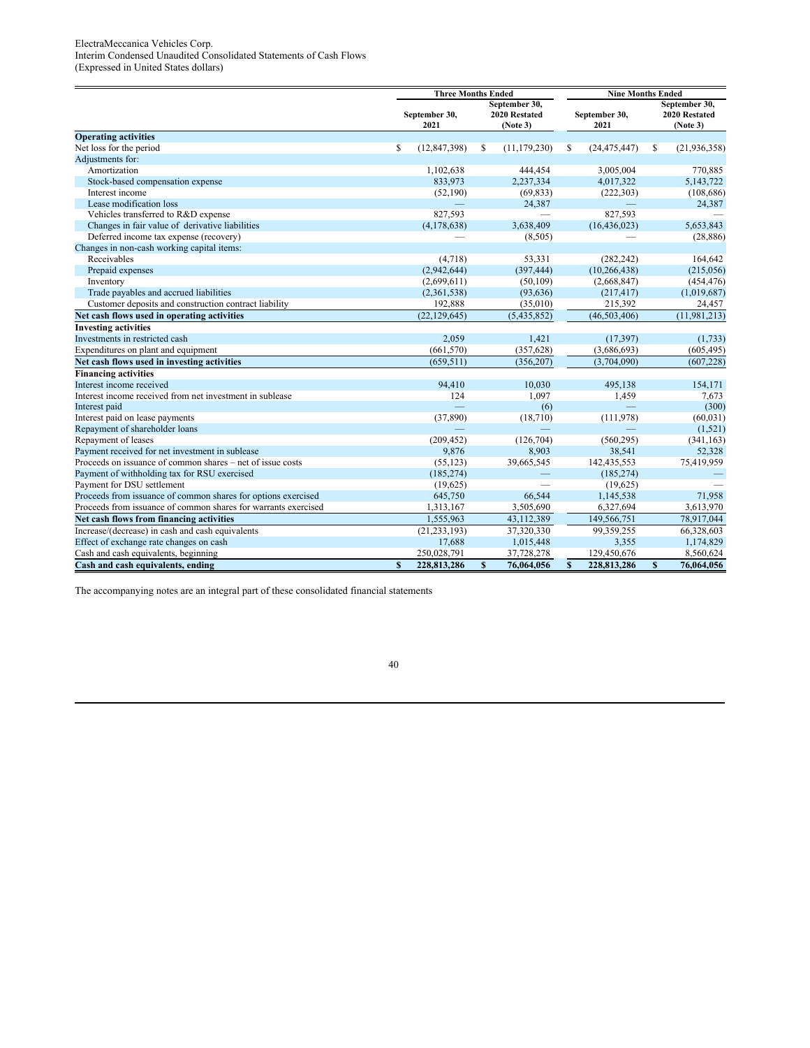## ElectraMeccanica Vehicles Corp. Interim Condensed Unaudited Consolidated Statements of Cash Flows (Expressed in United States dollars)

|                                                                |              | <b>Three Months Ended</b> |             |                                            |    | <b>Nine Months Ended</b> |              |                                            |  |
|----------------------------------------------------------------|--------------|---------------------------|-------------|--------------------------------------------|----|--------------------------|--------------|--------------------------------------------|--|
|                                                                |              | September 30,<br>2021     |             | September 30,<br>2020 Restated<br>(Note 3) |    | September 30,<br>2021    |              | September 30,<br>2020 Restated<br>(Note 3) |  |
| <b>Operating activities</b>                                    |              |                           |             |                                            |    |                          |              |                                            |  |
| Net loss for the period                                        | \$           | (12, 847, 398)            | S           | (11, 179, 230)                             | \$ | (24, 475, 447)           | \$           | (21, 936, 358)                             |  |
| Adjustments for:                                               |              |                           |             |                                            |    |                          |              |                                            |  |
| Amortization                                                   |              | 1,102,638                 |             | 444,454                                    |    | 3,005,004                |              | 770,885                                    |  |
| Stock-based compensation expense                               |              | 833,973                   |             | 2,237,334                                  |    | 4,017,322                |              | 5,143,722                                  |  |
| Interest income                                                |              | (52, 190)                 |             | (69, 833)                                  |    | (222, 303)               |              | (108, 686)                                 |  |
| Lease modification loss                                        |              |                           |             | 24,387                                     |    |                          |              | 24,387                                     |  |
| Vehicles transferred to R&D expense                            |              | 827,593                   |             |                                            |    | 827,593                  |              |                                            |  |
| Changes in fair value of derivative liabilities                |              | (4,178,638)               |             | 3,638,409                                  |    | (16, 436, 023)           |              | 5,653,843                                  |  |
| Deferred income tax expense (recovery)                         |              |                           |             | (8,505)                                    |    |                          |              | (28, 886)                                  |  |
| Changes in non-cash working capital items:                     |              |                           |             |                                            |    |                          |              |                                            |  |
| Receivables                                                    |              | (4,718)                   |             | 53,331                                     |    | (282, 242)               |              | 164,642                                    |  |
| Prepaid expenses                                               |              | (2,942,644)               |             | (397, 444)                                 |    | (10, 266, 438)           |              | (215,056)                                  |  |
| Inventory                                                      |              | (2,699,611)               |             | (50, 109)                                  |    | (2,668,847)              |              | (454, 476)                                 |  |
| Trade payables and accrued liabilities                         |              | (2,361,538)               |             | (93, 636)                                  |    | (217, 417)               |              | (1,019,687)                                |  |
| Customer deposits and construction contract liability          |              | 192,888                   |             | (35,010)                                   |    | 215,392                  |              | 24,457                                     |  |
| Net cash flows used in operating activities                    |              | (22, 129, 645)            |             | (5,435,852)                                |    | (46, 503, 406)           |              | (11, 981, 213)                             |  |
| <b>Investing activities</b>                                    |              |                           |             |                                            |    |                          |              |                                            |  |
| Investments in restricted cash                                 |              | 2,059                     |             | 1,421                                      |    | (17, 397)                |              | (1,733)                                    |  |
| Expenditures on plant and equipment                            |              | (661, 570)                |             | (357, 628)                                 |    | (3,686,693)              |              | (605, 495)                                 |  |
| Net cash flows used in investing activities                    |              | (659, 511)                |             | (356, 207)                                 |    | (3,704,090)              |              | (607, 228)                                 |  |
| <b>Financing activities</b>                                    |              |                           |             |                                            |    |                          |              |                                            |  |
| Interest income received                                       |              | 94,410                    |             | 10,030                                     |    | 495,138                  |              | 154,171                                    |  |
| Interest income received from net investment in sublease       |              | 124                       |             | 1,097                                      |    | 1,459                    |              | 7,673                                      |  |
| Interest paid                                                  |              |                           |             | (6)                                        |    |                          |              | (300)                                      |  |
| Interest paid on lease payments                                |              | (37, 890)                 |             | (18,710)                                   |    | (111,978)                |              | (60, 031)                                  |  |
| Repayment of shareholder loans                                 |              |                           |             |                                            |    |                          |              | (1, 521)                                   |  |
| Repayment of leases                                            |              | (209, 452)                |             | (126, 704)                                 |    | (560, 295)               |              | (341, 163)                                 |  |
| Payment received for net investment in sublease                |              | 9,876                     |             | 8,903                                      |    | 38,541                   |              | 52,328                                     |  |
| Proceeds on issuance of common shares – net of issue costs     |              | (55, 123)                 |             | 39,665,545                                 |    | 142,435,553              |              | 75,419,959                                 |  |
| Payment of withholding tax for RSU exercised                   |              | (185, 274)                |             |                                            |    | (185, 274)               |              |                                            |  |
| Payment for DSU settlement                                     |              | (19,625)                  |             |                                            |    | (19,625)                 |              |                                            |  |
| Proceeds from issuance of common shares for options exercised  |              | 645,750                   |             | 66,544                                     |    | 1,145,538                |              | 71,958                                     |  |
| Proceeds from issuance of common shares for warrants exercised |              | 1,313,167                 |             | 3,505,690                                  |    | 6,327,694                |              | 3,613,970                                  |  |
| Net cash flows from financing activities                       |              | 1,555,963                 |             | 43,112,389                                 |    | 149,566,751              |              | 78,917,044                                 |  |
| Increase/(decrease) in cash and cash equivalents               |              | (21, 233, 193)            |             | 37,320,330                                 |    | 99,359,255               |              | 66,328,603                                 |  |
| Effect of exchange rate changes on cash                        |              | 17,688                    |             | 1,015,448                                  |    | 3,355                    |              | 1,174,829                                  |  |
| Cash and cash equivalents, beginning                           |              | 250,028,791               |             | 37,728,278                                 |    | 129,450,676              |              | 8,560,624                                  |  |
| Cash and cash equivalents, ending                              | $\mathbf{s}$ | 228,813,286               | $\mathbf S$ | 76.064.056                                 | S  | 228.813.286              | $\mathbf{s}$ | 76,064,056                                 |  |

The accompanying notes are an integral part of these consolidated financial statements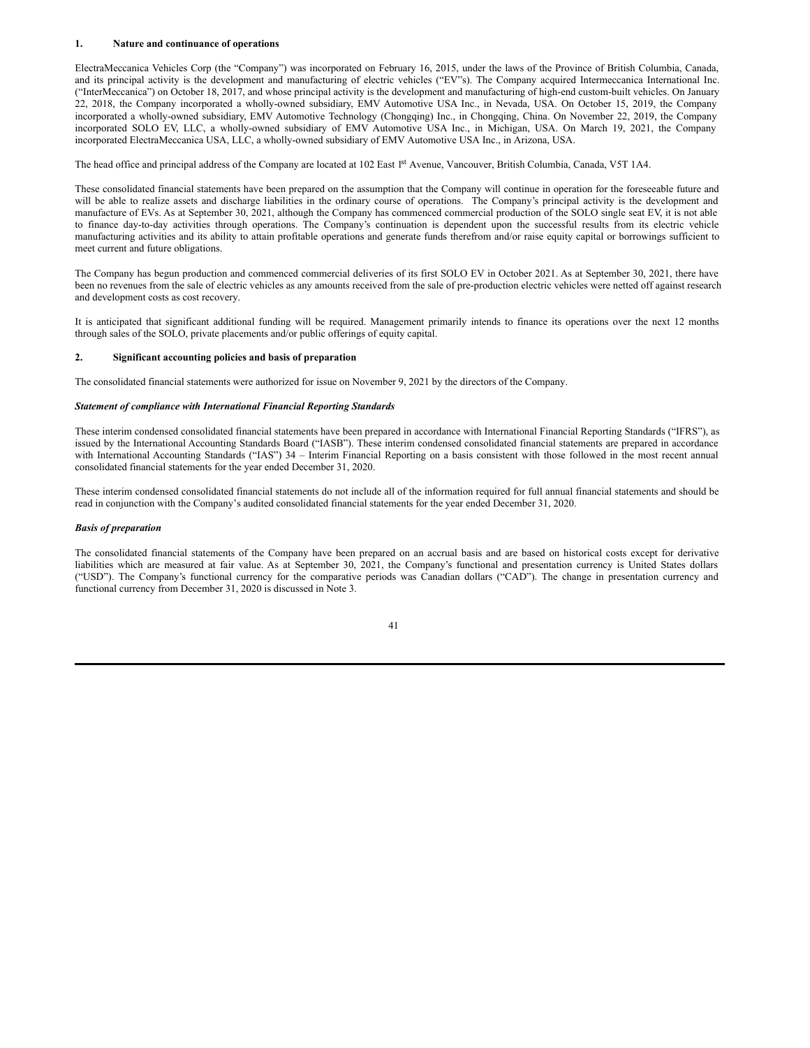## **1. Nature and continuance of operations**

ElectraMeccanica Vehicles Corp (the "Company") was incorporated on February 16, 2015, under the laws of the Province of British Columbia, Canada, and its principal activity is the development and manufacturing of electric vehicles ("EV"s). The Company acquired Intermeccanica International Inc. ("InterMeccanica") on October 18, 2017, and whose principal activity is the development and manufacturing of high-end custom-built vehicles. On January 22, 2018, the Company incorporated a wholly-owned subsidiary, EMV Automotive USA Inc., in Nevada, USA. On October 15, 2019, the Company incorporated a wholly-owned subsidiary, EMV Automotive Technology (Chongqing) Inc., in Chongqing, China. On November 22, 2019, the Company incorporated SOLO EV, LLC, a wholly-owned subsidiary of EMV Automotive USA Inc., in Michigan, USA. On March 19, 2021, the Company incorporated ElectraMeccanica USA, LLC, a wholly-owned subsidiary of EMV Automotive USA Inc., in Arizona, USA.

The head office and principal address of the Company are located at 102 East 1st Avenue, Vancouver, British Columbia, Canada, V5T 1A4.

These consolidated financial statements have been prepared on the assumption that the Company will continue in operation for the foreseeable future and will be able to realize assets and discharge liabilities in the ordinary course of operations. The Company's principal activity is the development and manufacture of EVs. As at September 30, 2021, although the Company has commenced commercial production of the SOLO single seat EV, it is not able to finance day-to-day activities through operations. The Company's continuation is dependent upon the successful results from its electric vehicle manufacturing activities and its ability to attain profitable operations and generate funds therefrom and/or raise equity capital or borrowings sufficient to meet current and future obligations.

The Company has begun production and commenced commercial deliveries of its first SOLO EV in October 2021. As at September 30, 2021, there have been no revenues from the sale of electric vehicles as any amounts received from the sale of pre-production electric vehicles were netted off against research and development costs as cost recovery.

It is anticipated that significant additional funding will be required. Management primarily intends to finance its operations over the next 12 months through sales of the SOLO, private placements and/or public offerings of equity capital.

## **2. Significant accounting policies and basis of preparation**

The consolidated financial statements were authorized for issue on November 9, 2021 by the directors of the Company.

#### *Statement of compliance with International Financial Reporting Standards*

These interim condensed consolidated financial statements have been prepared in accordance with International Financial Reporting Standards ("IFRS"), as issued by the International Accounting Standards Board ("IASB"). These interim condensed consolidated financial statements are prepared in accordance with International Accounting Standards ("IAS") 34 – Interim Financial Reporting on a basis consistent with those followed in the most recent annual consolidated financial statements for the year ended December 31, 2020.

These interim condensed consolidated financial statements do not include all of the information required for full annual financial statements and should be read in conjunction with the Company's audited consolidated financial statements for the year ended December 31, 2020.

#### *Basis of preparation*

The consolidated financial statements of the Company have been prepared on an accrual basis and are based on historical costs except for derivative liabilities which are measured at fair value. As at September 30, 2021, the Company's functional and presentation currency is United States dollars ("USD"). The Company's functional currency for the comparative periods was Canadian dollars ("CAD"). The change in presentation currency and functional currency from December 31, 2020 is discussed in Note 3.

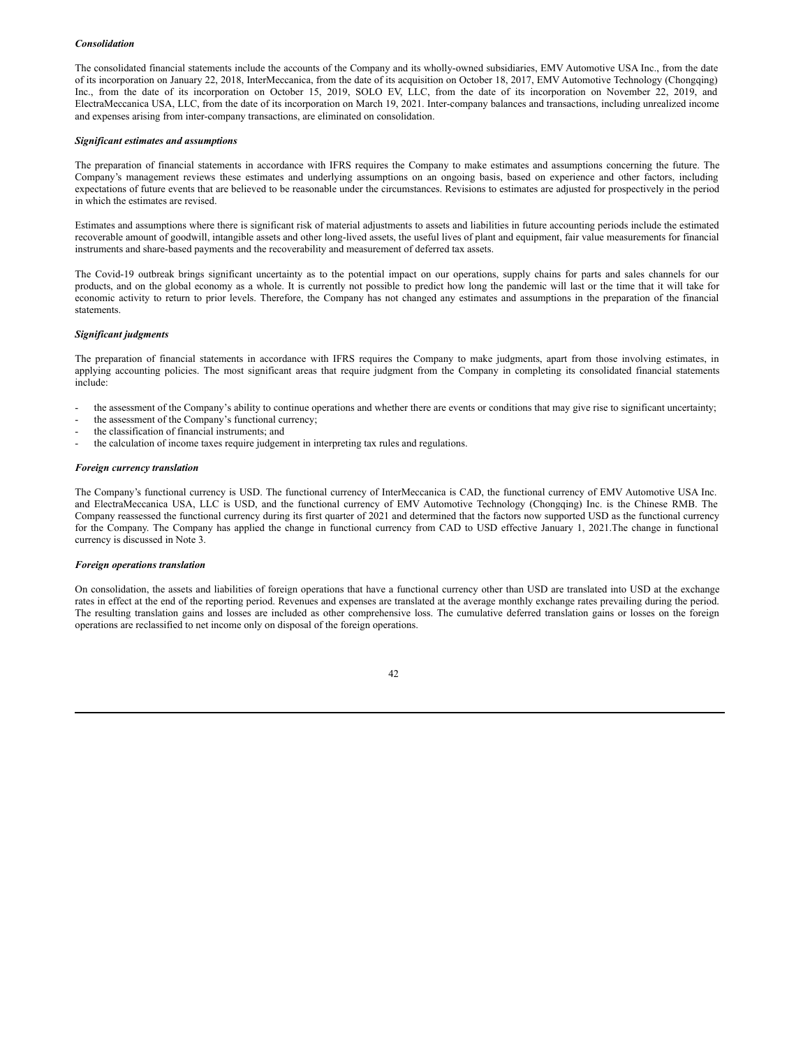#### *Consolidation*

The consolidated financial statements include the accounts of the Company and its wholly-owned subsidiaries, EMV Automotive USA Inc., from the date of its incorporation on January 22, 2018, InterMeccanica, from the date of its acquisition on October 18, 2017, EMV Automotive Technology (Chongqing) Inc., from the date of its incorporation on October 15, 2019, SOLO EV, LLC, from the date of its incorporation on November 22, 2019, and ElectraMeccanica USA, LLC, from the date of its incorporation on March 19, 2021. Inter-company balances and transactions, including unrealized income and expenses arising from inter-company transactions, are eliminated on consolidation.

#### *Significant estimates and assumptions*

The preparation of financial statements in accordance with IFRS requires the Company to make estimates and assumptions concerning the future. The Company's management reviews these estimates and underlying assumptions on an ongoing basis, based on experience and other factors, including expectations of future events that are believed to be reasonable under the circumstances. Revisions to estimates are adjusted for prospectively in the period in which the estimates are revised.

Estimates and assumptions where there is significant risk of material adjustments to assets and liabilities in future accounting periods include the estimated recoverable amount of goodwill, intangible assets and other long-lived assets, the useful lives of plant and equipment, fair value measurements for financial instruments and share-based payments and the recoverability and measurement of deferred tax assets.

The Covid-19 outbreak brings significant uncertainty as to the potential impact on our operations, supply chains for parts and sales channels for our products, and on the global economy as a whole. It is currently not possible to predict how long the pandemic will last or the time that it will take for economic activity to return to prior levels. Therefore, the Company has not changed any estimates and assumptions in the preparation of the financial statements.

#### *Significant judgments*

The preparation of financial statements in accordance with IFRS requires the Company to make judgments, apart from those involving estimates, in applying accounting policies. The most significant areas that require judgment from the Company in completing its consolidated financial statements include:

- the assessment of the Company's ability to continue operations and whether there are events or conditions that may give rise to significant uncertainty;
- the assessment of the Company's functional currency;
- the classification of financial instruments; and
- the calculation of income taxes require judgement in interpreting tax rules and regulations.

#### *Foreign currency translation*

The Company's functional currency is USD. The functional currency of InterMeccanica is CAD, the functional currency of EMV Automotive USA Inc. and ElectraMeccanica USA, LLC is USD, and the functional currency of EMV Automotive Technology (Chongqing) Inc. is the Chinese RMB. The Company reassessed the functional currency during its first quarter of 2021 and determined that the factors now supported USD as the functional currency for the Company. The Company has applied the change in functional currency from CAD to USD effective January 1, 2021.The change in functional currency is discussed in Note 3.

#### *Foreign operations translation*

On consolidation, the assets and liabilities of foreign operations that have a functional currency other than USD are translated into USD at the exchange rates in effect at the end of the reporting period. Revenues and expenses are translated at the average monthly exchange rates prevailing during the period. The resulting translation gains and losses are included as other comprehensive loss. The cumulative deferred translation gains or losses on the foreign operations are reclassified to net income only on disposal of the foreign operations.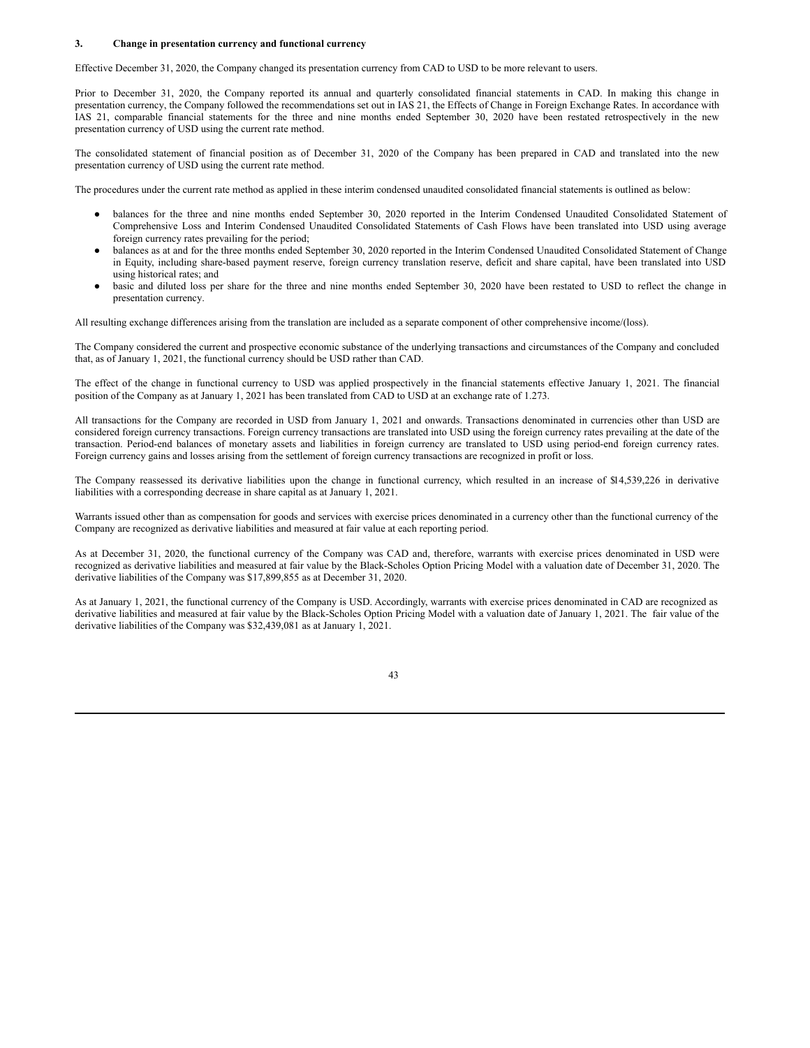#### **3. Change in presentation currency and functional currency**

Effective December 31, 2020, the Company changed its presentation currency from CAD to USD to be more relevant to users.

Prior to December 31, 2020, the Company reported its annual and quarterly consolidated financial statements in CAD. In making this change in presentation currency, the Company followed the recommendations set out in IAS 21, the Effects of Change in Foreign Exchange Rates. In accordance with IAS 21, comparable financial statements for the three and nine months ended September 30, 2020 have been restated retrospectively in the new presentation currency of USD using the current rate method.

The consolidated statement of financial position as of December 31, 2020 of the Company has been prepared in CAD and translated into the new presentation currency of USD using the current rate method.

The procedures under the current rate method as applied in these interim condensed unaudited consolidated financial statements is outlined as below:

- balances for the three and nine months ended September 30, 2020 reported in the Interim Condensed Unaudited Consolidated Statement of Comprehensive Loss and Interim Condensed Unaudited Consolidated Statements of Cash Flows have been translated into USD using average foreign currency rates prevailing for the period;
- balances as at and for the three months ended September 30, 2020 reported in the Interim Condensed Unaudited Consolidated Statement of Change in Equity, including share-based payment reserve, foreign currency translation reserve, deficit and share capital, have been translated into USD using historical rates; and
- basic and diluted loss per share for the three and nine months ended September 30, 2020 have been restated to USD to reflect the change in presentation currency.

All resulting exchange differences arising from the translation are included as a separate component of other comprehensive income/(loss).

The Company considered the current and prospective economic substance of the underlying transactions and circumstances of the Company and concluded that, as of January 1, 2021, the functional currency should be USD rather than CAD.

The effect of the change in functional currency to USD was applied prospectively in the financial statements effective January 1, 2021. The financial position of the Company as at January 1, 2021 has been translated from CAD to USD at an exchange rate of 1.273.

All transactions for the Company are recorded in USD from January 1, 2021 and onwards. Transactions denominated in currencies other than USD are considered foreign currency transactions. Foreign currency transactions are translated into USD using the foreign currency rates prevailing at the date of the transaction. Period-end balances of monetary assets and liabilities in foreign currency are translated to USD using period-end foreign currency rates. Foreign currency gains and losses arising from the settlement of foreign currency transactions are recognized in profit or loss.

The Company reassessed its derivative liabilities upon the change in functional currency, which resulted in an increase of \$14,539,226 in derivative liabilities with a corresponding decrease in share capital as at January 1, 2021.

Warrants issued other than as compensation for goods and services with exercise prices denominated in a currency other than the functional currency of the Company are recognized as derivative liabilities and measured at fair value at each reporting period.

As at December 31, 2020, the functional currency of the Company was CAD and, therefore, warrants with exercise prices denominated in USD were recognized as derivative liabilities and measured at fair value by the Black-Scholes Option Pricing Model with a valuation date of December 31, 2020. The derivative liabilities of the Company was \$17,899,855 as at December 31, 2020.

As at January 1, 2021, the functional currency of the Company is USD. Accordingly, warrants with exercise prices denominated in CAD are recognized as derivative liabilities and measured at fair value by the Black-Scholes Option Pricing Model with a valuation date of January 1, 2021. The fair value of the derivative liabilities of the Company was \$32,439,081 as at January 1, 2021.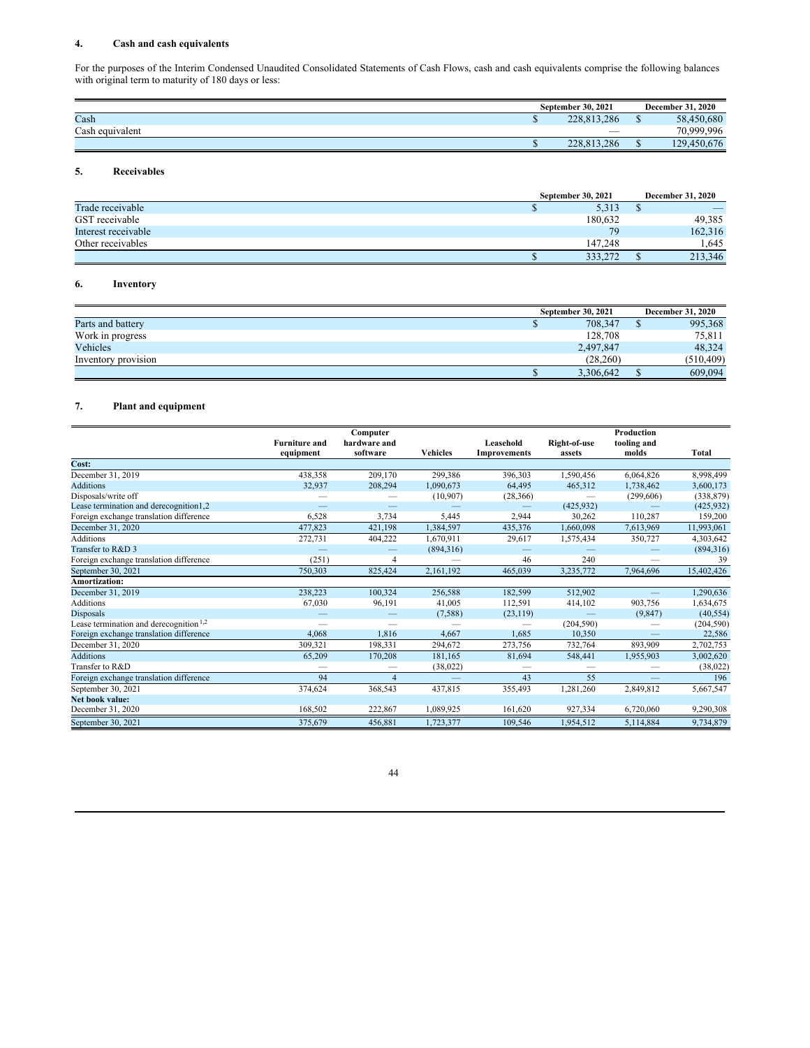# **4. Cash and cash equivalents**

For the purposes of the Interim Condensed Unaudited Consolidated Statements of Cash Flows, cash and cash equivalents comprise the following balances with original term to maturity of 180 days or less:

|                 | September 30, 2021 | December 31, 2020 |
|-----------------|--------------------|-------------------|
| Cash            | 228,813,286        | 58,450,680        |
| Cash equivalent | $\sim$             | 70,999,996        |
|                 | 228,813,286        | 129,450,676       |

# **5. Receivables**

|                     | September 30, 2021 | <b>December 31, 2020</b> |
|---------------------|--------------------|--------------------------|
| Trade receivable    | 5,313              | _                        |
| GST receivable      | 180,632            | 49,385                   |
| Interest receivable | 79                 | 162,316                  |
| Other receivables   | 147.248            | 1.645                    |
|                     | 333,272            | 213.346                  |

# **6. Inventory**

|                     | September 30, 2021 | December 31, 2020 |
|---------------------|--------------------|-------------------|
| Parts and battery   | 708,347            | 995,368           |
| Work in progress    | 128,708            | 75,811            |
| Vehicles            | 2.497.847          | 48.324            |
| Inventory provision | (28.260)           | (510, 409)        |
|                     | 3,306,642          | 609.094           |

# **7. Plant and equipment**

|                                                    |                      | Computer       |                 |                     |              | <b>Production</b> |            |
|----------------------------------------------------|----------------------|----------------|-----------------|---------------------|--------------|-------------------|------------|
|                                                    | <b>Furniture</b> and | hardware and   |                 | Leasehold           | Right-of-use | tooling and       |            |
|                                                    | equipment            | software       | <b>Vehicles</b> | <b>Improvements</b> | assets       | molds             | Total      |
| Cost:                                              |                      |                |                 |                     |              |                   |            |
| December 31, 2019                                  | 438,358              | 209,170        | 299,386         | 396,303             | 1,590,456    | 6,064,826         | 8,998,499  |
| <b>Additions</b>                                   | 32,937               | 208,294        | 1,090,673       | 64,495              | 465,312      | 1,738,462         | 3,600,173  |
| Disposals/write off                                |                      |                | (10,907)        | (28, 366)           |              | (299, 606)        | (338, 879) |
| Lease termination and derecognition1,2             |                      |                |                 |                     | (425, 932)   |                   | (425, 932) |
| Foreign exchange translation difference            | 6,528                | 3,734          | 5,445           | 2,944               | 30,262       | 110,287           | 159,200    |
| December 31, 2020                                  | 477,823              | 421.198        | 1,384,597       | 435,376             | 1,660,098    | 7,613,969         | 11,993,061 |
| <b>Additions</b>                                   | 272,731              | 404,222        | 1,670,911       | 29,617              | 1,575,434    | 350,727           | 4,303,642  |
| Transfer to R&D 3                                  |                      |                | (894,316)       |                     |              |                   | (894,316)  |
| Foreign exchange translation difference            | (251)                | $\overline{4}$ |                 | 46                  | 240          |                   | 39         |
| September 30, 2021                                 | 750,303              | 825,424        | 2,161,192       | 465,039             | 3,235,772    | 7,964,696         | 15,402,426 |
| <b>Amortization:</b>                               |                      |                |                 |                     |              |                   |            |
| December 31, 2019                                  | 238,223              | 100.324        | 256,588         | 182,599             | 512,902      |                   | 1,290,636  |
| Additions                                          | 67,030               | 96,191         | 41,005          | 112,591             | 414,102      | 903,756           | 1,634,675  |
| <b>Disposals</b>                                   |                      |                | (7,588)         | (23, 119)           |              | (9,847)           | (40, 554)  |
| Lease termination and derecognition <sup>1,2</sup> |                      |                |                 | --                  | (204, 590)   |                   | (204, 590) |
| Foreign exchange translation difference            | 4,068                | 1,816          | 4,667           | 1,685               | 10,350       |                   | 22,586     |
| December 31, 2020                                  | 309,321              | 198,331        | 294,672         | 273,756             | 732,764      | 893.909           | 2,702,753  |
| <b>Additions</b>                                   | 65,209               | 170,208        | 181,165         | 81,694              | 548,441      | 1,955,903         | 3,002,620  |
| Transfer to R&D                                    |                      |                | (38,022)        |                     |              |                   | (38, 022)  |
| Foreign exchange translation difference            | 94                   | $\overline{4}$ |                 | 43                  | 55           |                   | 196        |
| September 30, 2021                                 | 374,624              | 368,543        | 437,815         | 355,493             | 1,281,260    | 2,849,812         | 5,667,547  |
| Net book value:                                    |                      |                |                 |                     |              |                   |            |
| December 31, 2020                                  | 168,502              | 222,867        | 1,089,925       | 161,620             | 927,334      | 6,720,060         | 9,290,308  |
| September 30, 2021                                 | 375,679              | 456,881        | 1,723,377       | 109.546             | 1.954.512    | 5.114.884         | 9,734,879  |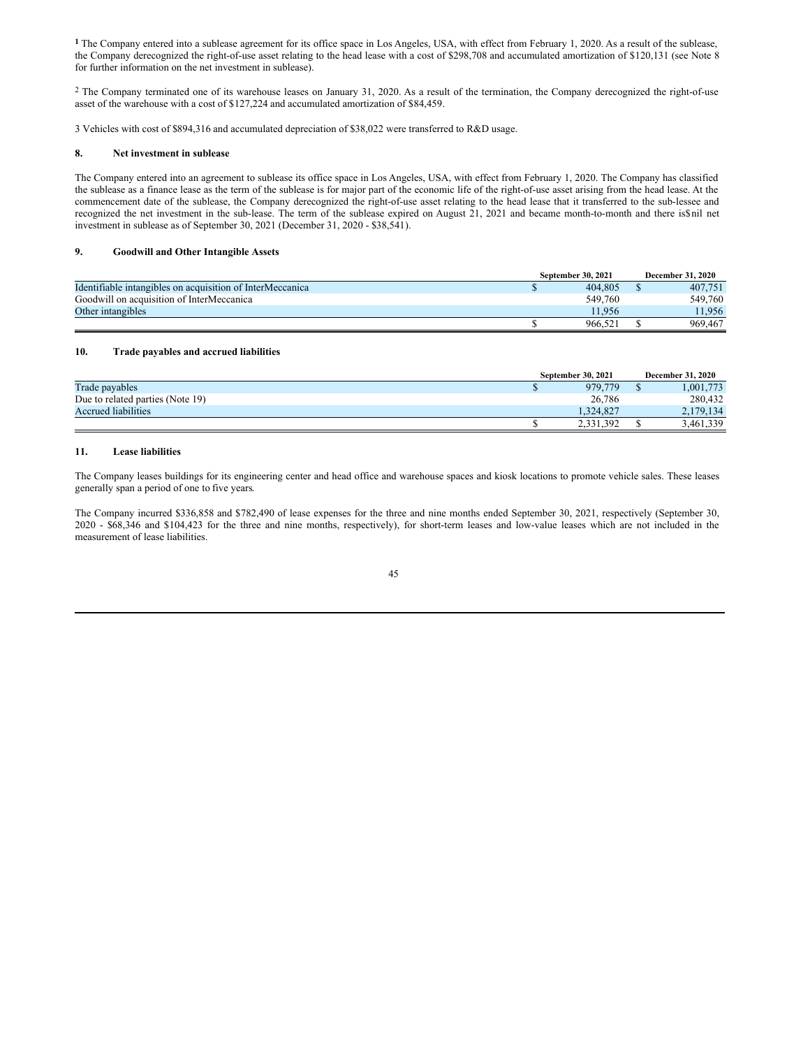**<sup>1</sup>** The Company entered into a sublease agreement for its office space in Los Angeles, USA, with effect from February 1, 2020. As a result of the sublease, the Company derecognized the right-of-use asset relating to the head lease with a cost of \$298,708 and accumulated amortization of \$120,131 (see Note 8 for further information on the net investment in sublease).

 $2$  The Company terminated one of its warehouse leases on January 31, 2020. As a result of the termination, the Company derecognized the right-of-use asset of the warehouse with a cost of \$127,224 and accumulated amortization of \$84,459.

3 Vehicles with cost of \$894,316 and accumulated depreciation of \$38,022 were transferred to R&D usage.

## **8. Net investment in sublease**

The Company entered into an agreement to sublease its office space in Los Angeles, USA, with effect from February 1, 2020. The Company has classified the sublease as a finance lease as the term of the sublease is for major part of the economic life of the right-of-use asset arising from the head lease. At the commencement date of the sublease, the Company derecognized the right-of-use asset relating to the head lease that it transferred to the sub-lessee and recognized the net investment in the sub-lease. The term of the sublease expired on August 21, 2021 and became month-to-month and there is\$nil net investment in sublease as of September 30, 2021 (December 31, 2020 - \$38,541).

## **9. Goodwill and Other Intangible Assets**

|                                                           | September 30, 2021 | December 31, 2020 |
|-----------------------------------------------------------|--------------------|-------------------|
| Identifiable intangibles on acquisition of InterMeccanica | 404,805            | 407.751           |
| Goodwill on acquisition of InterMeccanica                 | 549.760            | 549.760           |
| Other intangibles                                         | 11.956             | 11.956            |
|                                                           | 966.521            | 969.467           |

#### **10. Trade payables and accrued liabilities**

|                                  | <b>September 30, 2021</b> | <b>December 31, 2020</b> |           |  |
|----------------------------------|---------------------------|--------------------------|-----------|--|
| Trade payables                   | 979,779                   |                          | 1.001.773 |  |
| Due to related parties (Note 19) | 26,786                    |                          | 280,432   |  |
| <b>Accrued liabilities</b>       | 1.324.827                 |                          | 2,179,134 |  |
|                                  | 2,331,392                 |                          | 3,461,339 |  |

# **11. Lease liabilities**

The Company leases buildings for its engineering center and head office and warehouse spaces and kiosk locations to promote vehicle sales. These leases generally span a period of one to five years.

The Company incurred \$336,858 and \$782,490 of lease expenses for the three and nine months ended September 30, 2021, respectively (September 30, 2020 - \$68,346 and \$104,423 for the three and nine months, respectively), for short-term leases and low-value leases which are not included in the measurement of lease liabilities.

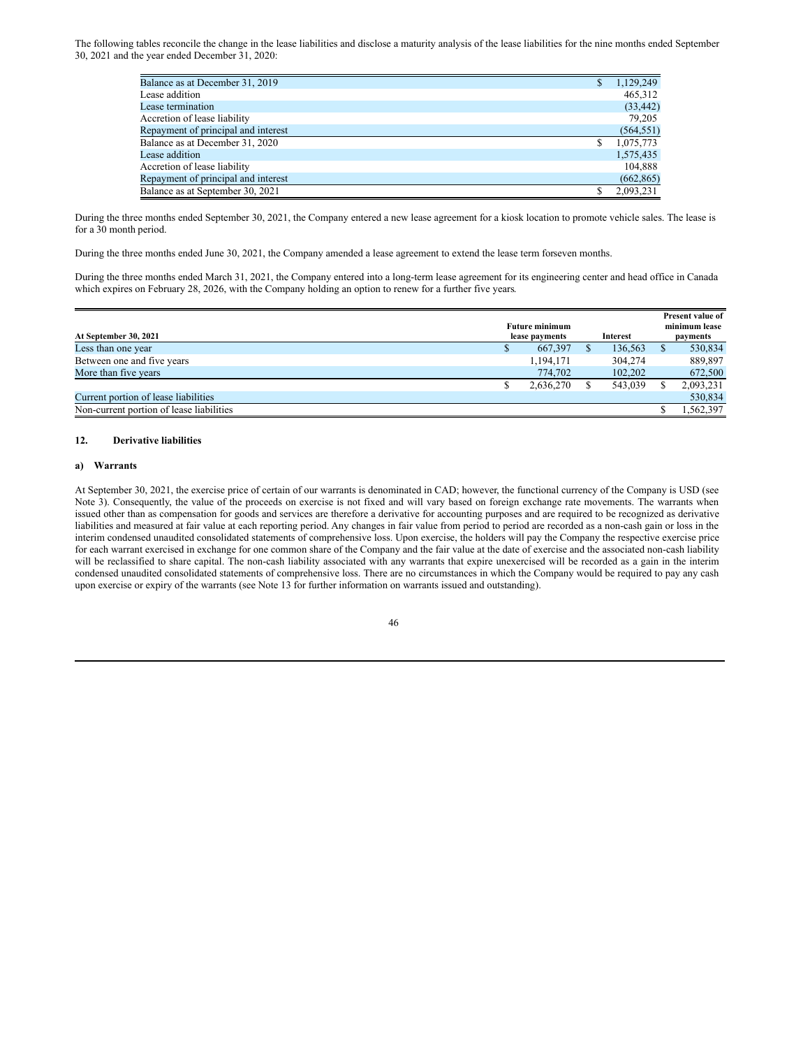The following tables reconcile the change in the lease liabilities and disclose a maturity analysis of the lease liabilities for the nine months ended September 30, 2021 and the year ended December 31, 2020:

| Balance as at December 31, 2019     | S | 1,129,249  |
|-------------------------------------|---|------------|
| Lease addition                      |   | 465,312    |
| Lease termination                   |   | (33, 442)  |
| Accretion of lease liability        |   | 79,205     |
| Repayment of principal and interest |   | (564, 551) |
| Balance as at December 31, 2020     | S | 1,075,773  |
| Lease addition                      |   | 1,575,435  |
| Accretion of lease liability        |   | 104.888    |
| Repayment of principal and interest |   | (662, 865) |
| Balance as at September 30, 2021    |   | 2,093,231  |

During the three months ended September 30, 2021, the Company entered a new lease agreement for a kiosk location to promote vehicle sales. The lease is for a 30 month period.

During the three months ended June 30, 2021, the Company amended a lease agreement to extend the lease term forseven months.

During the three months ended March 31, 2021, the Company entered into a long-term lease agreement for its engineering center and head office in Canada which expires on February 28, 2026, with the Company holding an option to renew for a further five years.

|                                          |                       |                            |  |         |               | <b>Present value of</b> |
|------------------------------------------|-----------------------|----------------------------|--|---------|---------------|-------------------------|
|                                          | <b>Future minimum</b> |                            |  |         | minimum lease |                         |
| At September 30, 2021                    |                       | Interest<br>lease payments |  |         | payments      |                         |
| Less than one year                       |                       | 667,397                    |  | 136,563 |               | 530,834                 |
| Between one and five years               |                       | 1,194,171                  |  | 304,274 |               | 889,897                 |
| More than five years                     |                       | 774,702                    |  | 102,202 |               | 672,500                 |
|                                          |                       | 2.636.270                  |  | 543,039 |               | 2,093,231               |
| Current portion of lease liabilities     |                       |                            |  |         |               | 530,834                 |
| Non-current portion of lease liabilities |                       |                            |  |         |               | 1,562,397               |

#### **12. Derivative liabilities**

## **a) Warrants**

At September 30, 2021, the exercise price of certain of our warrants is denominated in CAD; however, the functional currency of the Company is USD (see Note 3). Consequently, the value of the proceeds on exercise is not fixed and will vary based on foreign exchange rate movements. The warrants when issued other than as compensation for goods and services are therefore a derivative for accounting purposes and are required to be recognized as derivative liabilities and measured at fair value at each reporting period. Any changes in fair value from period to period are recorded as a non-cash gain or loss in the interim condensed unaudited consolidated statements of comprehensive loss. Upon exercise, the holders will pay the Company the respective exercise price for each warrant exercised in exchange for one common share of the Company and the fair value at the date of exercise and the associated non-cash liability will be reclassified to share capital. The non-cash liability associated with any warrants that expire unexercised will be recorded as a gain in the interim condensed unaudited consolidated statements of comprehensive loss. There are no circumstances in which the Company would be required to pay any cash upon exercise or expiry of the warrants (see Note 13 for further information on warrants issued and outstanding).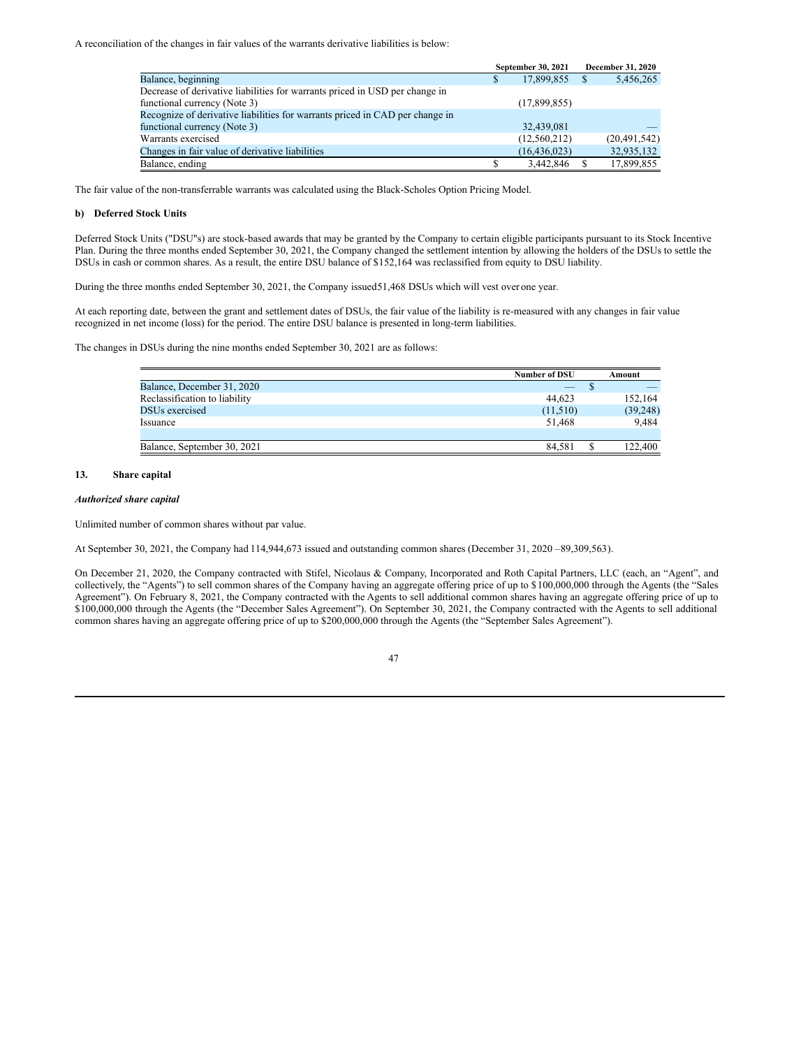A reconciliation of the changes in fair values of the warrants derivative liabilities is below:

|                                                                              | September 30, 2021 |                | December 31, 2020 |
|------------------------------------------------------------------------------|--------------------|----------------|-------------------|
| Balance, beginning                                                           | S                  | 17,899,855     | 5,456,265         |
| Decrease of derivative liabilities for warrants priced in USD per change in  |                    |                |                   |
| functional currency (Note 3)                                                 |                    | (17,899,855)   |                   |
| Recognize of derivative liabilities for warrants priced in CAD per change in |                    |                |                   |
| functional currency (Note 3)                                                 |                    | 32,439,081     |                   |
| Warrants exercised                                                           |                    | (12,560,212)   | (20, 491, 542)    |
| Changes in fair value of derivative liabilities                              |                    | (16, 436, 023) | 32,935,132        |
| Balance, ending                                                              |                    | 3.442.846      | 17,899,855        |

The fair value of the non-transferrable warrants was calculated using the Black-Scholes Option Pricing Model.

# **b) Deferred Stock Units**

Deferred Stock Units ("DSU"s) are stock-based awards that may be granted by the Company to certain eligible participants pursuant to its Stock Incentive Plan. During the three months ended September 30, 2021, the Company changed the settlement intention by allowing the holders of the DSUs to settle the DSUs in cash or common shares. As a result, the entire DSU balance of \$152,164 was reclassified from equity to DSU liability.

During the three months ended September 30, 2021, the Company issued51,468 DSUs which will vest over one year.

At each reporting date, between the grant and settlement dates of DSUs, the fair value of the liability is re-measured with any changes in fair value recognized in net income (loss) for the period. The entire DSU balance is presented in long-term liabilities.

The changes in DSUs during the nine months ended September 30, 2021 are as follows:

|                               | <b>Number of DSU</b> | Amount    |
|-------------------------------|----------------------|-----------|
| Balance, December 31, 2020    | $-$                  |           |
| Reclassification to liability | 44.623               | 152,164   |
| <b>DSUs</b> exercised         | (11, 510)            | (39, 248) |
| Issuance                      | 51.468               | 9.484     |
|                               |                      |           |
| Balance, September 30, 2021   | 84.581               | 122,400   |

## **13. Share capital**

## *Authorized share capital*

Unlimited number of common shares without par value.

At September 30, 2021, the Company had 114,944,673 issued and outstanding common shares (December 31, 2020 –89,309,563).

On December 21, 2020, the Company contracted with Stifel, Nicolaus & Company, Incorporated and Roth Capital Partners, LLC (each, an "Agent", and collectively, the "Agents") to sell common shares of the Company having an aggregate offering price of up to \$100,000,000 through the Agents (the "Sales Agreement"). On February 8, 2021, the Company contracted with the Agents to sell additional common shares having an aggregate offering price of up to \$100,000,000 through the Agents (the "December Sales Agreement"). On September 30, 2021, the Company contracted with the Agents to sell additional common shares having an aggregate offering price of up to \$200,000,000 through the Agents (the "September Sales Agreement").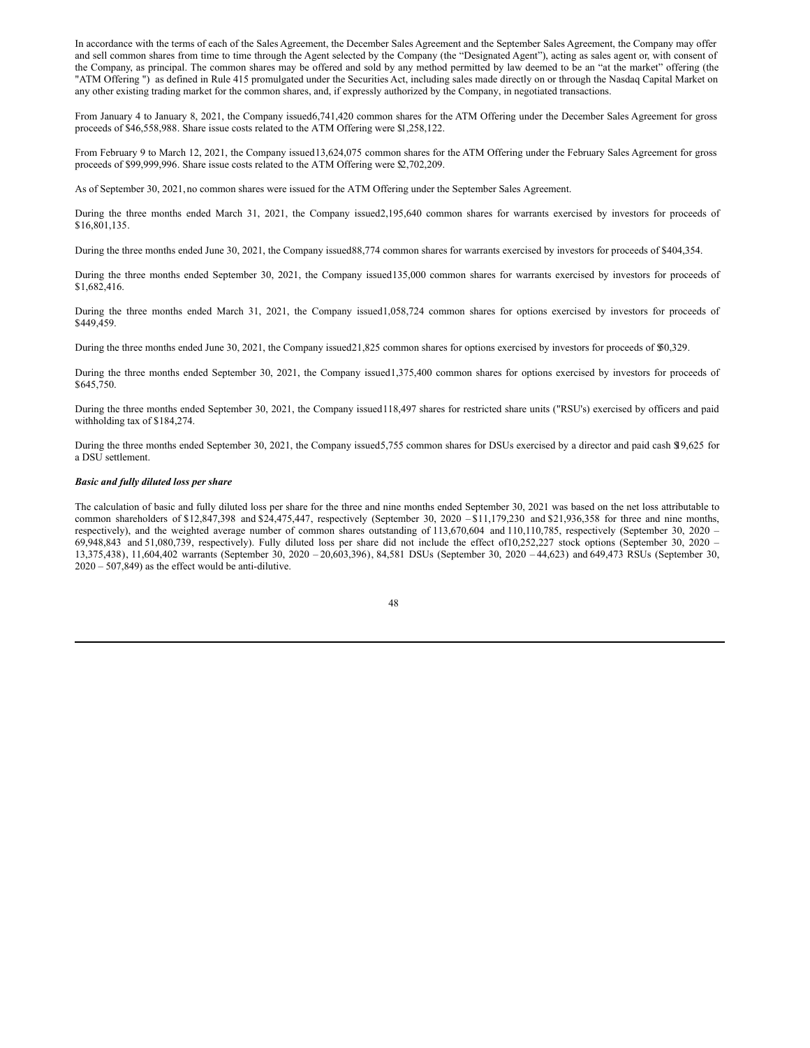In accordance with the terms of each of the Sales Agreement, the December Sales Agreement and the September Sales Agreement, the Company may offer and sell common shares from time to time through the Agent selected by the Company (the "Designated Agent"), acting as sales agent or, with consent of the Company, as principal. The common shares may be offered and sold by any method permitted by law deemed to be an "at the market" offering (the "ATM Offering ") as defined in Rule 415 promulgated under the Securities Act, including sales made directly on or through the Nasdaq Capital Market on any other existing trading market for the common shares, and, if expressly authorized by the Company, in negotiated transactions.

From January 4 to January 8, 2021, the Company issued6,741,420 common shares for the ATM Offering under the December Sales Agreement for gross proceeds of \$46,558,988. Share issue costs related to the ATM Offering were \$1,258,122.

From February 9 to March 12, 2021, the Company issued13,624,075 common shares for the ATM Offering under the February Sales Agreement for gross proceeds of \$99,999,996. Share issue costs related to the ATM Offering were \$2,702,209.

As of September 30, 2021, no common shares were issued for the ATM Offering under the September Sales Agreement.

During the three months ended March 31, 2021, the Company issued2,195,640 common shares for warrants exercised by investors for proceeds of \$16,801,135.

During the three months ended June 30, 2021, the Company issued88,774 common shares for warrants exercised by investors for proceeds of \$404,354.

During the three months ended September 30, 2021, the Company issued135,000 common shares for warrants exercised by investors for proceeds of \$1,682,416.

During the three months ended March 31, 2021, the Company issued1,058,724 common shares for options exercised by investors for proceeds of \$449,459.

During the three months ended June 30, 2021, the Company issued21,825 common shares for options exercised by investors for proceeds of \$50,329.

During the three months ended September 30, 2021, the Company issued1,375,400 common shares for options exercised by investors for proceeds of \$645,750.

During the three months ended September 30, 2021, the Company issued118,497 shares for restricted share units ("RSU's) exercised by officers and paid withholding tax of \$184,274.

During the three months ended September 30, 2021, the Company issued5,755 common shares for DSUs exercised by a director and paid cash \$19,625 for a DSU settlement.

#### *Basic and fully diluted loss per share*

The calculation of basic and fully diluted loss per share for the three and nine months ended September 30, 2021 was based on the net loss attributable to common shareholders of \$12,847,398 and \$24,475,447, respectively (September 30, 2020 – \$11,179,230 and \$21,936,358 for three and nine months, respectively), and the weighted average number of common shares outstanding of 113,670,604 and 110,110,785, respectively (September 30, 2020 – 69,948,843 and 51,080,739, respectively). Fully diluted loss per share did not include the effect of10,252,227 stock options (September 30, 2020 – 13,375,438), 11,604,402 warrants (September 30, 2020 – 20,603,396), 84,581 DSUs (September 30, 2020 – 44,623) and 649,473 RSUs (September 30,  $2020 - 507,849$  as the effect would be anti-dilutive.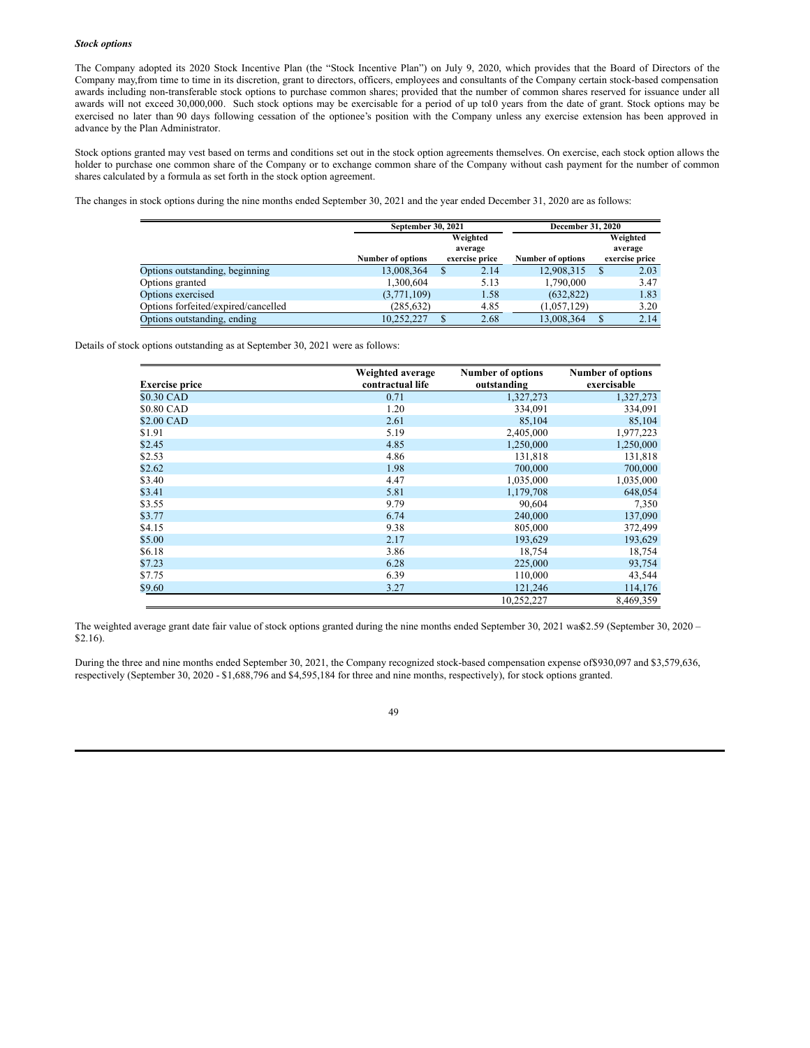## *Stock options*

The Company adopted its 2020 Stock Incentive Plan (the "Stock Incentive Plan") on July 9, 2020, which provides that the Board of Directors of the Company may,from time to time in its discretion, grant to directors, officers, employees and consultants of the Company certain stock-based compensation awards including non-transferable stock options to purchase common shares; provided that the number of common shares reserved for issuance under all awards will not exceed 30,000,000. Such stock options may be exercisable for a period of up to10 years from the date of grant. Stock options may be exercised no later than 90 days following cessation of the optionee's position with the Company unless any exercise extension has been approved in advance by the Plan Administrator.

Stock options granted may vest based on terms and conditions set out in the stock option agreements themselves. On exercise, each stock option allows the holder to purchase one common share of the Company or to exchange common share of the Company without cash payment for the number of common shares calculated by a formula as set forth in the stock option agreement.

The changes in stock options during the nine months ended September 30, 2021 and the year ended December 31, 2020 are as follows:

|                                     |                          | September 30, 2021  |                |                          |   | December 31, 2020 |  |  |  |  |  |                     |
|-------------------------------------|--------------------------|---------------------|----------------|--------------------------|---|-------------------|--|--|--|--|--|---------------------|
|                                     |                          | Weighted<br>average |                |                          |   |                   |  |  |  |  |  | Weighted<br>average |
|                                     | <b>Number of options</b> |                     | exercise price | <b>Number of options</b> |   | exercise price    |  |  |  |  |  |                     |
| Options outstanding, beginning      | 13,008,364               | S                   | 2.14           | 12,908,315               | S | 2.03              |  |  |  |  |  |                     |
| Options granted                     | 1.300.604                |                     | 5.13           | 1,790,000                |   | 3.47              |  |  |  |  |  |                     |
| Options exercised                   | (3,771,109)              |                     | 1.58           | (632, 822)               |   | 1.83              |  |  |  |  |  |                     |
| Options forfeited/expired/cancelled | (285, 632)               |                     | 4.85           | (1,057,129)              |   | 3.20              |  |  |  |  |  |                     |
| Options outstanding, ending         | 10.252.227               |                     | 2.68           | 13.008.364               | S | 2.14              |  |  |  |  |  |                     |

Details of stock options outstanding as at September 30, 2021 were as follows:

| <b>Exercise price</b> | Weighted average<br>contractual life | Number of options<br>outstanding | Number of options<br>exercisable |
|-----------------------|--------------------------------------|----------------------------------|----------------------------------|
|                       |                                      |                                  |                                  |
| \$0.30 CAD            | 0.71                                 | 1,327,273                        | 1,327,273                        |
| \$0.80 CAD            | 1.20                                 | 334,091                          | 334,091                          |
| \$2.00 CAD            | 2.61                                 | 85,104                           | 85,104                           |
| \$1.91                | 5.19                                 | 2,405,000                        | 1,977,223                        |
| \$2.45                | 4.85                                 | 1,250,000                        | 1,250,000                        |
| \$2.53                | 4.86                                 | 131,818                          | 131,818                          |
| \$2.62                | 1.98                                 | 700,000                          | 700,000                          |
| \$3.40                | 4.47                                 | 1,035,000                        | 1,035,000                        |
| \$3.41                | 5.81                                 | 1,179,708                        | 648,054                          |
| \$3.55                | 9.79                                 | 90,604                           | 7,350                            |
| \$3.77                | 6.74                                 | 240,000                          | 137,090                          |
| \$4.15                | 9.38                                 | 805,000                          | 372,499                          |
| \$5.00                | 2.17                                 | 193,629                          | 193,629                          |
| \$6.18                | 3.86                                 | 18,754                           | 18,754                           |
| \$7.23                | 6.28                                 | 225,000                          | 93,754                           |
| \$7.75                | 6.39                                 | 110,000                          | 43,544                           |
| \$9.60                | 3.27                                 | 121,246                          | 114,176                          |
|                       |                                      | 10,252,227                       | 8,469,359                        |

The weighted average grant date fair value of stock options granted during the nine months ended September 30, 2021 was\$2.59 (September 30, 2020 – \$2.16).

During the three and nine months ended September 30, 2021, the Company recognized stock-based compensation expense of\$930,097 and \$3,579,636, respectively (September 30, 2020 - \$1,688,796 and \$4,595,184 for three and nine months, respectively), for stock options granted.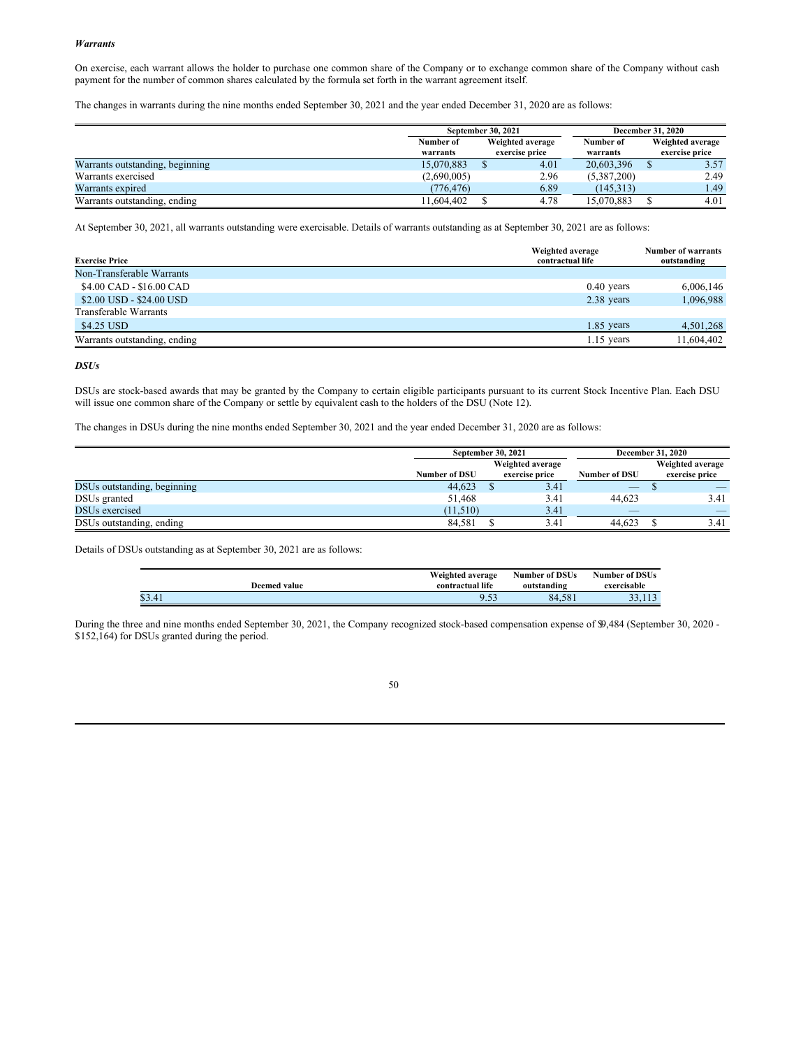#### *Warrants*

On exercise, each warrant allows the holder to purchase one common share of the Company or to exchange common share of the Company without cash payment for the number of common shares calculated by the formula set forth in the warrant agreement itself.

The changes in warrants during the nine months ended September 30, 2021 and the year ended December 31, 2020 are as follows:

|                                 |                                                             | September 30, 2021 |      |                       | <b>December 31, 2020</b> |                                    |  |
|---------------------------------|-------------------------------------------------------------|--------------------|------|-----------------------|--------------------------|------------------------------------|--|
|                                 | Weighted average<br>Number of<br>exercise price<br>warrants |                    |      | Number of<br>warrants |                          | Weighted average<br>exercise price |  |
| Warrants outstanding, beginning | 15,070,883                                                  |                    | 4.01 | 20,603,396            |                          | 3.57                               |  |
| Warrants exercised              | (2,690,005)                                                 |                    | 2.96 | (5,387,200)           |                          | 2.49                               |  |
| Warrants expired                | (776, 476)                                                  |                    | 6.89 | (145.313)             |                          | 1.49                               |  |
| Warrants outstanding, ending    | 11.604.402                                                  |                    | 4.78 | 15,070,883            |                          | 4.01                               |  |

At September 30, 2021, all warrants outstanding were exercisable. Details of warrants outstanding as at September 30, 2021 are as follows:

| <b>Exercise Price</b>        | Weighted average<br>contractual life | Number of warrants<br>outstanding |
|------------------------------|--------------------------------------|-----------------------------------|
| Non-Transferable Warrants    |                                      |                                   |
| \$4.00 CAD - \$16.00 CAD     | $0.40$ years                         | 6,006,146                         |
| \$2.00 USD - \$24.00 USD     | 2.38 years                           | 1,096,988                         |
| <b>Transferable Warrants</b> |                                      |                                   |
| \$4.25 USD                   | $1.85$ years                         | 4,501,268                         |
| Warrants outstanding, ending | $1.15$ years                         | 11.604.402                        |

## *DSUs*

DSUs are stock-based awards that may be granted by the Company to certain eligible participants pursuant to its current Stock Incentive Plan. Each DSU will issue one common share of the Company or settle by equivalent cash to the holders of the DSU (Note 12).

The changes in DSUs during the nine months ended September 30, 2021 and the year ended December 31, 2020 are as follows:

|                             | September 30, 2021   |  |                  | <b>December 31, 2020</b> |                  |      |  |
|-----------------------------|----------------------|--|------------------|--------------------------|------------------|------|--|
|                             |                      |  | Weighted average |                          | Weighted average |      |  |
|                             | <b>Number of DSU</b> |  | exercise price   | <b>Number of DSU</b>     | exercise price   |      |  |
| DSUs outstanding, beginning | 44,623               |  | 3.41             |                          |                  |      |  |
| DSU <sub>s</sub> granted    | 51,468               |  | 3.41             | 44.623                   |                  | 3.41 |  |
| <b>DSUs</b> exercised       | (11.510)             |  | 3.41             | $\overline{\phantom{a}}$ |                  |      |  |
| DSUs outstanding, ending    | 84.581               |  | 3.41             | 44.623                   |                  | 3.41 |  |

Details of DSUs outstanding as at September 30, 2021 are as follows:

|             | Deemed value | Weighted average<br>contractual life | <b>Number of DSUs</b><br>outstanding | <b>Number of DSUs</b><br>exercisable |
|-------------|--------------|--------------------------------------|--------------------------------------|--------------------------------------|
| ሰሳ<br>33.41 |              | ر ر.                                 | 84.581                               | 112<br><i></i>                       |

During the three and nine months ended September 30, 2021, the Company recognized stock-based compensation expense of \$9,484 (September 30, 2020 - \$152,164) for DSUs granted during the period.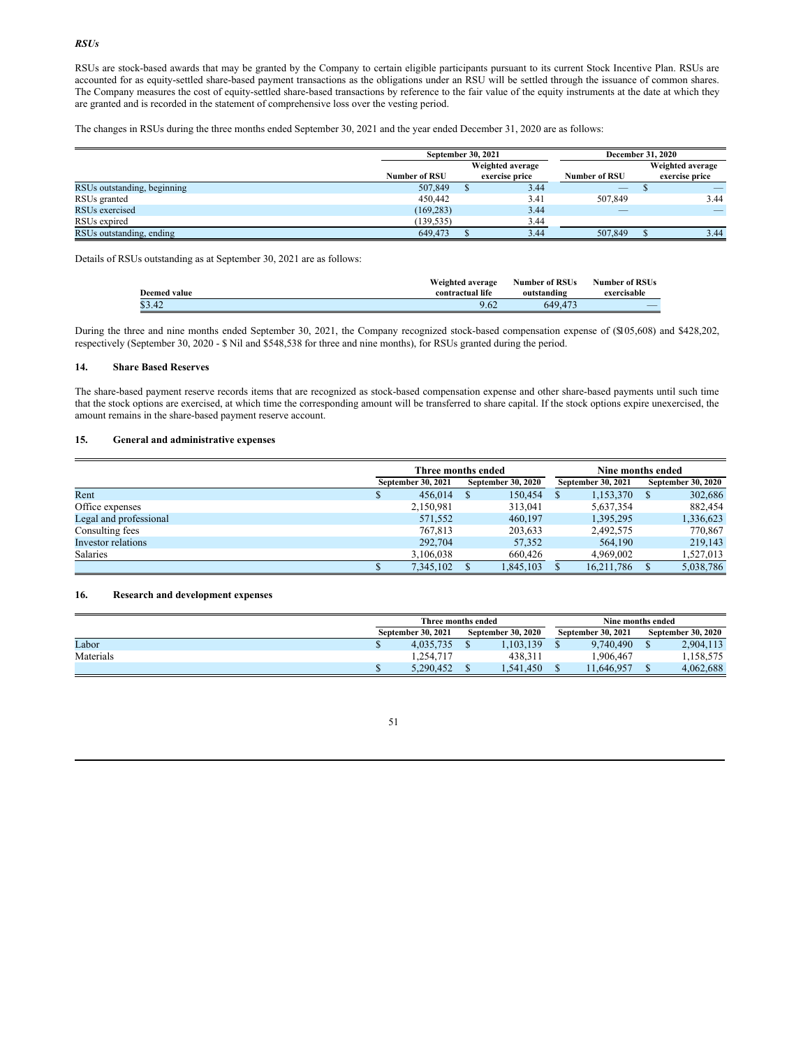## *RSUs*

RSUs are stock-based awards that may be granted by the Company to certain eligible participants pursuant to its current Stock Incentive Plan. RSUs are accounted for as equity-settled share-based payment transactions as the obligations under an RSU will be settled through the issuance of common shares. The Company measures the cost of equity-settled share-based transactions by reference to the fair value of the equity instruments at the date at which they are granted and is recorded in the statement of comprehensive loss over the vesting period.

The changes in RSUs during the three months ended September 30, 2021 and the year ended December 31, 2020 are as follows:

|                             | September 30, 2021   |                                    |                      | <b>December 31, 2020</b>           |
|-----------------------------|----------------------|------------------------------------|----------------------|------------------------------------|
|                             | <b>Number of RSU</b> | Weighted average<br>exercise price | <b>Number of RSU</b> | Weighted average<br>exercise price |
| RSUs outstanding, beginning | 507,849              | 3.44                               |                      |                                    |
| RSU <sub>s</sub> granted    | 450,442              | 3.41                               | 507,849              | 3.44                               |
| RSUs exercised              | (169, 283)           | 3.44                               |                      |                                    |
| RSU <sub>s</sub> expired    | (139.535)            | 3.44                               |                      |                                    |
| RSUs outstanding, ending    | 649,473              | 3.44                               | 507,849              | 3.44                               |

Details of RSUs outstanding as at September 30, 2021 are as follows:

|              | Weighted average | <b>Number of RSUs</b> | <b>Number of RSUs</b> |
|--------------|------------------|-----------------------|-----------------------|
| Deemed value | contractual life | outstanding           | exercisable           |
| \$3.42       | 9.62             | 649,473               |                       |

During the three and nine months ended September 30, 2021, the Company recognized stock-based compensation expense of (\$105,608) and \$428,202, respectively (September 30, 2020 - \$ Nil and \$548,538 for three and nine months), for RSUs granted during the period.

## **14. Share Based Reserves**

The share-based payment reserve records items that are recognized as stock-based compensation expense and other share-based payments until such time that the stock options are exercised, at which time the corresponding amount will be transferred to share capital. If the stock options expire unexercised, the amount remains in the share-based payment reserve account.

# **15. General and administrative expenses**

|                        |                    |         | Three months ended        | Nine months ended  |                    |  |  |
|------------------------|--------------------|---------|---------------------------|--------------------|--------------------|--|--|
|                        | September 30, 2021 |         | <b>September 30, 2020</b> | September 30, 2021 | September 30, 2020 |  |  |
| Rent                   |                    | 456,014 | 150,454                   | 1,153,370          | 302,686            |  |  |
| Office expenses        | 2,150,981          |         | 313,041                   | 5,637,354          | 882,454            |  |  |
| Legal and professional |                    | 571,552 | 460,197                   | 1,395,295          | 1,336,623          |  |  |
| Consulting fees        |                    | 767,813 | 203,633                   | 2,492,575          | 770,867            |  |  |
| Investor relations     |                    | 292,704 | 57,352                    | 564,190            | 219,143            |  |  |
| <b>Salaries</b>        | 3.106.038          |         | 660,426                   | 4.969.002          | 1,527,013          |  |  |
|                        | 7,345,102          |         | 1,845,103                 | 16,211,786         | 5,038,786          |  |  |

# **16. Research and development expenses**

|           | Three months ended |                    |                    | Nine months ended         |           |  |
|-----------|--------------------|--------------------|--------------------|---------------------------|-----------|--|
|           | September 30, 2021 | September 30, 2020 | September 30, 2021 | <b>September 30, 2020</b> |           |  |
| Labor     | 4.035.735          | .103.139           | 9.740.490          |                           | 2.904.113 |  |
| Materials | .254.717           | 438.311            | .906.467           |                           | 1,158,575 |  |
|           | 5.290.452          | 1.541.450          | 1.646.957          |                           | 4.062.688 |  |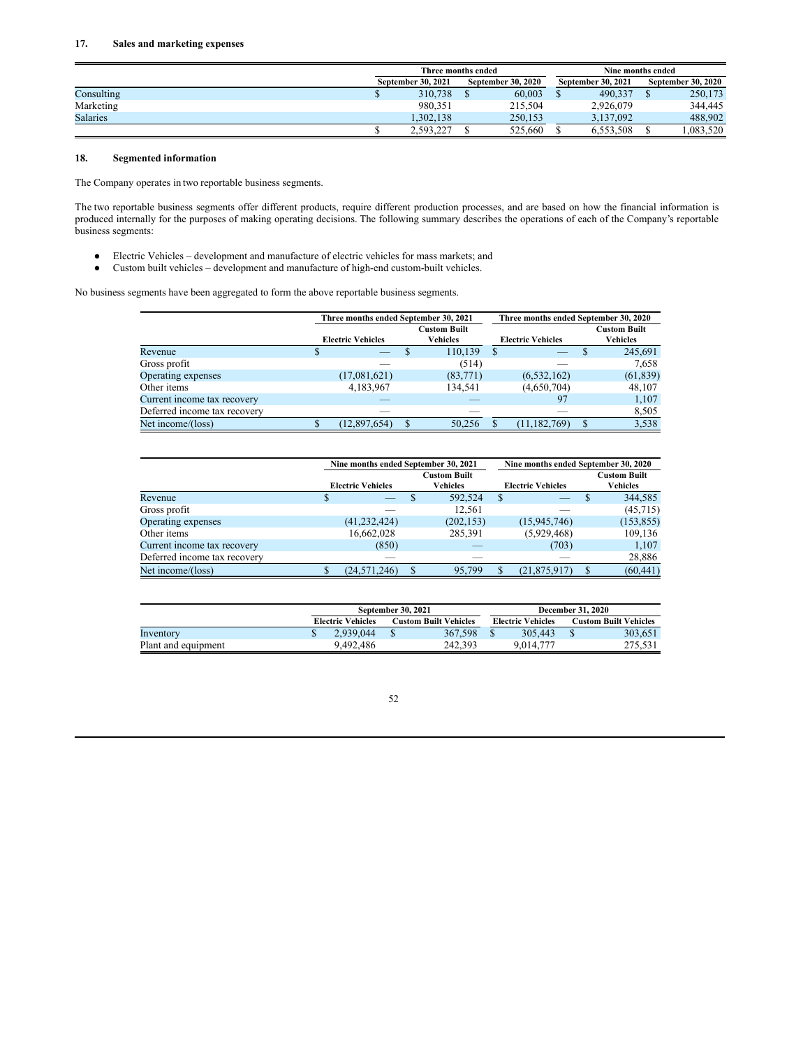# **17. Sales and marketing expenses**

|                 |                    | Three months ended |  |                    | Nine months ended  |           |  |                           |  |  |
|-----------------|--------------------|--------------------|--|--------------------|--------------------|-----------|--|---------------------------|--|--|
|                 | September 30, 2021 |                    |  | September 30, 2020 | September 30, 2021 |           |  | <b>September 30, 2020</b> |  |  |
| Consulting      |                    | 310.738            |  | 60.003             |                    | 490.337   |  | 250,173                   |  |  |
| Marketing       |                    | 980.351            |  | 215.504            |                    | 2.926.079 |  | 344,445                   |  |  |
| <b>Salaries</b> |                    | 1.302.138          |  | 250,153            |                    | 3.137.092 |  | 488,902                   |  |  |
|                 |                    | 2.593.227          |  | 525,660            |                    | 6.553.508 |  | .083,520                  |  |  |

# **18. Segmented information**

The Company operates in two reportable business segments.

The two reportable business segments offer different products, require different production processes, and are based on how the financial information is produced internally for the purposes of making operating decisions. The following summary describes the operations of each of the Company's reportable business segments:

- Electric Vehicles development and manufacture of electric vehicles for mass markets; and
- Custom built vehicles development and manufacture of high-end custom-built vehicles.

No business segments have been aggregated to form the above reportable business segments.

|                              |  | Three months ended September 30, 2021 |   |                     |    | Three months ended September 30, 2020 |  |                     |
|------------------------------|--|---------------------------------------|---|---------------------|----|---------------------------------------|--|---------------------|
|                              |  |                                       |   | <b>Custom Built</b> |    |                                       |  | <b>Custom Built</b> |
|                              |  | <b>Electric Vehicles</b>              |   | <b>Vehicles</b>     |    | <b>Electric Vehicles</b>              |  | <b>Vehicles</b>     |
| Revenue                      |  |                                       | D | 110.139             | -8 | _                                     |  | 245,691             |
| Gross profit                 |  |                                       |   | (514)               |    |                                       |  | 7,658               |
| Operating expenses           |  | (17,081,621)                          |   | (83, 771)           |    | (6, 532, 162)                         |  | (61, 839)           |
| Other items                  |  | 4,183,967                             |   | 134,541             |    | (4,650,704)                           |  | 48,107              |
| Current income tax recovery  |  |                                       |   |                     |    | 97                                    |  | 1,107               |
| Deferred income tax recovery |  |                                       |   | __                  |    |                                       |  | 8,505               |
| Net income/(loss)            |  | (12,897,654)                          |   | 50,256              |    | (11, 182, 769)                        |  | 3,538               |

|                              | Nine months ended September 30, 2021 |                     |            |   | Nine months ended September 30, 2020 |                     |            |  |  |
|------------------------------|--------------------------------------|---------------------|------------|---|--------------------------------------|---------------------|------------|--|--|
|                              |                                      | <b>Custom Built</b> |            |   |                                      | <b>Custom Built</b> |            |  |  |
|                              | <b>Electric Vehicles</b>             |                     | Vehicles   |   | <b>Electric Vehicles</b>             |                     | Vehicles   |  |  |
| Revenue                      |                                      |                     | 592,524    | S |                                      | S                   | 344,585    |  |  |
| Gross profit                 |                                      |                     | 12.561     |   |                                      |                     | (45, 715)  |  |  |
| Operating expenses           | (41, 232, 424)                       |                     | (202, 153) |   | (15,945,746)                         |                     | (153, 855) |  |  |
| Other items                  | 16,662,028                           |                     | 285,391    |   | (5,929,468)                          |                     | 109,136    |  |  |
| Current income tax recovery  | (850)                                |                     |            |   | (703)                                |                     | 1,107      |  |  |
| Deferred income tax recovery | _                                    |                     | _          |   |                                      |                     | 28,886     |  |  |
| Net income/(loss)            | (24, 571, 246)                       |                     | 95.799     |   | (21.875.917)                         | S                   | (60, 441)  |  |  |

|                     | September 30, 2021       |                              |                          | <b>December 31, 2020</b>     |
|---------------------|--------------------------|------------------------------|--------------------------|------------------------------|
|                     | <b>Electric Vehicles</b> | <b>Custom Built Vehicles</b> | <b>Electric Vehicles</b> | <b>Custom Built Vehicles</b> |
| Inventory           | 2.939,044                | 367.598                      | 305,443                  | 303.651                      |
| Plant and equipment | 9.492.486                | 242,393                      | 9.014.777                | 275.531                      |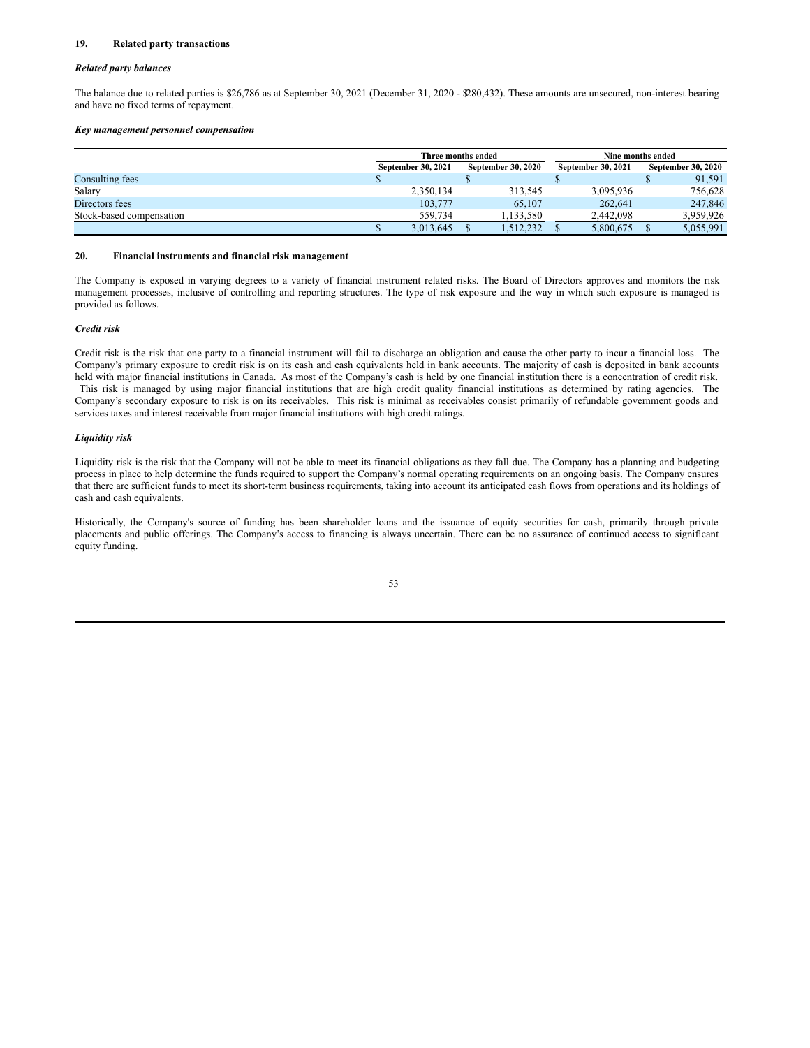## **19. Related party transactions**

#### *Related party balances*

The balance due to related parties is \$26,786 as at September 30, 2021 (December 31, 2020 - \$280,432). These amounts are unsecured, non-interest bearing and have no fixed terms of repayment.

## *Key management personnel compensation*

|                          | Three months ended              |                          | Nine months ended |                          |  |                    |  |  |
|--------------------------|---------------------------------|--------------------------|-------------------|--------------------------|--|--------------------|--|--|
|                          | September 30, 2021              | September 30, 2020       |                   | September 30, 2021       |  | September 30, 2020 |  |  |
| Consulting fees          | $\hspace{0.1mm}-\hspace{0.1mm}$ | $\qquad \qquad - \qquad$ |                   | $\qquad \qquad - \qquad$ |  | 91,591             |  |  |
| Salary                   | 2,350,134                       | 313.545                  |                   | 3.095.936                |  | 756,628            |  |  |
| Directors fees           | 103,777                         | 65,107                   |                   | 262.641                  |  | 247,846            |  |  |
| Stock-based compensation | 559.734                         | 1.133.580                |                   | 2.442.098                |  | 3.959.926          |  |  |
|                          | 3.013.645                       | 1.512.232                |                   | 5,800,675                |  | 5,055,991          |  |  |

## **20. Financial instruments and financial risk management**

The Company is exposed in varying degrees to a variety of financial instrument related risks. The Board of Directors approves and monitors the risk management processes, inclusive of controlling and reporting structures. The type of risk exposure and the way in which such exposure is managed is provided as follows.

## *Credit risk*

Credit risk is the risk that one party to a financial instrument will fail to discharge an obligation and cause the other party to incur a financial loss. The Company's primary exposure to credit risk is on its cash and cash equivalents held in bank accounts. The majority of cash is deposited in bank accounts held with major financial institutions in Canada. As most of the Company's cash is held by one financial institution there is a concentration of credit risk. This risk is managed by using major financial institutions that are high credit quality financial institutions as determined by rating agencies. The

Company's secondary exposure to risk is on its receivables. This risk is minimal as receivables consist primarily of refundable government goods and services taxes and interest receivable from major financial institutions with high credit ratings.

# *Liquidity risk*

Liquidity risk is the risk that the Company will not be able to meet its financial obligations as they fall due. The Company has a planning and budgeting process in place to help determine the funds required to support the Company's normal operating requirements on an ongoing basis. The Company ensures that there are sufficient funds to meet its short-term business requirements, taking into account its anticipated cash flows from operations and its holdings of cash and cash equivalents.

Historically, the Company's source of funding has been shareholder loans and the issuance of equity securities for cash, primarily through private placements and public offerings. The Company's access to financing is always uncertain. There can be no assurance of continued access to significant equity funding.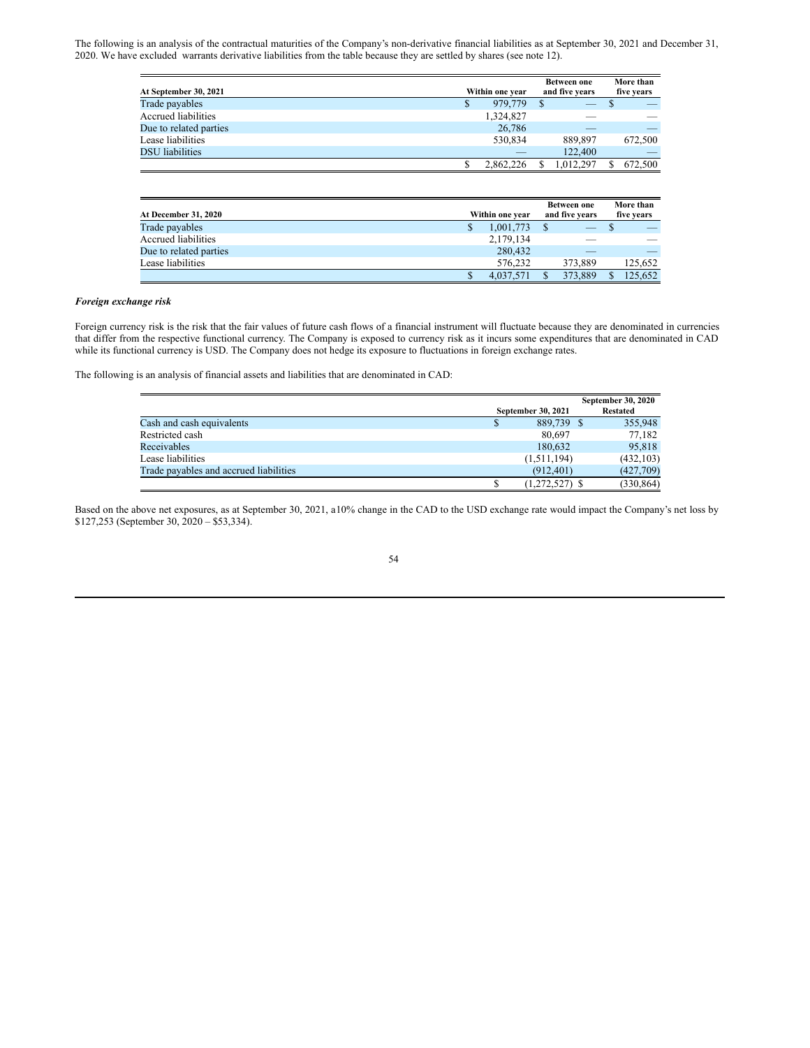The following is an analysis of the contractual maturities of the Company's non-derivative financial liabilities as at September 30, 2021 and December 31, 2020. We have excluded warrants derivative liabilities from the table because they are settled by shares (see note 12).

|                        |   |                          | <b>Between one</b> | More than |            |
|------------------------|---|--------------------------|--------------------|-----------|------------|
| At September 30, 2021  |   | Within one year          | and five years     |           | five years |
| Trade payables         | S | 979,779                  |                    |           |            |
| Accrued liabilities    |   | 1,324,827                |                    |           |            |
| Due to related parties |   | 26,786                   | __                 |           |            |
| Lease liabilities      |   | 530,834                  | 889.897            |           | 672,500    |
| <b>DSU</b> liabilities |   | $\overline{\phantom{a}}$ | 122,400            |           |            |
|                        |   | 2.862.226                | 1.012.297          |           | 672,500    |

|                             |                 |  | <b>Between</b> one |            | More than |
|-----------------------------|-----------------|--|--------------------|------------|-----------|
| <b>At December 31, 2020</b> | Within one year |  | and five vears     | five years |           |
| Trade payables              | 1.001.773       |  | _                  |            |           |
| Accrued liabilities         | 2,179,134       |  |                    |            |           |
| Due to related parties      | 280,432         |  | _                  |            |           |
| Lease liabilities           | 576.232         |  | 373.889            |            | 125,652   |
|                             | 4.037.571       |  | 373.889            |            | 125,652   |

## *Foreign exchange risk*

Foreign currency risk is the risk that the fair values of future cash flows of a financial instrument will fluctuate because they are denominated in currencies that differ from the respective functional currency. The Company is exposed to currency risk as it incurs some expenditures that are denominated in CAD while its functional currency is USD. The Company does not hedge its exposure to fluctuations in foreign exchange rates.

The following is an analysis of financial assets and liabilities that are denominated in CAD:

|                                        |   |                    | September 30, 2020 |
|----------------------------------------|---|--------------------|--------------------|
|                                        |   | September 30, 2021 | <b>Restated</b>    |
| Cash and cash equivalents              | S | 889,739 \$         | 355,948            |
| Restricted cash                        |   | 80.697             | 77,182             |
| Receivables                            |   | 180.632            | 95,818             |
| Lease liabilities                      |   | (1,511,194)        | (432, 103)         |
| Trade payables and accrued liabilities |   | (912.401)          | (427,709)          |
|                                        |   | $(1,272,527)$ \$   | (330, 864)         |

Based on the above net exposures, as at September 30, 2021, a10% change in the CAD to the USD exchange rate would impact the Company's net loss by \$127,253 (September 30, 2020 – \$53,334).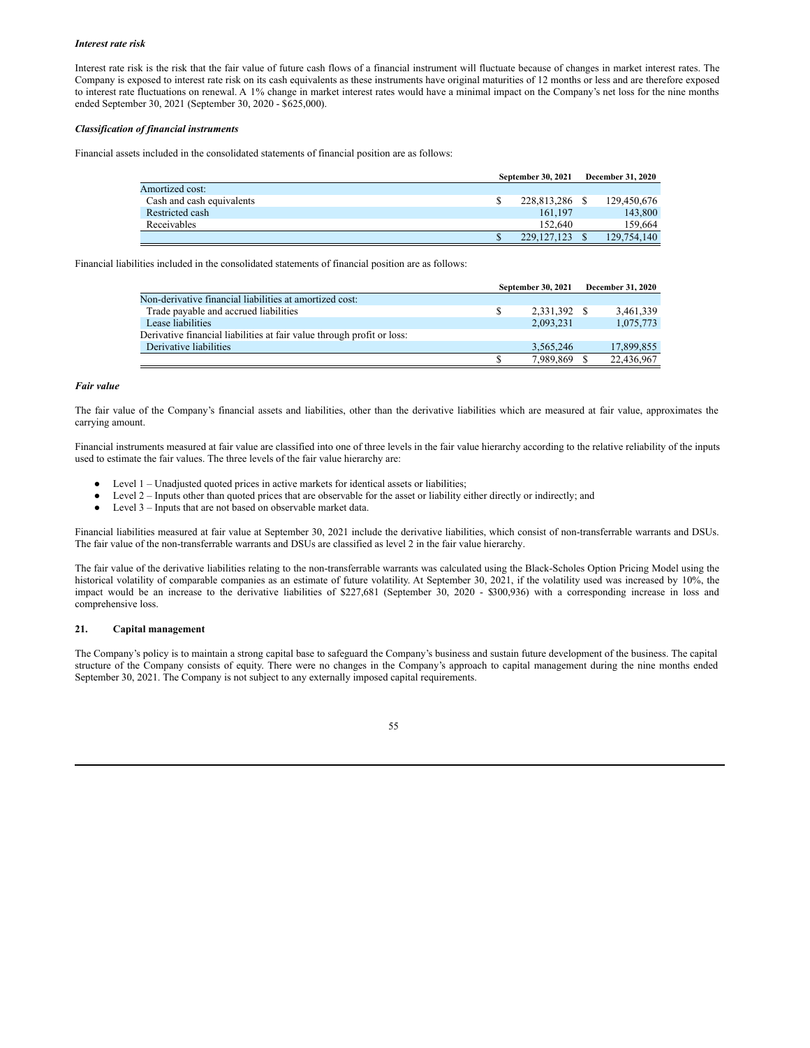#### *Interest rate risk*

Interest rate risk is the risk that the fair value of future cash flows of a financial instrument will fluctuate because of changes in market interest rates. The Company is exposed to interest rate risk on its cash equivalents as these instruments have original maturities of 12 months or less and are therefore exposed to interest rate fluctuations on renewal. A 1% change in market interest rates would have a minimal impact on the Company's net loss for the nine months ended September 30, 2021 (September 30, 2020 - \$625,000).

## *Classification of financial instruments*

Financial assets included in the consolidated statements of financial position are as follows:

|                           | <b>September 30, 2021</b> | December 31, 2020 |  |
|---------------------------|---------------------------|-------------------|--|
| Amortized cost:           |                           |                   |  |
| Cash and cash equivalents | 228,813,286               | 129,450,676       |  |
| Restricted cash           | 161.197                   | 143,800           |  |
| Receivables               | 152.640                   | 159,664           |  |
|                           | 229, 127, 123             | 129,754,140       |  |

Financial liabilities included in the consolidated statements of financial position are as follows:

|                                                                        |    | September 30, 2021 |  | <b>December 31, 2020</b> |  |
|------------------------------------------------------------------------|----|--------------------|--|--------------------------|--|
| Non-derivative financial liabilities at amortized cost:                |    |                    |  |                          |  |
| Trade payable and accrued liabilities                                  | S. | 2,331,392 \$       |  | 3,461,339                |  |
| Lease liabilities                                                      |    | 2,093,231          |  | 1,075,773                |  |
| Derivative financial liabilities at fair value through profit or loss: |    |                    |  |                          |  |
| Derivative liabilities                                                 |    | 3.565.246          |  | 17,899,855               |  |
|                                                                        |    | 7.989.869          |  | 22,436,967               |  |

## *Fair value*

The fair value of the Company's financial assets and liabilities, other than the derivative liabilities which are measured at fair value, approximates the carrying amount.

Financial instruments measured at fair value are classified into one of three levels in the fair value hierarchy according to the relative reliability of the inputs used to estimate the fair values. The three levels of the fair value hierarchy are:

- Level 1 Unadjusted quoted prices in active markets for identical assets or liabilities;
- Level 2 Inputs other than quoted prices that are observable for the asset or liability either directly or indirectly; and
- Level 3 Inputs that are not based on observable market data.

Financial liabilities measured at fair value at September 30, 2021 include the derivative liabilities, which consist of non-transferrable warrants and DSUs. The fair value of the non-transferrable warrants and DSUs are classified as level 2 in the fair value hierarchy.

The fair value of the derivative liabilities relating to the non-transferrable warrants was calculated using the Black-Scholes Option Pricing Model using the historical volatility of comparable companies as an estimate of future volatility. At September 30, 2021, if the volatility used was increased by 10%, the impact would be an increase to the derivative liabilities of \$227,681 (September 30, 2020 - \$300,936) with a corresponding increase in loss and comprehensive loss.

## **21. Capital management**

The Company's policy is to maintain a strong capital base to safeguard the Company's business and sustain future development of the business. The capital structure of the Company consists of equity. There were no changes in the Company's approach to capital management during the nine months ended September 30, 2021. The Company is not subject to any externally imposed capital requirements.

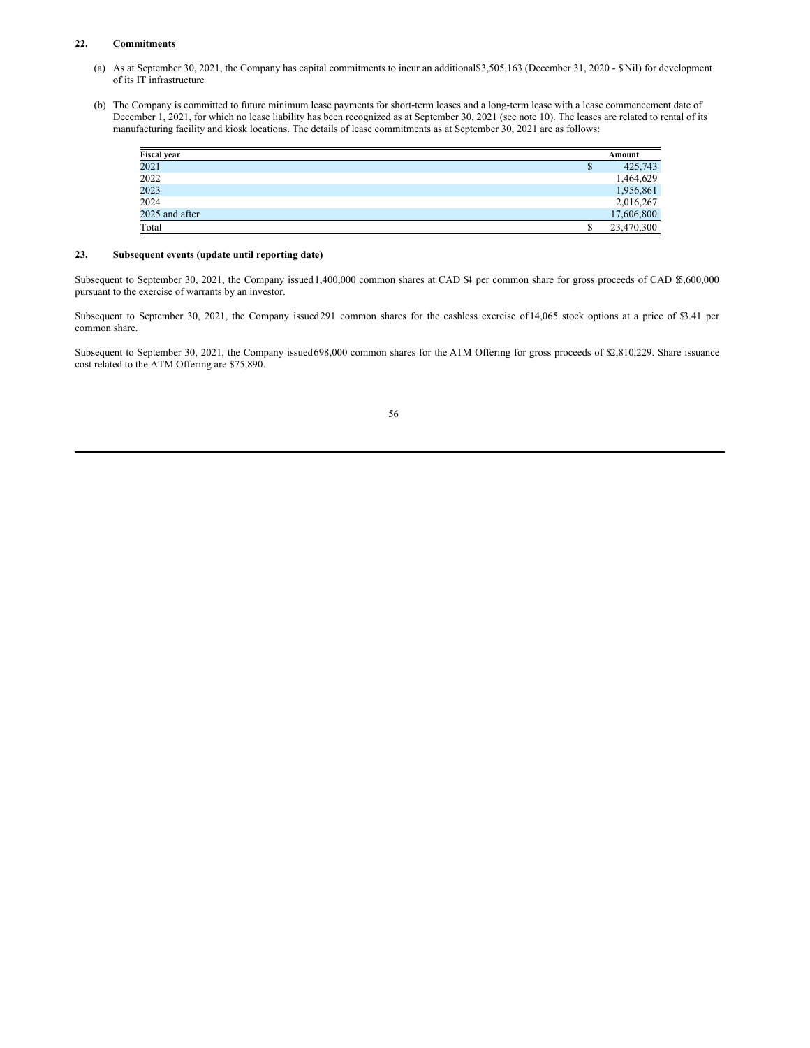# **22. Commitments**

- (a) As at September 30, 2021, the Company has capital commitments to incur an additional\$3,505,163 (December 31, 2020 \$ Nil) for development of its IT infrastructure
- (b) The Company is committed to future minimum lease payments for short-term leases and a long-term lease with a lease commencement date of December 1, 2021, for which no lease liability has been recognized as at September 30, 2021 (see note 10). The leases are related to rental of its manufacturing facility and kiosk locations. The details of lease commitments as at September 30, 2021 are as follows:

| <b>Fiscal year</b> |              | Amount     |
|--------------------|--------------|------------|
| 2021               | <sup>3</sup> | 425,743    |
| 2022               |              | 1,464,629  |
| 2023               |              | 1,956,861  |
| 2024               |              | 2,016,267  |
| 2025 and after     |              | 17,606,800 |
| Total              |              | 23,470,300 |

## **23. Subsequent events (update until reporting date)**

Subsequent to September 30, 2021, the Company issued 1,400,000 common shares at CAD \$4 per common share for gross proceeds of CAD \$5,600,000 pursuant to the exercise of warrants by an investor.

Subsequent to September 30, 2021, the Company issued291 common shares for the cashless exercise of14,065 stock options at a price of \$3.41 per common share.

Subsequent to September 30, 2021, the Company issued698,000 common shares for the ATM Offering for gross proceeds of \$2,810,229. Share issuance cost related to the ATM Offering are \$75,890.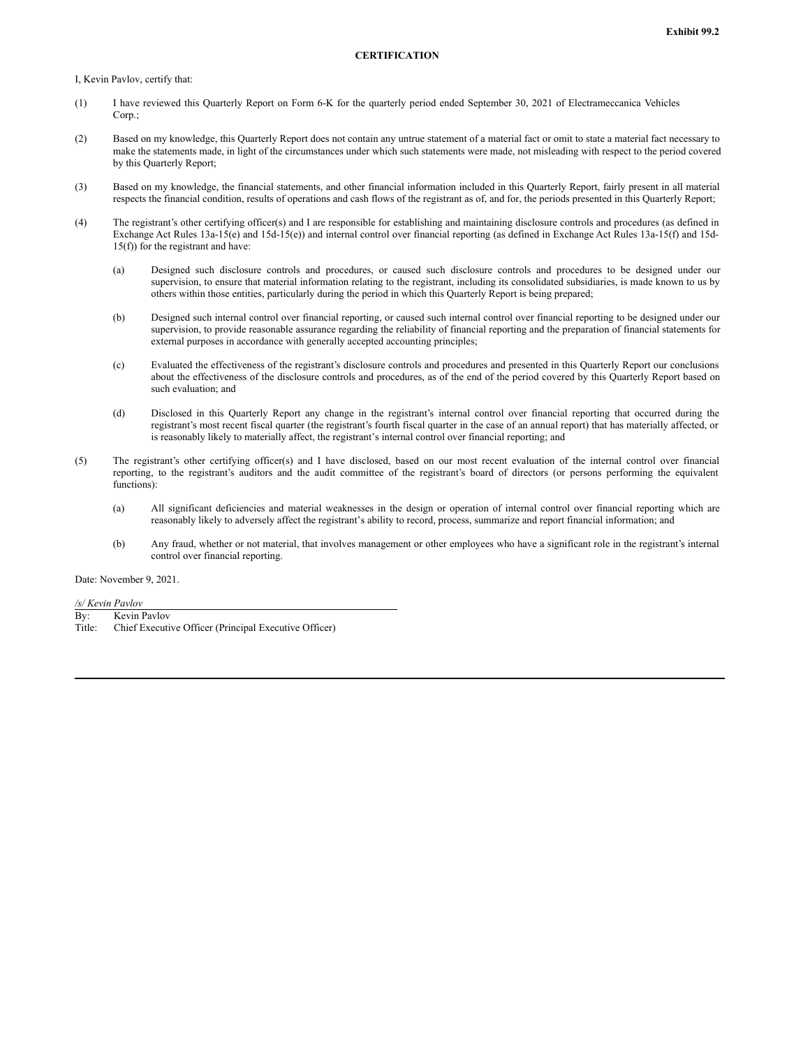<span id="page-60-0"></span>I, Kevin Pavlov, certify that:

- (1) I have reviewed this Quarterly Report on Form 6-K for the quarterly period ended September 30, 2021 of Electrameccanica Vehicles Corp.;
- (2) Based on my knowledge, this Quarterly Report does not contain any untrue statement of a material fact or omit to state a material fact necessary to make the statements made, in light of the circumstances under which such statements were made, not misleading with respect to the period covered by this Quarterly Report;
- (3) Based on my knowledge, the financial statements, and other financial information included in this Quarterly Report, fairly present in all material respects the financial condition, results of operations and cash flows of the registrant as of, and for, the periods presented in this Quarterly Report;
- (4) The registrant's other certifying officer(s) and I are responsible for establishing and maintaining disclosure controls and procedures (as defined in Exchange Act Rules 13a-15(e) and 15d-15(e)) and internal control over financial reporting (as defined in Exchange Act Rules 13a-15(f) and 15d-15(f)) for the registrant and have:
	- (a) Designed such disclosure controls and procedures, or caused such disclosure controls and procedures to be designed under our supervision, to ensure that material information relating to the registrant, including its consolidated subsidiaries, is made known to us by others within those entities, particularly during the period in which this Quarterly Report is being prepared;
	- (b) Designed such internal control over financial reporting, or caused such internal control over financial reporting to be designed under our supervision, to provide reasonable assurance regarding the reliability of financial reporting and the preparation of financial statements for external purposes in accordance with generally accepted accounting principles;
	- (c) Evaluated the effectiveness of the registrant's disclosure controls and procedures and presented in this Quarterly Report our conclusions about the effectiveness of the disclosure controls and procedures, as of the end of the period covered by this Quarterly Report based on such evaluation; and
	- (d) Disclosed in this Quarterly Report any change in the registrant's internal control over financial reporting that occurred during the registrant's most recent fiscal quarter (the registrant's fourth fiscal quarter in the case of an annual report) that has materially affected, or is reasonably likely to materially affect, the registrant's internal control over financial reporting; and
- (5) The registrant's other certifying officer(s) and I have disclosed, based on our most recent evaluation of the internal control over financial reporting, to the registrant's auditors and the audit committee of the registrant's board of directors (or persons performing the equivalent functions):
	- (a) All significant deficiencies and material weaknesses in the design or operation of internal control over financial reporting which are reasonably likely to adversely affect the registrant's ability to record, process, summarize and report financial information; and
	- (b) Any fraud, whether or not material, that involves management or other employees who have a significant role in the registrant's internal control over financial reporting.

Date: November 9, 2021.

- */s/ Kevin Pavlov*
- By: Kevin Pavlov
- Title: Chief Executive Officer (Principal Executive Officer)